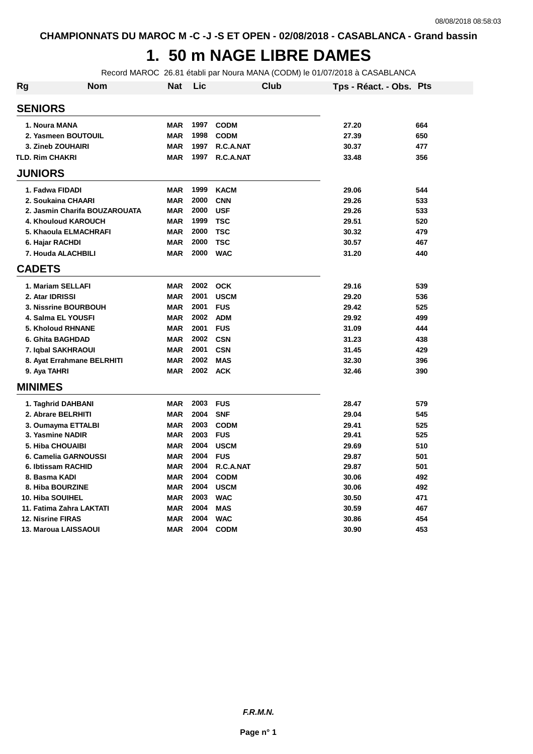## **1. 50 m NAGE LIBRE DAMES**

Record MAROC 26.81 établi par Noura MANA (CODM) le 01/07/2018 à CASABLANCA

| Rg             | Nom                           | <b>Nat</b> | Lic  | Club        | Tps - Réact. - Obs. Pts |     |
|----------------|-------------------------------|------------|------|-------------|-------------------------|-----|
|                | <b>SENIORS</b>                |            |      |             |                         |     |
|                | 1. Noura MANA                 | <b>MAR</b> | 1997 | <b>CODM</b> | 27.20                   | 664 |
|                | 2. Yasmeen BOUTOUIL           | <b>MAR</b> | 1998 | <b>CODM</b> | 27.39                   | 650 |
|                | 3. Zineb ZOUHAIRI             | <b>MAR</b> | 1997 | R.C.A.NAT   | 30.37                   | 477 |
|                | <b>TLD. Rim CHAKRI</b>        | <b>MAR</b> | 1997 | R.C.A.NAT   | 33.48                   | 356 |
|                | <b>JUNIORS</b>                |            |      |             |                         |     |
|                | 1. Fadwa FIDADI               | <b>MAR</b> | 1999 | <b>KACM</b> | 29.06                   | 544 |
|                | 2. Soukaina CHAARI            | <b>MAR</b> | 2000 | <b>CNN</b>  | 29.26                   | 533 |
|                | 2. Jasmin Charifa BOUZAROUATA | <b>MAR</b> | 2000 | <b>USF</b>  | 29.26                   | 533 |
|                | 4. Khouloud KAROUCH           | <b>MAR</b> | 1999 | <b>TSC</b>  | 29.51                   | 520 |
|                | 5. Khaoula ELMACHRAFI         | <b>MAR</b> | 2000 | <b>TSC</b>  | 30.32                   | 479 |
|                | 6. Hajar RACHDI               | <b>MAR</b> | 2000 | <b>TSC</b>  | 30.57                   | 467 |
|                | 7. Houda ALACHBILI            | <b>MAR</b> | 2000 | <b>WAC</b>  | 31.20                   | 440 |
| <b>CADETS</b>  |                               |            |      |             |                         |     |
|                | 1. Mariam SELLAFI             | <b>MAR</b> | 2002 | <b>OCK</b>  | 29.16                   | 539 |
|                | 2. Atar IDRISSI               | <b>MAR</b> | 2001 | <b>USCM</b> | 29.20                   | 536 |
|                | 3. Nissrine BOURBOUH          | <b>MAR</b> | 2001 | <b>FUS</b>  | 29.42                   | 525 |
|                | 4. Salma EL YOUSFI            | <b>MAR</b> | 2002 | <b>ADM</b>  | 29.92                   | 499 |
|                | <b>5. Kholoud RHNANE</b>      | <b>MAR</b> | 2001 | <b>FUS</b>  | 31.09                   | 444 |
|                | 6. Ghita BAGHDAD              | <b>MAR</b> | 2002 | <b>CSN</b>  | 31.23                   | 438 |
|                | 7. Iqbal SAKHRAOUI            | <b>MAR</b> | 2001 | <b>CSN</b>  | 31.45                   | 429 |
|                | 8. Ayat Errahmane BELRHITI    | <b>MAR</b> | 2002 | <b>MAS</b>  | 32.30                   | 396 |
|                | 9. Aya TAHRI                  | <b>MAR</b> | 2002 | <b>ACK</b>  | 32.46                   | 390 |
| <b>MINIMES</b> |                               |            |      |             |                         |     |
|                | 1. Taghrid DAHBANI            | <b>MAR</b> | 2003 | <b>FUS</b>  | 28.47                   | 579 |
|                | 2. Abrare BELRHITI            | <b>MAR</b> | 2004 | <b>SNF</b>  | 29.04                   | 545 |
|                | 3. Oumayma ETTALBI            | <b>MAR</b> | 2003 | <b>CODM</b> | 29.41                   | 525 |
|                | 3. Yasmine NADIR              | <b>MAR</b> | 2003 | <b>FUS</b>  | 29.41                   | 525 |
|                | <b>5. Hiba CHOUAIBI</b>       | <b>MAR</b> | 2004 | <b>USCM</b> | 29.69                   | 510 |
|                | 6. Camelia GARNOUSSI          | <b>MAR</b> | 2004 | <b>FUS</b>  | 29.87                   | 501 |
|                | 6. Ibtissam RACHID            | <b>MAR</b> | 2004 | R.C.A.NAT   | 29.87                   | 501 |
|                | 8. Basma KADI                 | <b>MAR</b> | 2004 | <b>CODM</b> | 30.06                   | 492 |
|                | 8. Hiba BOURZINE              | <b>MAR</b> | 2004 | <b>USCM</b> | 30.06                   | 492 |
|                | 10. Hiba SOUIHEL              | <b>MAR</b> | 2003 | <b>WAC</b>  | 30.50                   | 471 |
|                | 11. Fatima Zahra LAKTATI      | <b>MAR</b> | 2004 | <b>MAS</b>  | 30.59                   | 467 |
|                | <b>12. Nisrine FIRAS</b>      | <b>MAR</b> | 2004 | <b>WAC</b>  | 30.86                   | 454 |
|                | 13. Maroua LAISSAOUI          | <b>MAR</b> | 2004 | <b>CODM</b> | 30.90                   | 453 |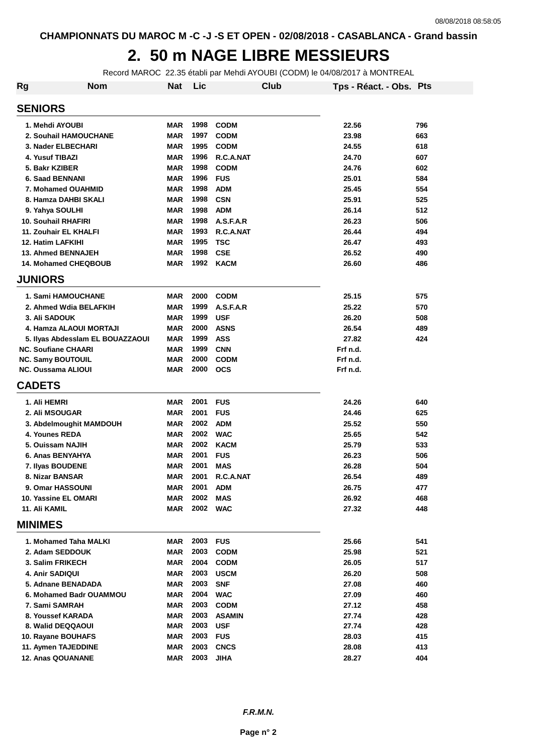#### **2. 50 m NAGE LIBRE MESSIEURS**

Record MAROC 22.35 établi par Mehdi AYOUBI (CODM) le 04/08/2017 à MONTREAL

| <b>Rg</b>                  | <b>Nom</b>                       | <b>Nat</b> | Lic  |               | Club | Tps - Réact. - Obs. Pts |     |
|----------------------------|----------------------------------|------------|------|---------------|------|-------------------------|-----|
| <b>SENIORS</b>             |                                  |            |      |               |      |                         |     |
| 1. Mehdi AYOUBI            |                                  | <b>MAR</b> | 1998 | <b>CODM</b>   |      | 22.56                   | 796 |
|                            | 2. Souhail HAMOUCHANE            | <b>MAR</b> | 1997 | <b>CODM</b>   |      | 23.98                   | 663 |
|                            | 3. Nader ELBECHARI               | <b>MAR</b> | 1995 | <b>CODM</b>   |      | 24.55                   | 618 |
| 4. Yusuf TIBAZI            |                                  | <b>MAR</b> | 1996 | R.C.A.NAT     |      | 24.70                   | 607 |
| 5. Bakr KZIBER             |                                  | <b>MAR</b> | 1998 | <b>CODM</b>   |      | 24.76                   | 602 |
| 6. Saad BENNANI            |                                  | <b>MAR</b> | 1996 | <b>FUS</b>    |      | 25.01                   | 584 |
|                            | 7. Mohamed OUAHMID               | <b>MAR</b> | 1998 | <b>ADM</b>    |      | 25.45                   | 554 |
|                            | 8. Hamza DAHBI SKALI             | <b>MAR</b> | 1998 | <b>CSN</b>    |      | 25.91                   | 525 |
| 9. Yahya SOULHI            |                                  | <b>MAR</b> | 1998 | <b>ADM</b>    |      | 26.14                   | 512 |
| 10. Souhail RHAFIRI        |                                  | <b>MAR</b> | 1998 | A.S.F.A.R     |      | 26.23                   | 506 |
|                            | 11. Zouhair EL KHALFI            | <b>MAR</b> | 1993 | R.C.A.NAT     |      | 26.44                   | 494 |
| 12. Hatim LAFKIHI          |                                  | <b>MAR</b> | 1995 | <b>TSC</b>    |      | 26.47                   | 493 |
|                            | <b>13. Ahmed BENNAJEH</b>        | <b>MAR</b> | 1998 | <b>CSE</b>    |      | 26.52                   | 490 |
|                            | <b>14. Mohamed CHEQBOUB</b>      | <b>MAR</b> | 1992 | KACM          |      | 26.60                   | 486 |
| <b>JUNIORS</b>             |                                  |            |      |               |      |                         |     |
|                            |                                  |            |      |               |      |                         |     |
|                            | <b>1. Sami HAMOUCHANE</b>        | <b>MAR</b> | 2000 | <b>CODM</b>   |      | 25.15                   | 575 |
|                            | 2. Ahmed Wdia BELAFKIH           | MAR        | 1999 | A.S.F.A.R     |      | 25.22                   | 570 |
| 3. Ali SADOUK              |                                  | <b>MAR</b> | 1999 | <b>USF</b>    |      | 26.20                   | 508 |
|                            | 4. Hamza ALAOUI MORTAJI          | <b>MAR</b> | 2000 | <b>ASNS</b>   |      | 26.54                   | 489 |
|                            | 5. Ilyas Abdesslam EL BOUAZZAOUI | <b>MAR</b> | 1999 | <b>ASS</b>    |      | 27.82                   | 424 |
| <b>NC. Soufiane CHAARI</b> |                                  | <b>MAR</b> | 1999 | <b>CNN</b>    |      | Frf n.d.                |     |
| <b>NC. Samy BOUTOUIL</b>   |                                  | <b>MAR</b> | 2000 | <b>CODM</b>   |      | Frf n.d.                |     |
| <b>NC. Oussama ALIOUI</b>  |                                  | <b>MAR</b> | 2000 | <b>OCS</b>    |      | Frf n.d.                |     |
| <b>CADETS</b>              |                                  |            |      |               |      |                         |     |
| 1. Ali HEMRI               |                                  | <b>MAR</b> | 2001 | <b>FUS</b>    |      | 24.26                   | 640 |
| 2. Ali MSOUGAR             |                                  | <b>MAR</b> | 2001 | <b>FUS</b>    |      | 24.46                   | 625 |
|                            | 3. Abdelmoughit MAMDOUH          | <b>MAR</b> | 2002 | <b>ADM</b>    |      | 25.52                   | 550 |
| 4. Younes REDA             |                                  | <b>MAR</b> | 2002 | <b>WAC</b>    |      | 25.65                   | 542 |
| 5. Ouissam NAJIH           |                                  | <b>MAR</b> | 2002 | <b>KACM</b>   |      | 25.79                   | 533 |
|                            | 6. Anas BENYAHYA                 | <b>MAR</b> | 2001 | <b>FUS</b>    |      | 26.23                   | 506 |
| 7. Ilyas BOUDENE           |                                  | <b>MAR</b> | 2001 | <b>MAS</b>    |      | 26.28                   | 504 |
| 8. Nizar BANSAR            |                                  | MAR        | 2001 | R.C.A.NAT     |      | 26.54                   | 489 |
|                            | 9. Omar HASSOUNI                 | MAR        | 2001 | <b>ADM</b>    |      | 26.75                   | 477 |
|                            | 10. Yassine EL OMARI             | MAR        | 2002 | <b>MAS</b>    |      | 26.92                   | 468 |
| 11. Ali KAMIL              |                                  | MAR        | 2002 | <b>WAC</b>    |      | 27.32                   | 448 |
| <b>MINIMES</b>             |                                  |            |      |               |      |                         |     |
|                            | 1. Mohamed Taha MALKI            | MAR        | 2003 | <b>FUS</b>    |      | 25.66                   | 541 |
|                            | 2. Adam SEDDOUK                  | <b>MAR</b> | 2003 | <b>CODM</b>   |      | 25.98                   | 521 |
| 3. Salim FRIKECH           |                                  | MAR        | 2004 | <b>CODM</b>   |      | 26.05                   | 517 |
| 4. Anir SADIQUI            |                                  | <b>MAR</b> | 2003 | <b>USCM</b>   |      | 26.20                   | 508 |
|                            | 5. Adnane BENADADA               | MAR        | 2003 | <b>SNF</b>    |      | 27.08                   | 460 |
|                            | 6. Mohamed Badr OUAMMOU          | <b>MAR</b> | 2004 | <b>WAC</b>    |      | 27.09                   | 460 |
| 7. Sami SAMRAH             |                                  | MAR        | 2003 | <b>CODM</b>   |      | 27.12                   | 458 |
|                            | 8. Youssef KARADA                | MAR        | 2003 | <b>ASAMIN</b> |      | 27.74                   | 428 |
|                            | 8. Walid DEQQAOUI                | MAR        | 2003 | <b>USF</b>    |      | 27.74                   | 428 |
|                            | 10. Rayane BOUHAFS               | MAR        | 2003 | <b>FUS</b>    |      | 28.03                   | 415 |
|                            | 11. Aymen TAJEDDINE              | <b>MAR</b> | 2003 | <b>CNCS</b>   |      | 28.08                   | 413 |
|                            | 12. Anas QOUANANE                | <b>MAR</b> | 2003 | <b>JIHA</b>   |      | 28.27                   | 404 |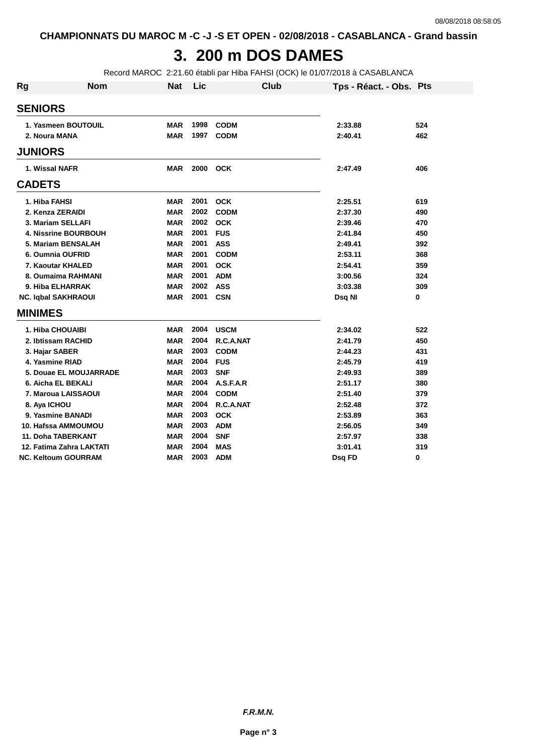## **3. 200 m DOS DAMES**

Record MAROC 2:21.60 établi par Hiba FAHSI (OCK) le 01/07/2018 à CASABLANCA

| Rg             | <b>Nom</b>                  | <b>Nat</b> | Lic  | Club        | Tps - Réact. - Obs. Pts |     |
|----------------|-----------------------------|------------|------|-------------|-------------------------|-----|
| <b>SENIORS</b> |                             |            |      |             |                         |     |
|                | 1. Yasmeen BOUTOUIL         | <b>MAR</b> | 1998 | <b>CODM</b> | 2:33.88                 | 524 |
|                | 2. Noura MANA               | <b>MAR</b> | 1997 | <b>CODM</b> | 2:40.41                 | 462 |
| <b>JUNIORS</b> |                             |            |      |             |                         |     |
|                | 1. Wissal NAFR              | <b>MAR</b> | 2000 | <b>OCK</b>  | 2:47.49                 | 406 |
| <b>CADETS</b>  |                             |            |      |             |                         |     |
| 1. Hiba FAHSI  |                             | <b>MAR</b> | 2001 | <b>OCK</b>  | 2:25.51                 | 619 |
|                | 2. Kenza ZERAIDI            | <b>MAR</b> | 2002 | <b>CODM</b> | 2:37.30                 | 490 |
|                | 3. Mariam SELLAFI           | <b>MAR</b> | 2002 | <b>OCK</b>  | 2:39.46                 | 470 |
|                | <b>4. Nissrine BOURBOUH</b> | <b>MAR</b> | 2001 | <b>FUS</b>  | 2:41.84                 | 450 |
|                | 5. Mariam BENSALAH          | <b>MAR</b> | 2001 | <b>ASS</b>  | 2:49.41                 | 392 |
|                | 6. Oumnia OUFRID            | <b>MAR</b> | 2001 | <b>CODM</b> | 2:53.11                 | 368 |
|                | 7. Kaoutar KHALED           | <b>MAR</b> | 2001 | <b>OCK</b>  | 2:54.41                 | 359 |
|                | 8. Oumaima RAHMANI          | <b>MAR</b> | 2001 | <b>ADM</b>  | 3:00.56                 | 324 |
|                | 9. Hiba ELHARRAK            | <b>MAR</b> | 2002 | <b>ASS</b>  | 3:03.38                 | 309 |
|                | <b>NC. Iqbal SAKHRAOUI</b>  | <b>MAR</b> | 2001 | <b>CSN</b>  | Dsq NI                  | 0   |
| <b>MINIMES</b> |                             |            |      |             |                         |     |
|                | 1. Hiba CHOUAIBI            | <b>MAR</b> | 2004 | <b>USCM</b> | 2:34.02                 | 522 |
|                | 2. Ibtissam RACHID          | <b>MAR</b> | 2004 | R.C.A.NAT   | 2:41.79                 | 450 |
|                | 3. Hajar SABER              | <b>MAR</b> | 2003 | <b>CODM</b> | 2:44.23                 | 431 |
|                | 4. Yasmine RIAD             | <b>MAR</b> | 2004 | <b>FUS</b>  | 2:45.79                 | 419 |
|                | 5. Douae EL MOUJARRADE      | <b>MAR</b> | 2003 | <b>SNF</b>  | 2:49.93                 | 389 |
|                | 6. Aicha EL BEKALI          | <b>MAR</b> | 2004 | A.S.F.A.R   | 2:51.17                 | 380 |
|                | 7. Maroua LAISSAOUI         | <b>MAR</b> | 2004 | <b>CODM</b> | 2:51.40                 | 379 |
| 8. Aya ICHOU   |                             | <b>MAR</b> | 2004 | R.C.A.NAT   | 2:52.48                 | 372 |
|                | 9. Yasmine BANADI           | <b>MAR</b> | 2003 | <b>OCK</b>  | 2:53.89                 | 363 |
|                | 10. Hafssa AMMOUMOU         | <b>MAR</b> | 2003 | <b>ADM</b>  | 2:56.05                 | 349 |
|                | 11. Doha TABERKANT          | <b>MAR</b> | 2004 | <b>SNF</b>  | 2:57.97                 | 338 |
|                | 12. Fatima Zahra LAKTATI    | <b>MAR</b> | 2004 | <b>MAS</b>  | 3:01.41                 | 319 |
|                | <b>NC. Keltoum GOURRAM</b>  | MAR        | 2003 | <b>ADM</b>  | Dsq FD                  | 0   |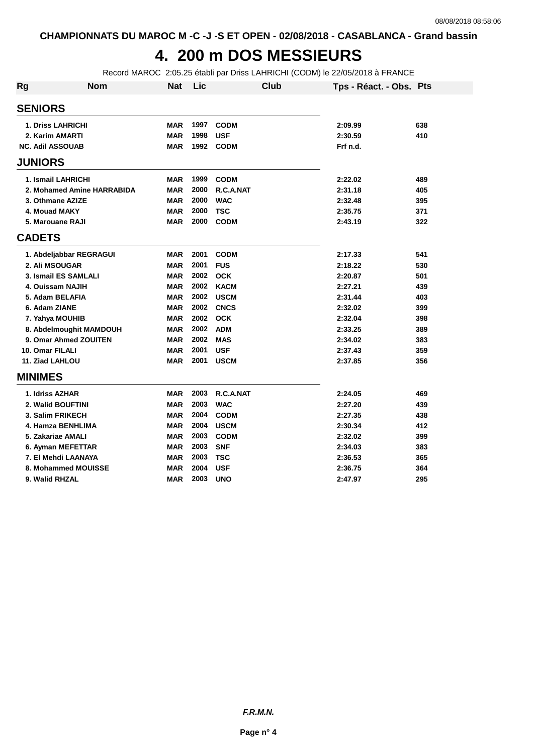## **4. 200 m DOS MESSIEURS**

Record MAROC 2:05.25 établi par Driss LAHRICHI (CODM) le 22/05/2018 à FRANCE

| Rg              | <b>Nom</b>                 | <b>Nat</b> | Lic  | Club        | Tps - Réact. - Obs. Pts |     |
|-----------------|----------------------------|------------|------|-------------|-------------------------|-----|
| <b>SENIORS</b>  |                            |            |      |             |                         |     |
|                 | <b>1. Driss LAHRICHI</b>   | <b>MAR</b> | 1997 | <b>CODM</b> | 2:09.99                 | 638 |
|                 | 2. Karim AMARTI            | <b>MAR</b> | 1998 | <b>USF</b>  | 2:30.59                 | 410 |
|                 | <b>NC. Adil ASSOUAB</b>    | <b>MAR</b> | 1992 | <b>CODM</b> | Frf n.d.                |     |
| <b>JUNIORS</b>  |                            |            |      |             |                         |     |
|                 | 1. Ismail LAHRICHI         | MAR        | 1999 | <b>CODM</b> | 2:22.02                 | 489 |
|                 | 2. Mohamed Amine HARRABIDA | <b>MAR</b> | 2000 | R.C.A.NAT   | 2:31.18                 | 405 |
|                 | 3. Othmane AZIZE           | <b>MAR</b> | 2000 | <b>WAC</b>  | 2:32.48                 | 395 |
|                 | 4. Mouad MAKY              | <b>MAR</b> | 2000 | <b>TSC</b>  | 2:35.75                 | 371 |
|                 | 5. Marouane RAJI           | MAR        | 2000 | <b>CODM</b> | 2:43.19                 | 322 |
| <b>CADETS</b>   |                            |            |      |             |                         |     |
|                 | 1. Abdeljabbar REGRAGUI    | <b>MAR</b> | 2001 | <b>CODM</b> | 2:17.33                 | 541 |
|                 | 2. Ali MSOUGAR             | <b>MAR</b> | 2001 | <b>FUS</b>  | 2:18.22                 | 530 |
|                 | 3. Ismail ES SAMLALI       | <b>MAR</b> | 2002 | <b>OCK</b>  | 2:20.87                 | 501 |
|                 | 4. Ouissam NAJIH           | <b>MAR</b> | 2002 | <b>KACM</b> | 2:27.21                 | 439 |
|                 | 5. Adam BELAFIA            | <b>MAR</b> | 2002 | <b>USCM</b> | 2:31.44                 | 403 |
| 6. Adam ZIANE   |                            | <b>MAR</b> | 2002 | <b>CNCS</b> | 2:32.02                 | 399 |
|                 | 7. Yahya MOUHIB            | <b>MAR</b> | 2002 | <b>OCK</b>  | 2:32.04                 | 398 |
|                 | 8. Abdelmoughit MAMDOUH    | <b>MAR</b> | 2002 | <b>ADM</b>  | 2:33.25                 | 389 |
|                 | 9. Omar Ahmed ZOUITEN      | <b>MAR</b> | 2002 | <b>MAS</b>  | 2:34.02                 | 383 |
| 10. Omar FILALI |                            | <b>MAR</b> | 2001 | <b>USF</b>  | 2:37.43                 | 359 |
| 11. Ziad LAHLOU |                            | <b>MAR</b> | 2001 | <b>USCM</b> | 2:37.85                 | 356 |
| <b>MINIMES</b>  |                            |            |      |             |                         |     |
|                 | 1. Idriss AZHAR            | <b>MAR</b> | 2003 | R.C.A.NAT   | 2:24.05                 | 469 |
|                 | 2. Walid BOUFTINI          | <b>MAR</b> | 2003 | <b>WAC</b>  | 2:27.20                 | 439 |
|                 | 3. Salim FRIKECH           | <b>MAR</b> | 2004 | <b>CODM</b> | 2:27.35                 | 438 |
|                 | 4. Hamza BENHLIMA          | <b>MAR</b> | 2004 | <b>USCM</b> | 2:30.34                 | 412 |
|                 | 5. Zakariae AMALI          | <b>MAR</b> | 2003 | <b>CODM</b> | 2:32.02                 | 399 |
|                 | 6. Ayman MEFETTAR          | <b>MAR</b> | 2003 | <b>SNF</b>  | 2:34.03                 | 383 |
|                 | 7. El Mehdi LAANAYA        | <b>MAR</b> | 2003 | <b>TSC</b>  | 2:36.53                 | 365 |
|                 | 8. Mohammed MOUISSE        | <b>MAR</b> | 2004 | <b>USF</b>  | 2:36.75                 | 364 |
|                 | 9. Walid RHZAL             | <b>MAR</b> | 2003 | <b>UNO</b>  | 2:47.97                 | 295 |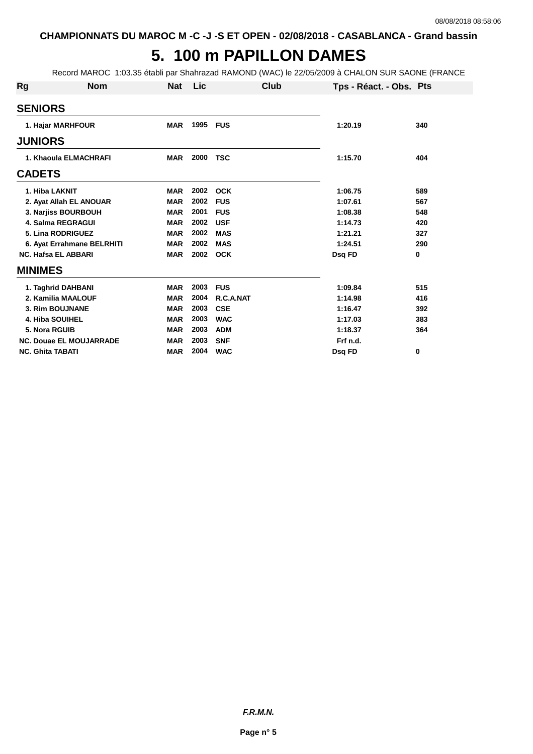## **5. 100 m PAPILLON DAMES**

Record MAROC 1:03.35 établi par Shahrazad RAMOND (WAC) le 22/05/2009 à CHALON SUR SAONE (FRANCE

| Rg             | <b>Nom</b>                     | <b>Nat</b> | Lic      | Club       | Tps - Réact. - Obs. Pts |     |
|----------------|--------------------------------|------------|----------|------------|-------------------------|-----|
| <b>SENIORS</b> |                                |            |          |            |                         |     |
|                | 1. Hajar MARHFOUR              | <b>MAR</b> | 1995 FUS |            | 1:20.19                 | 340 |
| <b>JUNIORS</b> |                                |            |          |            |                         |     |
|                | 1. Khaoula ELMACHRAFI          | MAR        | 2000     | TSC        | 1:15.70                 | 404 |
| <b>CADETS</b>  |                                |            |          |            |                         |     |
|                | 1. Hiba LAKNIT                 | <b>MAR</b> | 2002     | <b>OCK</b> | 1:06.75                 | 589 |
|                | 2. Ayat Allah EL ANOUAR        | <b>MAR</b> | 2002     | <b>FUS</b> | 1:07.61                 | 567 |
|                | 3. Narjiss BOURBOUH            | <b>MAR</b> | 2001     | <b>FUS</b> | 1:08.38                 | 548 |
|                | <b>4. Salma REGRAGUI</b>       | <b>MAR</b> | 2002     | <b>USF</b> | 1:14.73                 | 420 |
|                | 5. Lina RODRIGUEZ              | <b>MAR</b> | 2002     | <b>MAS</b> | 1:21.21                 | 327 |
|                | 6. Ayat Errahmane BELRHITI     | <b>MAR</b> | 2002     | <b>MAS</b> | 1:24.51                 | 290 |
|                | <b>NC. Hafsa EL ABBARI</b>     | <b>MAR</b> | 2002     | <b>OCK</b> | Dsq FD                  | 0   |
| <b>MINIMES</b> |                                |            |          |            |                         |     |
|                | 1. Taghrid DAHBANI             | <b>MAR</b> | 2003     | <b>FUS</b> | 1:09.84                 | 515 |
|                | 2. Kamilia MAALOUF             | <b>MAR</b> | 2004     | R.C.A.NAT  | 1:14.98                 | 416 |
|                | 3. Rim BOUJNANE                | <b>MAR</b> | 2003     | <b>CSE</b> | 1:16.47                 | 392 |
|                | <b>4. Hiba SOUIHEL</b>         | <b>MAR</b> | 2003     | <b>WAC</b> | 1:17.03                 | 383 |
|                | 5. Nora RGUIB                  | <b>MAR</b> | 2003     | <b>ADM</b> | 1:18.37                 | 364 |
|                | <b>NC. Douae EL MOUJARRADE</b> | <b>MAR</b> | 2003     | <b>SNF</b> | Frf n.d.                |     |
|                | <b>NC. Ghita TABATI</b>        | <b>MAR</b> | 2004     | <b>WAC</b> | Dsg FD                  | 0   |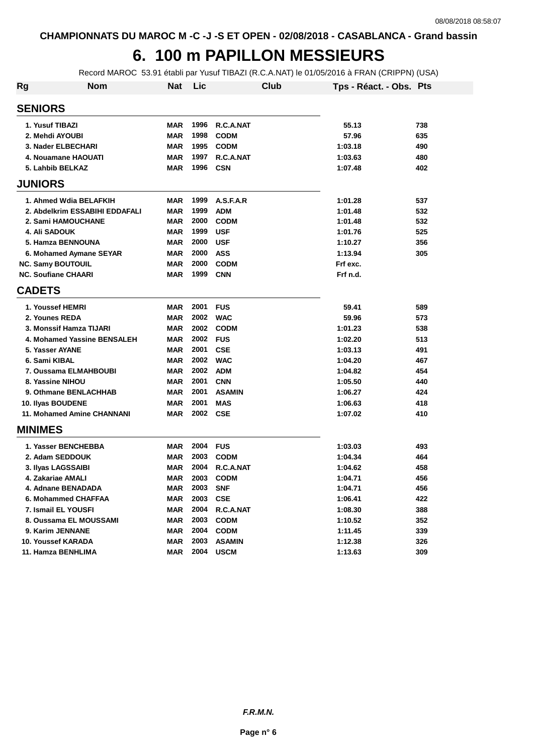# **6. 100 m PAPILLON MESSIEURS**

Record MAROC 53.91 établi par Yusuf TIBAZI (R.C.A.NAT) le 01/05/2016 à FRAN (CRIPPN) (USA)

| Rg             | <b>Nom</b>                     | <b>Nat</b> | Lic  | <b>Club</b>   | Tps - Réact. - Obs. Pts |     |
|----------------|--------------------------------|------------|------|---------------|-------------------------|-----|
| <b>SENIORS</b> |                                |            |      |               |                         |     |
|                | 1. Yusuf TIBAZI                | <b>MAR</b> | 1996 | R.C.A.NAT     | 55.13                   | 738 |
|                | 2. Mehdi AYOUBI                | <b>MAR</b> | 1998 | <b>CODM</b>   | 57.96                   | 635 |
|                | 3. Nader ELBECHARI             | <b>MAR</b> | 1995 | <b>CODM</b>   | 1:03.18                 | 490 |
|                | 4. Nouamane HAOUATI            | <b>MAR</b> | 1997 | R.C.A.NAT     | 1:03.63                 | 480 |
|                | 5. Lahbib BELKAZ               | <b>MAR</b> | 1996 | <b>CSN</b>    | 1:07.48                 | 402 |
| <b>JUNIORS</b> |                                |            |      |               |                         |     |
|                | 1. Ahmed Wdia BELAFKIH         | <b>MAR</b> | 1999 | A.S.F.A.R     | 1:01.28                 | 537 |
|                | 2. Abdelkrim ESSABIHI EDDAFALI | <b>MAR</b> | 1999 | <b>ADM</b>    | 1:01.48                 | 532 |
|                | 2. Sami HAMOUCHANE             | <b>MAR</b> | 2000 | <b>CODM</b>   | 1:01.48                 | 532 |
|                | <b>4. Ali SADOUK</b>           | <b>MAR</b> | 1999 | <b>USF</b>    | 1:01.76                 | 525 |
|                | 5. Hamza BENNOUNA              | <b>MAR</b> | 2000 | <b>USF</b>    | 1:10.27                 | 356 |
|                | 6. Mohamed Aymane SEYAR        | <b>MAR</b> | 2000 | <b>ASS</b>    | 1:13.94                 | 305 |
|                | <b>NC. Samy BOUTOUIL</b>       | <b>MAR</b> | 2000 | <b>CODM</b>   | Frf exc.                |     |
|                | <b>NC. Soufiane CHAARI</b>     | <b>MAR</b> | 1999 | <b>CNN</b>    | Frf n.d.                |     |
| <b>CADETS</b>  |                                |            |      |               |                         |     |
|                | 1. Youssef HEMRI               | <b>MAR</b> | 2001 | <b>FUS</b>    | 59.41                   | 589 |
|                | 2. Younes REDA                 | <b>MAR</b> | 2002 | <b>WAC</b>    | 59.96                   | 573 |
|                | 3. Monssif Hamza TIJARI        | <b>MAR</b> | 2002 | <b>CODM</b>   | 1:01.23                 | 538 |
|                | 4. Mohamed Yassine BENSALEH    | <b>MAR</b> | 2002 | <b>FUS</b>    | 1:02.20                 | 513 |
|                | 5. Yasser AYANE                | <b>MAR</b> | 2001 | <b>CSE</b>    | 1:03.13                 | 491 |
|                | 6. Sami KIBAL                  | <b>MAR</b> | 2002 | <b>WAC</b>    | 1:04.20                 | 467 |
|                | 7. Oussama ELMAHBOUBI          | <b>MAR</b> | 2002 | <b>ADM</b>    | 1:04.82                 | 454 |
|                | 8. Yassine NIHOU               | <b>MAR</b> | 2001 | <b>CNN</b>    | 1:05.50                 | 440 |
|                | 9. Othmane BENLACHHAB          | <b>MAR</b> | 2001 | <b>ASAMIN</b> | 1:06.27                 | 424 |
|                | 10. Ilyas BOUDENE              | <b>MAR</b> | 2001 | <b>MAS</b>    | 1:06.63                 | 418 |
|                | 11. Mohamed Amine CHANNANI     | <b>MAR</b> | 2002 | <b>CSE</b>    | 1:07.02                 | 410 |
| <b>MINIMES</b> |                                |            |      |               |                         |     |
|                | 1. Yasser BENCHEBBA            | <b>MAR</b> | 2004 | <b>FUS</b>    | 1:03.03                 | 493 |
|                | 2. Adam SEDDOUK                | <b>MAR</b> | 2003 | <b>CODM</b>   | 1:04.34                 | 464 |
|                | 3. Ilyas LAGSSAIBI             | <b>MAR</b> | 2004 | R.C.A.NAT     | 1:04.62                 | 458 |
|                | 4. Zakariae AMALI              | <b>MAR</b> | 2003 | <b>CODM</b>   | 1:04.71                 | 456 |
|                | 4. Adnane BENADADA             | MAR        | 2003 | <b>SNF</b>    | 1:04.71                 | 456 |
|                | 6. Mohammed CHAFFAA            | <b>MAR</b> | 2003 | <b>CSE</b>    | 1:06.41                 | 422 |
|                | 7. Ismail EL YOUSFI            | <b>MAR</b> | 2004 | R.C.A.NAT     | 1:08.30                 | 388 |
|                | 8. Oussama EL MOUSSAMI         | <b>MAR</b> | 2003 | <b>CODM</b>   | 1:10.52                 | 352 |
|                | 9. Karim JENNANE               | <b>MAR</b> | 2004 | <b>CODM</b>   | 1:11.45                 | 339 |
|                | 10. Youssef KARADA             | <b>MAR</b> | 2003 | <b>ASAMIN</b> | 1:12.38                 | 326 |
|                | 11. Hamza BENHLIMA             | <b>MAR</b> | 2004 | <b>USCM</b>   | 1:13.63                 | 309 |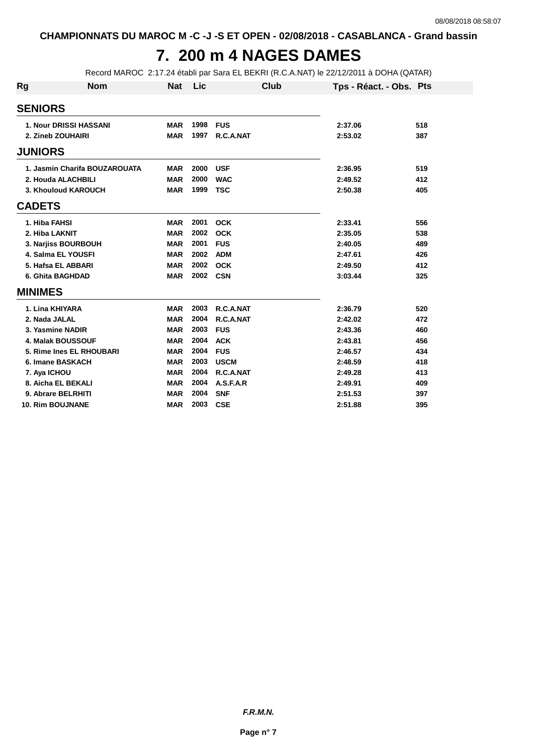# **7. 200 m 4 NAGES DAMES**

Record MAROC 2:17.24 établi par Sara EL BEKRI (R.C.A.NAT) le 22/12/2011 à DOHA (QATAR)

| <b>Rg</b>      | <b>Nom</b>                    | Nat        | Lic  | <b>Club</b> | Tps - Réact. - Obs. Pts |     |
|----------------|-------------------------------|------------|------|-------------|-------------------------|-----|
| <b>SENIORS</b> |                               |            |      |             |                         |     |
|                | <b>1. Nour DRISSI HASSANI</b> | <b>MAR</b> | 1998 | <b>FUS</b>  | 2:37.06                 | 518 |
|                | 2. Zineb ZOUHAIRI             | <b>MAR</b> | 1997 | R.C.A.NAT   | 2:53.02                 | 387 |
| <b>JUNIORS</b> |                               |            |      |             |                         |     |
|                | 1. Jasmin Charifa BOUZAROUATA | <b>MAR</b> | 2000 | <b>USF</b>  | 2:36.95                 | 519 |
|                | 2. Houda ALACHBILI            | <b>MAR</b> | 2000 | <b>WAC</b>  | 2:49.52                 | 412 |
|                | 3. Khouloud KAROUCH           | <b>MAR</b> | 1999 | <b>TSC</b>  | 2:50.38                 | 405 |
| <b>CADETS</b>  |                               |            |      |             |                         |     |
|                | 1. Hiba FAHSI                 | <b>MAR</b> | 2001 | <b>OCK</b>  | 2:33.41                 | 556 |
|                | 2. Hiba LAKNIT                | <b>MAR</b> | 2002 | <b>OCK</b>  | 2:35.05                 | 538 |
|                | 3. Narjiss BOURBOUH           | <b>MAR</b> | 2001 | <b>FUS</b>  | 2:40.05                 | 489 |
|                | <b>4. Salma EL YOUSFI</b>     | <b>MAR</b> | 2002 | <b>ADM</b>  | 2:47.61                 | 426 |
|                | 5. Hafsa EL ABBARI            | <b>MAR</b> | 2002 | <b>OCK</b>  | 2:49.50                 | 412 |
|                | 6. Ghita BAGHDAD              | <b>MAR</b> | 2002 | <b>CSN</b>  | 3:03.44                 | 325 |
| <b>MINIMES</b> |                               |            |      |             |                         |     |
|                | 1. Lina KHIYARA               | <b>MAR</b> | 2003 | R.C.A.NAT   | 2:36.79                 | 520 |
|                | 2. Nada JALAL                 | <b>MAR</b> | 2004 | R.C.A.NAT   | 2:42.02                 | 472 |
|                | 3. Yasmine NADIR              | <b>MAR</b> | 2003 | <b>FUS</b>  | 2:43.36                 | 460 |
|                | <b>4. Malak BOUSSOUF</b>      | <b>MAR</b> | 2004 | <b>ACK</b>  | 2:43.81                 | 456 |
|                | 5. Rime Ines EL RHOUBARI      | <b>MAR</b> | 2004 | <b>FUS</b>  | 2:46.57                 | 434 |
|                | 6. Imane BASKACH              | <b>MAR</b> | 2003 | <b>USCM</b> | 2:48.59                 | 418 |
|                | 7. Aya ICHOU                  | <b>MAR</b> | 2004 | R.C.A.NAT   | 2:49.28                 | 413 |
|                | 8. Aicha EL BEKALI            | <b>MAR</b> | 2004 | A.S.F.A.R   | 2:49.91                 | 409 |
|                | 9. Abrare BELRHITI            | <b>MAR</b> | 2004 | <b>SNF</b>  | 2:51.53                 | 397 |
|                | <b>10. Rim BOUJNANE</b>       | <b>MAR</b> | 2003 | <b>CSE</b>  | 2:51.88                 | 395 |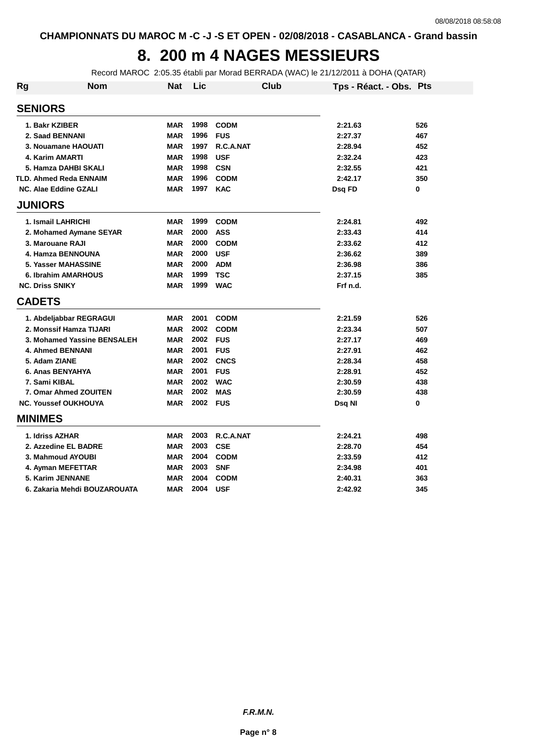## **8. 200 m 4 NAGES MESSIEURS**

Record MAROC 2:05.35 établi par Morad BERRADA (WAC) le 21/12/2011 à DOHA (QATAR)

| Rg | <b>Nom</b>                    | <b>Nat</b> | Lic  |             | Club | Tps - Réact. - Obs. Pts |     |
|----|-------------------------------|------------|------|-------------|------|-------------------------|-----|
|    | <b>SENIORS</b>                |            |      |             |      |                         |     |
|    | 1. Bakr KZIBER                | <b>MAR</b> | 1998 | <b>CODM</b> |      | 2:21.63                 | 526 |
|    | 2. Saad BENNANI               | <b>MAR</b> | 1996 | <b>FUS</b>  |      | 2:27.37                 | 467 |
|    | 3. Nouamane HAOUATI           | <b>MAR</b> | 1997 | R.C.A.NAT   |      | 2:28.94                 | 452 |
|    | 4. Karim AMARTI               | <b>MAR</b> | 1998 | <b>USF</b>  |      | 2:32.24                 | 423 |
|    | 5. Hamza DAHBI SKALI          | <b>MAR</b> | 1998 | <b>CSN</b>  |      | 2:32.55                 | 421 |
|    | <b>TLD. Ahmed Reda ENNAIM</b> | <b>MAR</b> | 1996 | <b>CODM</b> |      | 2:42.17                 | 350 |
|    | <b>NC. Alae Eddine GZALI</b>  | <b>MAR</b> | 1997 | <b>KAC</b>  |      | Dsg FD                  | 0   |
|    | <b>JUNIORS</b>                |            |      |             |      |                         |     |
|    | 1. Ismail LAHRICHI            | <b>MAR</b> | 1999 | <b>CODM</b> |      | 2:24.81                 | 492 |
|    | 2. Mohamed Aymane SEYAR       | <b>MAR</b> | 2000 | <b>ASS</b>  |      | 2:33.43                 | 414 |
|    | 3. Marouane RAJI              | <b>MAR</b> | 2000 | <b>CODM</b> |      | 2:33.62                 | 412 |
|    | 4. Hamza BENNOUNA             | <b>MAR</b> | 2000 | <b>USF</b>  |      | 2:36.62                 | 389 |
|    | <b>5. Yasser MAHASSINE</b>    | <b>MAR</b> | 2000 | <b>ADM</b>  |      | 2:36.98                 | 386 |
|    | 6. Ibrahim AMARHOUS           | <b>MAR</b> | 1999 | <b>TSC</b>  |      | 2:37.15                 | 385 |
|    | <b>NC. Driss SNIKY</b>        | <b>MAR</b> | 1999 | <b>WAC</b>  |      | Frf n.d.                |     |
|    | <b>CADETS</b>                 |            |      |             |      |                         |     |
|    | 1. Abdeljabbar REGRAGUI       | <b>MAR</b> | 2001 | <b>CODM</b> |      | 2:21.59                 | 526 |
|    | 2. Monssif Hamza TIJARI       | <b>MAR</b> | 2002 | <b>CODM</b> |      | 2:23.34                 | 507 |
|    | 3. Mohamed Yassine BENSALEH   | <b>MAR</b> | 2002 | <b>FUS</b>  |      | 2:27.17                 | 469 |
|    | <b>4. Ahmed BENNANI</b>       | <b>MAR</b> | 2001 | <b>FUS</b>  |      | 2:27.91                 | 462 |
|    | 5. Adam ZIANE                 | <b>MAR</b> | 2002 | <b>CNCS</b> |      | 2:28.34                 | 458 |
|    | 6. Anas BENYAHYA              | <b>MAR</b> | 2001 | <b>FUS</b>  |      | 2:28.91                 | 452 |
|    | 7. Sami KIBAL                 | <b>MAR</b> | 2002 | <b>WAC</b>  |      | 2:30.59                 | 438 |
|    | 7. Omar Ahmed ZOUITEN         | <b>MAR</b> | 2002 | <b>MAS</b>  |      | 2:30.59                 | 438 |
|    | <b>NC. Youssef OUKHOUYA</b>   | <b>MAR</b> | 2002 | <b>FUS</b>  |      | Dsq NI                  | 0   |
|    | <b>MINIMES</b>                |            |      |             |      |                         |     |
|    | 1. Idriss AZHAR               | <b>MAR</b> | 2003 | R.C.A.NAT   |      | 2:24.21                 | 498 |
|    | 2. Azzedine EL BADRE          | <b>MAR</b> | 2003 | <b>CSE</b>  |      | 2:28.70                 | 454 |
|    | 3. Mahmoud AYOUBI             | <b>MAR</b> | 2004 | <b>CODM</b> |      | 2:33.59                 | 412 |
|    | 4. Ayman MEFETTAR             | <b>MAR</b> | 2003 | <b>SNF</b>  |      | 2:34.98                 | 401 |
|    | 5. Karim JENNANE              | <b>MAR</b> | 2004 | <b>CODM</b> |      | 2:40.31                 | 363 |
|    | 6. Zakaria Mehdi BOUZAROUATA  | <b>MAR</b> | 2004 | <b>USF</b>  |      | 2:42.92                 | 345 |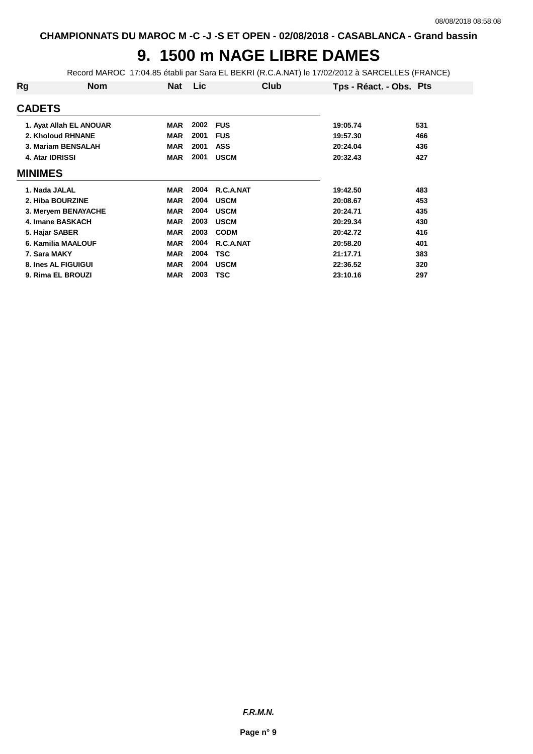## **9. 1500 m NAGE LIBRE DAMES**

Record MAROC 17:04.85 établi par Sara EL BEKRI (R.C.A.NAT) le 17/02/2012 à SARCELLES (FRANCE)

| Rg              | <b>Nom</b>              | Nat        | Lic  | Club        | Tps - Réact. - Obs. Pts |     |
|-----------------|-------------------------|------------|------|-------------|-------------------------|-----|
| <b>CADETS</b>   |                         |            |      |             |                         |     |
|                 | 1. Ayat Allah EL ANOUAR | <b>MAR</b> | 2002 | <b>FUS</b>  | 19:05.74                | 531 |
|                 | 2. Kholoud RHNANE       | <b>MAR</b> | 2001 | <b>FUS</b>  | 19:57.30                | 466 |
|                 | 3. Mariam BENSALAH      | <b>MAR</b> | 2001 | <b>ASS</b>  | 20:24.04                | 436 |
| 4. Atar IDRISSI |                         | <b>MAR</b> | 2001 | <b>USCM</b> | 20:32.43                | 427 |
| <b>MINIMES</b>  |                         |            |      |             |                         |     |
| 1. Nada JALAL   |                         | <b>MAR</b> | 2004 | R.C.A.NAT   | 19:42.50                | 483 |
|                 | 2. Hiba BOURZINE        | <b>MAR</b> | 2004 | <b>USCM</b> | 20:08.67                | 453 |
|                 | 3. Meryem BENAYACHE     | <b>MAR</b> | 2004 | <b>USCM</b> | 20:24.71                | 435 |
|                 | 4. Imane BASKACH        | <b>MAR</b> | 2003 | <b>USCM</b> | 20:29.34                | 430 |
| 5. Hajar SABER  |                         | <b>MAR</b> | 2003 | <b>CODM</b> | 20:42.72                | 416 |
|                 | 6. Kamilia MAALOUF      | <b>MAR</b> | 2004 | R.C.A.NAT   | 20:58.20                | 401 |
| 7. Sara MAKY    |                         | <b>MAR</b> | 2004 | <b>TSC</b>  | 21:17.71                | 383 |
|                 | 8. Ines AL FIGUIGUI     | <b>MAR</b> | 2004 | <b>USCM</b> | 22:36.52                | 320 |
|                 | 9. Rima EL BROUZI       | <b>MAR</b> | 2003 | <b>TSC</b>  | 23:10.16                | 297 |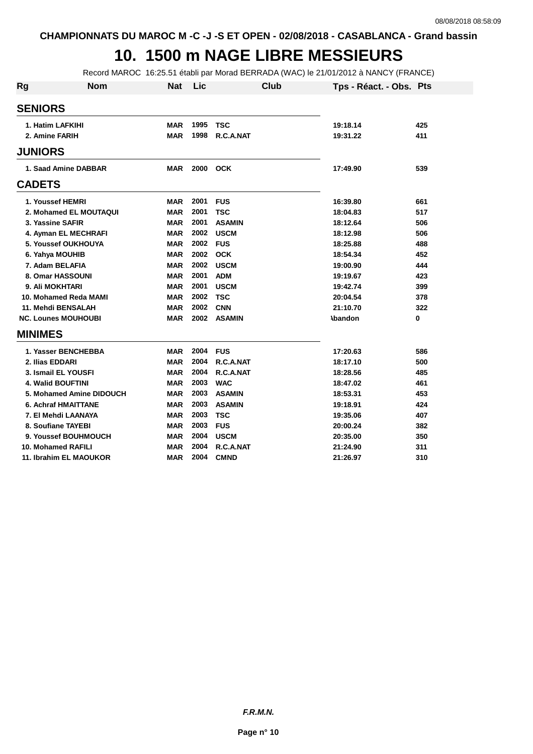### **10. 1500 m NAGE LIBRE MESSIEURS**

Record MAROC 16:25.51 établi par Morad BERRADA (WAC) le 21/01/2012 à NANCY (FRANCE)

| Rg             | <b>Nom</b>                 | <b>Nat</b> | Lic  | Club          | Tps - Réact. - Obs. Pts |     |
|----------------|----------------------------|------------|------|---------------|-------------------------|-----|
| <b>SENIORS</b> |                            |            |      |               |                         |     |
|                | 1. Hatim LAFKIHI           | <b>MAR</b> | 1995 | <b>TSC</b>    | 19:18.14                | 425 |
|                | 2. Amine FARIH             | <b>MAR</b> | 1998 | R.C.A.NAT     | 19:31.22                | 411 |
| <b>JUNIORS</b> |                            |            |      |               |                         |     |
|                | 1. Saad Amine DABBAR       | <b>MAR</b> |      | 2000 OCK      | 17:49.90                | 539 |
| <b>CADETS</b>  |                            |            |      |               |                         |     |
|                | 1. Youssef HEMRI           | <b>MAR</b> | 2001 | <b>FUS</b>    | 16:39.80                | 661 |
|                | 2. Mohamed EL MOUTAQUI     | <b>MAR</b> | 2001 | <b>TSC</b>    | 18:04.83                | 517 |
|                | 3. Yassine SAFIR           | <b>MAR</b> | 2001 | <b>ASAMIN</b> | 18:12.64                | 506 |
|                | 4. Ayman EL MECHRAFI       | <b>MAR</b> | 2002 | <b>USCM</b>   | 18:12.98                | 506 |
|                | 5. Youssef OUKHOUYA        | <b>MAR</b> | 2002 | <b>FUS</b>    | 18:25.88                | 488 |
|                | 6. Yahya MOUHIB            | <b>MAR</b> | 2002 | <b>OCK</b>    | 18:54.34                | 452 |
|                | 7. Adam BELAFIA            | <b>MAR</b> | 2002 | <b>USCM</b>   | 19:00.90                | 444 |
|                | 8. Omar HASSOUNI           | <b>MAR</b> | 2001 | <b>ADM</b>    | 19:19.67                | 423 |
|                | 9. Ali MOKHTARI            | <b>MAR</b> | 2001 | <b>USCM</b>   | 19:42.74                | 399 |
|                | 10. Mohamed Reda MAMI      | <b>MAR</b> | 2002 | <b>TSC</b>    | 20:04.54                | 378 |
|                | 11. Mehdi BENSALAH         | <b>MAR</b> | 2002 | <b>CNN</b>    | 21:10.70                | 322 |
|                | <b>NC. Lounes MOUHOUBI</b> | <b>MAR</b> | 2002 | <b>ASAMIN</b> | <b>\bandon</b>          | 0   |
| <b>MINIMES</b> |                            |            |      |               |                         |     |
|                | 1. Yasser BENCHEBBA        | <b>MAR</b> | 2004 | <b>FUS</b>    | 17:20.63                | 586 |
|                | 2. Ilias EDDARI            | <b>MAR</b> | 2004 | R.C.A.NAT     | 18:17.10                | 500 |
|                | 3. Ismail EL YOUSFI        | <b>MAR</b> | 2004 | R.C.A.NAT     | 18:28.56                | 485 |
|                | <b>4. Walid BOUFTINI</b>   | <b>MAR</b> | 2003 | <b>WAC</b>    | 18:47.02                | 461 |
|                | 5. Mohamed Amine DIDOUCH   | <b>MAR</b> | 2003 | <b>ASAMIN</b> | 18:53.31                | 453 |
|                | <b>6. Achraf HMAITTANE</b> | <b>MAR</b> | 2003 | <b>ASAMIN</b> | 19:18.91                | 424 |
|                | 7. El Mehdi LAANAYA        | <b>MAR</b> | 2003 | <b>TSC</b>    | 19:35.06                | 407 |
|                | 8. Soufiane TAYEBI         | <b>MAR</b> | 2003 | <b>FUS</b>    | 20:00.24                | 382 |
|                | 9. Youssef BOUHMOUCH       | <b>MAR</b> | 2004 | <b>USCM</b>   | 20:35.00                | 350 |
|                | 10. Mohamed RAFILI         | <b>MAR</b> | 2004 | R.C.A.NAT     | 21:24.90                | 311 |
|                | 11. Ibrahim EL MAOUKOR     | MAR        | 2004 | <b>CMND</b>   | 21:26.97                | 310 |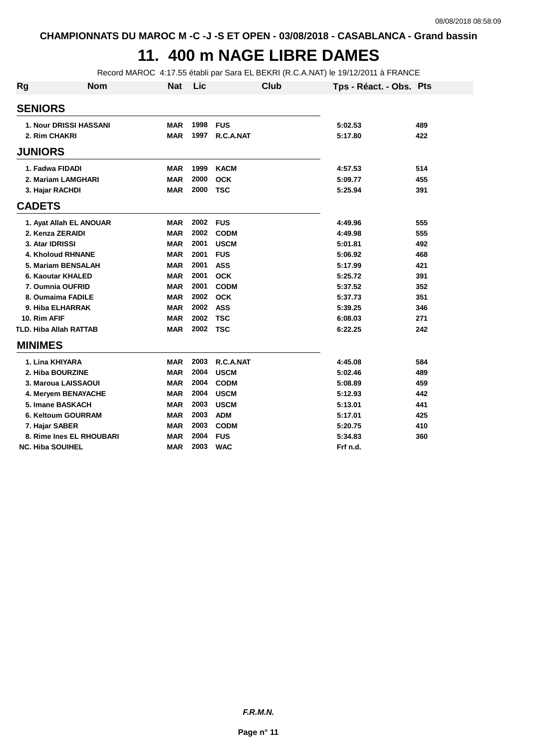## **11. 400 m NAGE LIBRE DAMES**

Record MAROC 4:17.55 établi par Sara EL BEKRI (R.C.A.NAT) le 19/12/2011 à FRANCE

| Rg             | <b>Nom</b>                    | <b>Nat</b> | Lic  | Club        | Tps - Réact. - Obs. Pts |     |
|----------------|-------------------------------|------------|------|-------------|-------------------------|-----|
| <b>SENIORS</b> |                               |            |      |             |                         |     |
|                | <b>1. Nour DRISSI HASSANI</b> | <b>MAR</b> | 1998 | <b>FUS</b>  | 5:02.53                 | 489 |
|                | 2. Rim CHAKRI                 | <b>MAR</b> | 1997 | R.C.A.NAT   | 5:17.80                 | 422 |
| <b>JUNIORS</b> |                               |            |      |             |                         |     |
|                | 1. Fadwa FIDADI               | <b>MAR</b> | 1999 | <b>KACM</b> | 4:57.53                 | 514 |
|                | 2. Mariam LAMGHARI            | <b>MAR</b> | 2000 | <b>OCK</b>  | 5:09.77                 | 455 |
|                | 3. Hajar RACHDI               | <b>MAR</b> | 2000 | <b>TSC</b>  | 5:25.94                 | 391 |
| <b>CADETS</b>  |                               |            |      |             |                         |     |
|                | 1. Ayat Allah EL ANOUAR       | <b>MAR</b> | 2002 | <b>FUS</b>  | 4:49.96                 | 555 |
|                | 2. Kenza ZERAIDI              | <b>MAR</b> | 2002 | <b>CODM</b> | 4:49.98                 | 555 |
|                | 3. Atar IDRISSI               | <b>MAR</b> | 2001 | <b>USCM</b> | 5:01.81                 | 492 |
|                | <b>4. Kholoud RHNANE</b>      | <b>MAR</b> | 2001 | <b>FUS</b>  | 5:06.92                 | 468 |
|                | 5. Mariam BENSALAH            | <b>MAR</b> | 2001 | <b>ASS</b>  | 5:17.99                 | 421 |
|                | 6. Kaoutar KHALED             | <b>MAR</b> | 2001 | <b>OCK</b>  | 5:25.72                 | 391 |
|                | 7. Oumnia OUFRID              | <b>MAR</b> | 2001 | <b>CODM</b> | 5:37.52                 | 352 |
|                | 8. Oumaima FADILE             | <b>MAR</b> | 2002 | <b>OCK</b>  | 5:37.73                 | 351 |
|                | 9. Hiba ELHARRAK              | <b>MAR</b> | 2002 | <b>ASS</b>  | 5:39.25                 | 346 |
| 10. Rim AFIF   |                               | <b>MAR</b> | 2002 | <b>TSC</b>  | 6:08.03                 | 271 |
|                | <b>TLD. Hiba Allah RATTAB</b> | <b>MAR</b> | 2002 | <b>TSC</b>  | 6:22.25                 | 242 |
| <b>MINIMES</b> |                               |            |      |             |                         |     |
|                | 1. Lina KHIYARA               | <b>MAR</b> | 2003 | R.C.A.NAT   | 4:45.08                 | 584 |
|                | 2. Hiba BOURZINE              | <b>MAR</b> | 2004 | <b>USCM</b> | 5:02.46                 | 489 |
|                | 3. Maroua LAISSAOUI           | <b>MAR</b> | 2004 | <b>CODM</b> | 5:08.89                 | 459 |
|                | 4. Meryem BENAYACHE           | <b>MAR</b> | 2004 | <b>USCM</b> | 5:12.93                 | 442 |
|                | 5. Imane BASKACH              | <b>MAR</b> | 2003 | <b>USCM</b> | 5:13.01                 | 441 |
|                | 6. Keltoum GOURRAM            | <b>MAR</b> | 2003 | <b>ADM</b>  | 5:17.01                 | 425 |
|                | 7. Hajar SABER                | <b>MAR</b> | 2003 | <b>CODM</b> | 5:20.75                 | 410 |
|                | 8. Rime Ines EL RHOUBARI      | <b>MAR</b> | 2004 | <b>FUS</b>  | 5:34.83                 | 360 |
|                | <b>NC. Hiba SOUIHEL</b>       | <b>MAR</b> | 2003 | <b>WAC</b>  | Frf n.d.                |     |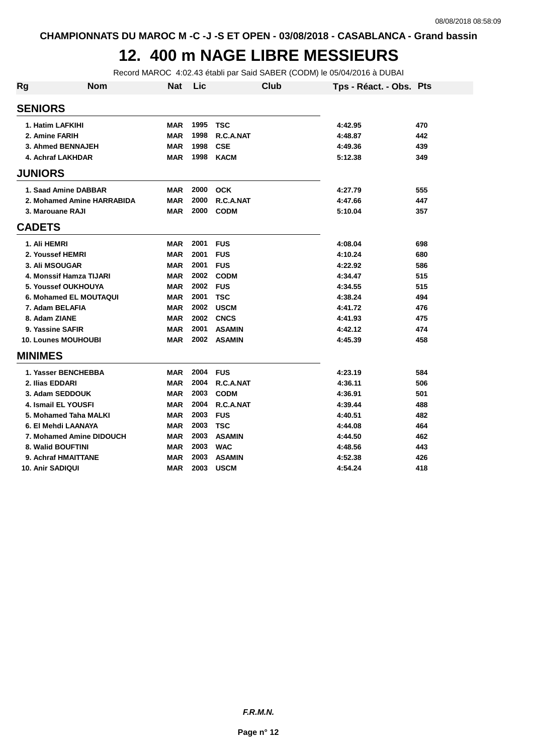#### **12. 400 m NAGE LIBRE MESSIEURS**

Record MAROC 4:02.43 établi par Said SABER (CODM) le 05/04/2016 à DUBAI

| <b>Rg</b>               | <b>Nom</b>                 | <b>Nat</b> | Lic  | <b>Club</b>   | Tps - Réact. - Obs. Pts |     |
|-------------------------|----------------------------|------------|------|---------------|-------------------------|-----|
| <b>SENIORS</b>          |                            |            |      |               |                         |     |
|                         | 1. Hatim LAFKIHI           | <b>MAR</b> | 1995 | <b>TSC</b>    | 4:42.95                 | 470 |
|                         | 2. Amine FARIH             | <b>MAR</b> | 1998 | R.C.A.NAT     | 4:48.87                 | 442 |
|                         | 3. Ahmed BENNAJEH          | <b>MAR</b> | 1998 | <b>CSE</b>    | 4:49.36                 | 439 |
|                         | 4. Achraf LAKHDAR          | <b>MAR</b> | 1998 | <b>KACM</b>   | 5:12.38                 | 349 |
| <b>JUNIORS</b>          |                            |            |      |               |                         |     |
|                         | 1. Saad Amine DABBAR       | <b>MAR</b> | 2000 | <b>OCK</b>    | 4:27.79                 | 555 |
|                         | 2. Mohamed Amine HARRABIDA | <b>MAR</b> | 2000 | R.C.A.NAT     | 4:47.66                 | 447 |
|                         | 3. Marouane RAJI           | <b>MAR</b> | 2000 | <b>CODM</b>   | 5:10.04                 | 357 |
| <b>CADETS</b>           |                            |            |      |               |                         |     |
| 1. Ali HEMRI            |                            | <b>MAR</b> | 2001 | <b>FUS</b>    | 4:08.04                 | 698 |
|                         | 2. Youssef HEMRI           | <b>MAR</b> | 2001 | <b>FUS</b>    | 4:10.24                 | 680 |
|                         | <b>3. Ali MSOUGAR</b>      | <b>MAR</b> | 2001 | <b>FUS</b>    | 4:22.92                 | 586 |
|                         | 4. Monssif Hamza TIJARI    | <b>MAR</b> | 2002 | <b>CODM</b>   | 4:34.47                 | 515 |
|                         | 5. Youssef OUKHOUYA        | <b>MAR</b> | 2002 | <b>FUS</b>    | 4:34.55                 | 515 |
|                         | 6. Mohamed EL MOUTAQUI     | <b>MAR</b> | 2001 | <b>TSC</b>    | 4:38.24                 | 494 |
|                         | 7. Adam BELAFIA            | <b>MAR</b> | 2002 | <b>USCM</b>   | 4:41.72                 | 476 |
| 8. Adam ZIANE           |                            | <b>MAR</b> | 2002 | <b>CNCS</b>   | 4:41.93                 | 475 |
|                         | 9. Yassine SAFIR           | <b>MAR</b> | 2001 | <b>ASAMIN</b> | 4:42.12                 | 474 |
|                         | <b>10. Lounes MOUHOUBI</b> | <b>MAR</b> | 2002 | <b>ASAMIN</b> | 4:45.39                 | 458 |
| <b>MINIMES</b>          |                            |            |      |               |                         |     |
|                         | 1. Yasser BENCHEBBA        | MAR        | 2004 | <b>FUS</b>    | 4:23.19                 | 584 |
| 2. Ilias EDDARI         |                            | <b>MAR</b> | 2004 | R.C.A.NAT     | 4:36.11                 | 506 |
|                         | 3. Adam SEDDOUK            | <b>MAR</b> | 2003 | <b>CODM</b>   | 4:36.91                 | 501 |
|                         | 4. Ismail EL YOUSFI        | <b>MAR</b> | 2004 | R.C.A.NAT     | 4:39.44                 | 488 |
|                         | 5. Mohamed Taha MALKI      | <b>MAR</b> | 2003 | <b>FUS</b>    | 4:40.51                 | 482 |
|                         | 6. El Mehdi LAANAYA        | MAR        | 2003 | <b>TSC</b>    | 4:44.08                 | 464 |
|                         | 7. Mohamed Amine DIDOUCH   | <b>MAR</b> | 2003 | <b>ASAMIN</b> | 4:44.50                 | 462 |
|                         | 8. Walid BOUFTINI          | <b>MAR</b> | 2003 | <b>WAC</b>    | 4:48.56                 | 443 |
|                         | 9. Achraf HMAITTANE        | <b>MAR</b> | 2003 | <b>ASAMIN</b> | 4:52.38                 | 426 |
| <b>10. Anir SADIQUI</b> |                            | <b>MAR</b> | 2003 | <b>USCM</b>   | 4:54.24                 | 418 |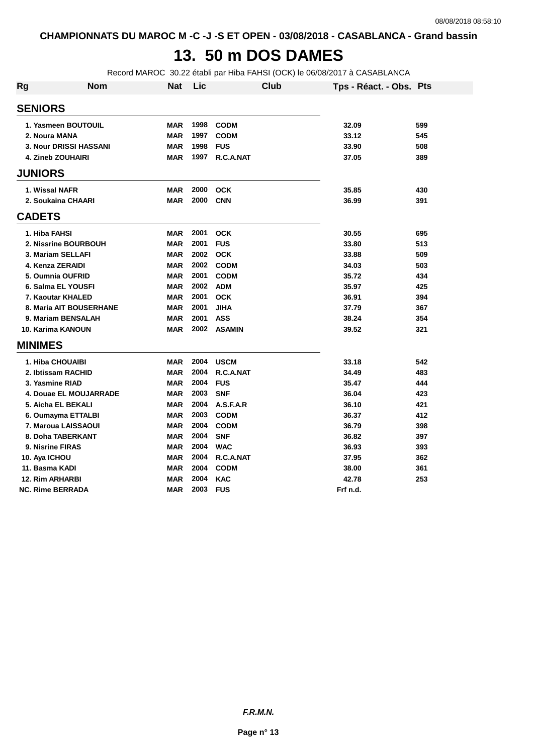# **13. 50 m DOS DAMES**

Record MAROC 30.22 établi par Hiba FAHSI (OCK) le 06/08/2017 à CASABLANCA

| Rg | <b>Nom</b>               | <b>Nat</b> | Lic  | <b>Club</b>   | Tps - Réact. - Obs. Pts |     |
|----|--------------------------|------------|------|---------------|-------------------------|-----|
|    | <b>SENIORS</b>           |            |      |               |                         |     |
|    | 1. Yasmeen BOUTOUIL      | <b>MAR</b> | 1998 | <b>CODM</b>   | 32.09                   | 599 |
|    | 2. Noura MANA            | <b>MAR</b> | 1997 | <b>CODM</b>   | 33.12                   | 545 |
|    | 3. Nour DRISSI HASSANI   | <b>MAR</b> | 1998 | <b>FUS</b>    | 33.90                   | 508 |
|    | <b>4. Zineb ZOUHAIRI</b> | <b>MAR</b> | 1997 | R.C.A.NAT     | 37.05                   | 389 |
|    | <b>JUNIORS</b>           |            |      |               |                         |     |
|    | 1. Wissal NAFR           | <b>MAR</b> | 2000 | <b>OCK</b>    | 35.85                   | 430 |
|    | 2. Soukaina CHAARI       | <b>MAR</b> | 2000 | <b>CNN</b>    | 36.99                   | 391 |
|    | <b>CADETS</b>            |            |      |               |                         |     |
|    | 1. Hiba FAHSI            | <b>MAR</b> | 2001 | <b>OCK</b>    | 30.55                   | 695 |
|    | 2. Nissrine BOURBOUH     | <b>MAR</b> | 2001 | <b>FUS</b>    | 33.80                   | 513 |
|    | 3. Mariam SELLAFI        | <b>MAR</b> | 2002 | <b>OCK</b>    | 33.88                   | 509 |
|    | 4. Kenza ZERAIDI         | <b>MAR</b> | 2002 | <b>CODM</b>   | 34.03                   | 503 |
|    | 5. Oumnia OUFRID         | <b>MAR</b> | 2001 | <b>CODM</b>   | 35.72                   | 434 |
|    | 6. Salma EL YOUSFI       | <b>MAR</b> | 2002 | <b>ADM</b>    | 35.97                   | 425 |
|    | 7. Kaoutar KHALED        | <b>MAR</b> | 2001 | <b>OCK</b>    | 36.91                   | 394 |
|    | 8. Maria AIT BOUSERHANE  | <b>MAR</b> | 2001 | <b>JIHA</b>   | 37.79                   | 367 |
|    | 9. Mariam BENSALAH       | <b>MAR</b> | 2001 | <b>ASS</b>    | 38.24                   | 354 |
|    | <b>10. Karima KANOUN</b> | <b>MAR</b> | 2002 | <b>ASAMIN</b> | 39.52                   | 321 |
|    | <b>MINIMES</b>           |            |      |               |                         |     |
|    | 1. Hiba CHOUAIBI         | <b>MAR</b> | 2004 | <b>USCM</b>   | 33.18                   | 542 |
|    | 2. Ibtissam RACHID       | <b>MAR</b> | 2004 | R.C.A.NAT     | 34.49                   | 483 |
|    | 3. Yasmine RIAD          | <b>MAR</b> | 2004 | <b>FUS</b>    | 35.47                   | 444 |
|    | 4. Douae EL MOUJARRADE   | <b>MAR</b> | 2003 | <b>SNF</b>    | 36.04                   | 423 |
|    | 5. Aicha EL BEKALI       | <b>MAR</b> | 2004 | A.S.F.A.R     | 36.10                   | 421 |
|    | 6. Oumayma ETTALBI       | <b>MAR</b> | 2003 | <b>CODM</b>   | 36.37                   | 412 |
|    | 7. Maroua LAISSAOUI      | <b>MAR</b> | 2004 | <b>CODM</b>   | 36.79                   | 398 |
|    | 8. Doha TABERKANT        | <b>MAR</b> | 2004 | <b>SNF</b>    | 36.82                   | 397 |
|    | <b>9. Nisrine FIRAS</b>  | <b>MAR</b> | 2004 | <b>WAC</b>    | 36.93                   | 393 |
|    | 10. Aya ICHOU            | <b>MAR</b> | 2004 | R.C.A.NAT     | 37.95                   | 362 |
|    | 11. Basma KADI           | <b>MAR</b> | 2004 | <b>CODM</b>   | 38.00                   | 361 |
|    | <b>12. Rim ARHARBI</b>   | <b>MAR</b> | 2004 | <b>KAC</b>    | 42.78                   | 253 |
|    | <b>NC. Rime BERRADA</b>  | <b>MAR</b> | 2003 | <b>FUS</b>    | Frf n.d.                |     |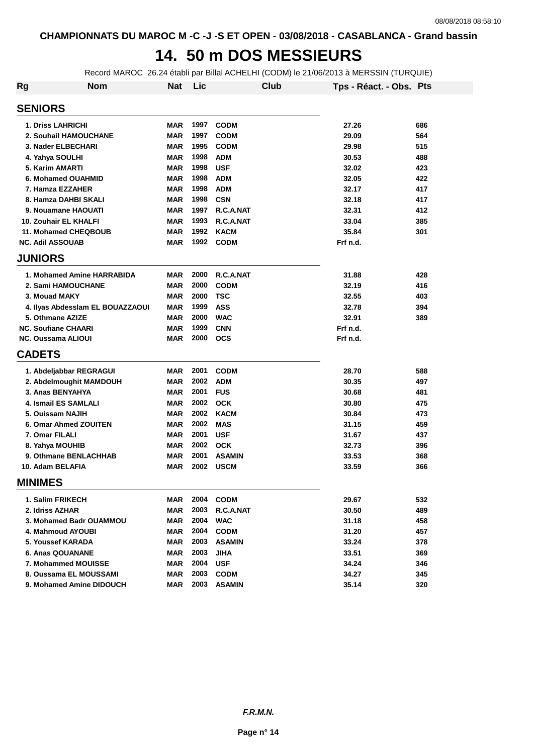## **14. 50 m DOS MESSIEURS**

Record MAROC 26.24 établi par Billal ACHELHI (CODM) le 21/06/2013 à MERSSIN (TURQUIE)

| Rg             | <b>Nom</b>                       | <b>Nat</b> | Lic  |               | Club | Tps - Réact. - Obs. Pts |     |
|----------------|----------------------------------|------------|------|---------------|------|-------------------------|-----|
| <b>SENIORS</b> |                                  |            |      |               |      |                         |     |
|                | <b>1. Driss LAHRICHI</b>         | <b>MAR</b> | 1997 | <b>CODM</b>   |      | 27.26                   | 686 |
|                | 2. Souhail HAMOUCHANE            | <b>MAR</b> | 1997 | <b>CODM</b>   |      | 29.09                   | 564 |
|                | 3. Nader ELBECHARI               | <b>MAR</b> | 1995 | <b>CODM</b>   |      | 29.98                   | 515 |
|                | 4. Yahya SOULHI                  | <b>MAR</b> | 1998 | <b>ADM</b>    |      | 30.53                   | 488 |
|                | 5. Karim AMARTI                  | <b>MAR</b> | 1998 | <b>USF</b>    |      | 32.02                   | 423 |
|                | 6. Mohamed OUAHMID               | <b>MAR</b> | 1998 | <b>ADM</b>    |      | 32.05                   | 422 |
|                | 7. Hamza EZZAHER                 | <b>MAR</b> | 1998 | <b>ADM</b>    |      | 32.17                   | 417 |
|                | 8. Hamza DAHBI SKALI             | <b>MAR</b> | 1998 | <b>CSN</b>    |      | 32.18                   | 417 |
|                | 9. Nouamane HAOUATI              | <b>MAR</b> | 1997 | R.C.A.NAT     |      | 32.31                   | 412 |
|                | 10. Zouhair EL KHALFI            | <b>MAR</b> | 1993 | R.C.A.NAT     |      | 33.04                   | 385 |
|                | 11. Mohamed CHEQBOUB             | <b>MAR</b> | 1992 | <b>KACM</b>   |      | 35.84                   | 301 |
|                | <b>NC. Adil ASSOUAB</b>          | <b>MAR</b> | 1992 | <b>CODM</b>   |      | Frf n.d.                |     |
| <b>JUNIORS</b> |                                  |            |      |               |      |                         |     |
|                | 1. Mohamed Amine HARRABIDA       | <b>MAR</b> | 2000 | R.C.A.NAT     |      | 31.88                   | 428 |
|                | 2. Sami HAMOUCHANE               | <b>MAR</b> | 2000 | <b>CODM</b>   |      | 32.19                   | 416 |
|                | 3. Mouad MAKY                    | <b>MAR</b> | 2000 | <b>TSC</b>    |      | 32.55                   | 403 |
|                | 4. Ilyas Abdesslam EL BOUAZZAOUI | <b>MAR</b> | 1999 | <b>ASS</b>    |      | 32.78                   | 394 |
|                | 5. Othmane AZIZE                 | <b>MAR</b> | 2000 | <b>WAC</b>    |      | 32.91                   | 389 |
|                | <b>NC. Soufiane CHAARI</b>       | <b>MAR</b> | 1999 | <b>CNN</b>    |      | Frf n.d.                |     |
|                | <b>NC. Oussama ALIOUI</b>        | <b>MAR</b> | 2000 | <b>OCS</b>    |      | Frf n.d.                |     |
| <b>CADETS</b>  |                                  |            |      |               |      |                         |     |
|                | 1. Abdeljabbar REGRAGUI          | MAR        | 2001 | <b>CODM</b>   |      | 28.70                   | 588 |
|                | 2. Abdelmoughit MAMDOUH          | <b>MAR</b> | 2002 | <b>ADM</b>    |      | 30.35                   | 497 |
|                | 3. Anas BENYAHYA                 | <b>MAR</b> | 2001 | <b>FUS</b>    |      | 30.68                   | 481 |
|                | 4. Ismail ES SAMLALI             | <b>MAR</b> | 2002 | <b>OCK</b>    |      | 30.80                   | 475 |
|                | 5. Ouissam NAJIH                 | <b>MAR</b> | 2002 | <b>KACM</b>   |      | 30.84                   | 473 |
|                | 6. Omar Ahmed ZOUITEN            | MAR        | 2002 | <b>MAS</b>    |      | 31.15                   | 459 |
| 7. Omar FILALI |                                  | <b>MAR</b> | 2001 | <b>USF</b>    |      | 31.67                   | 437 |
|                | 8. Yahya MOUHIB                  | <b>MAR</b> | 2002 | <b>OCK</b>    |      | 32.73                   | 396 |
|                | 9. Othmane BENLACHHAB            | <b>MAR</b> | 2001 | <b>ASAMIN</b> |      | 33.53                   | 368 |
|                | 10. Adam BELAFIA                 | <b>MAR</b> | 2002 | <b>USCM</b>   |      | 33.59                   | 366 |
| <b>MINIMES</b> |                                  |            |      |               |      |                         |     |
|                | 1. Salim FRIKECH                 | MAR        | 2004 | <b>CODM</b>   |      | 29.67                   | 532 |
|                | 2. Idriss AZHAR                  | MAR        | 2003 | R.C.A.NAT     |      | 30.50                   | 489 |
|                | 3. Mohamed Badr OUAMMOU          | MAR        | 2004 | <b>WAC</b>    |      | 31.18                   | 458 |
|                | 4. Mahmoud AYOUBI                | MAR        | 2004 | <b>CODM</b>   |      | 31.20                   | 457 |
|                | 5. Youssef KARADA                | MAR        | 2003 | <b>ASAMIN</b> |      | 33.24                   | 378 |
|                | <b>6. Anas QOUANANE</b>          | MAR        | 2003 | <b>JIHA</b>   |      | 33.51                   | 369 |
|                | 7. Mohammed MOUISSE              | MAR        | 2004 | <b>USF</b>    |      | 34.24                   | 346 |
|                | 8. Oussama EL MOUSSAMI           | MAR        | 2003 | <b>CODM</b>   |      | 34.27                   | 345 |
|                | 9. Mohamed Amine DIDOUCH         | <b>MAR</b> | 2003 | <b>ASAMIN</b> |      | 35.14                   | 320 |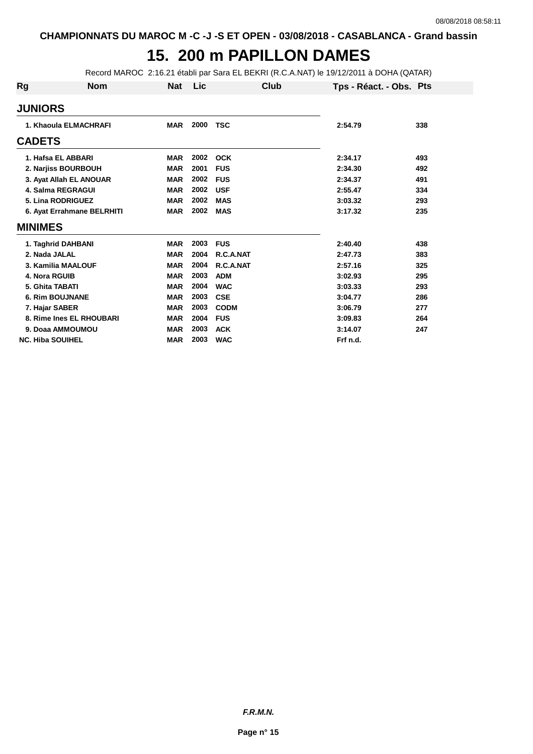# **15. 200 m PAPILLON DAMES**

Record MAROC 2:16.21 établi par Sara EL BEKRI (R.C.A.NAT) le 19/12/2011 à DOHA (QATAR)

| Rg             | <b>Nom</b>                 | <b>Nat</b> | Lic  | Club        | Tps - Réact. - Obs. Pts |     |
|----------------|----------------------------|------------|------|-------------|-------------------------|-----|
| <b>JUNIORS</b> |                            |            |      |             |                         |     |
|                | 1. Khaoula ELMACHRAFI      | <b>MAR</b> | 2000 | <b>TSC</b>  | 2:54.79                 | 338 |
| <b>CADETS</b>  |                            |            |      |             |                         |     |
|                | 1. Hafsa EL ABBARI         | <b>MAR</b> | 2002 | <b>OCK</b>  | 2:34.17                 | 493 |
|                | 2. Narjiss BOURBOUH        | <b>MAR</b> | 2001 | <b>FUS</b>  | 2:34.30                 | 492 |
|                | 3. Ayat Allah EL ANOUAR    | <b>MAR</b> | 2002 | <b>FUS</b>  | 2:34.37                 | 491 |
|                | <b>4. Salma REGRAGUI</b>   | <b>MAR</b> | 2002 | <b>USF</b>  | 2:55.47                 | 334 |
|                | 5. Lina RODRIGUEZ          | <b>MAR</b> | 2002 | <b>MAS</b>  | 3:03.32                 | 293 |
|                | 6. Ayat Errahmane BELRHITI | <b>MAR</b> | 2002 | <b>MAS</b>  | 3:17.32                 | 235 |
| <b>MINIMES</b> |                            |            |      |             |                         |     |
|                | 1. Taghrid DAHBANI         | <b>MAR</b> | 2003 | <b>FUS</b>  | 2:40.40                 | 438 |
|                | 2. Nada JALAL              | <b>MAR</b> | 2004 | R.C.A.NAT   | 2:47.73                 | 383 |
|                | 3. Kamilia MAALOUF         | <b>MAR</b> | 2004 | R.C.A.NAT   | 2:57.16                 | 325 |
|                | 4. Nora RGUIB              | <b>MAR</b> | 2003 | <b>ADM</b>  | 3:02.93                 | 295 |
|                | 5. Ghita TABATI            | <b>MAR</b> | 2004 | <b>WAC</b>  | 3:03.33                 | 293 |
|                | <b>6. Rim BOUJNANE</b>     | <b>MAR</b> | 2003 | <b>CSE</b>  | 3:04.77                 | 286 |
|                | 7. Hajar SABER             | <b>MAR</b> | 2003 | <b>CODM</b> | 3:06.79                 | 277 |
|                | 8. Rime Ines EL RHOUBARI   | <b>MAR</b> | 2004 | <b>FUS</b>  | 3:09.83                 | 264 |
|                | 9. Doaa AMMOUMOU           | <b>MAR</b> | 2003 | <b>ACK</b>  | 3:14.07                 | 247 |
|                | <b>NC. Hiba SOUIHEL</b>    | <b>MAR</b> | 2003 | <b>WAC</b>  | Frf n.d.                |     |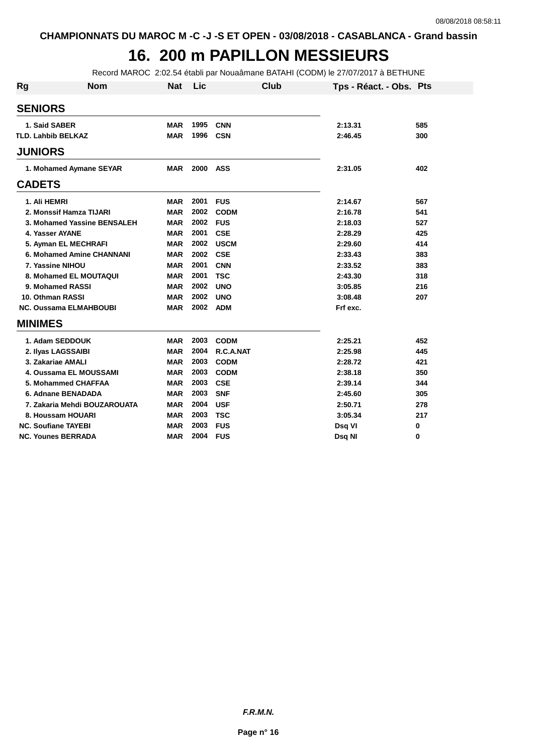### **16. 200 m PAPILLON MESSIEURS**

Record MAROC 2:02.54 établi par Nouaâmane BATAHI (CODM) le 27/07/2017 à BETHUNE

| <b>Rg</b>                 | <b>Nom</b>                       | <b>Nat</b> | Lic  | Club        | Tps - Réact. - Obs. Pts |     |
|---------------------------|----------------------------------|------------|------|-------------|-------------------------|-----|
| <b>SENIORS</b>            |                                  |            |      |             |                         |     |
| 1. Said SABER             |                                  | <b>MAR</b> | 1995 | <b>CNN</b>  | 2:13.31                 | 585 |
| <b>TLD. Lahbib BELKAZ</b> |                                  | <b>MAR</b> | 1996 | <b>CSN</b>  | 2:46.45                 | 300 |
| <b>JUNIORS</b>            |                                  |            |      |             |                         |     |
|                           | 1. Mohamed Aymane SEYAR          | <b>MAR</b> | 2000 | <b>ASS</b>  | 2:31.05                 | 402 |
| <b>CADETS</b>             |                                  |            |      |             |                         |     |
| 1. Ali HEMRI              |                                  | <b>MAR</b> | 2001 | <b>FUS</b>  | 2:14.67                 | 567 |
|                           | 2. Monssif Hamza TIJARI          | <b>MAR</b> | 2002 | <b>CODM</b> | 2:16.78                 | 541 |
|                           | 3. Mohamed Yassine BENSALEH      | <b>MAR</b> | 2002 | <b>FUS</b>  | 2:18.03                 | 527 |
|                           | 4. Yasser AYANE                  | <b>MAR</b> | 2001 | <b>CSE</b>  | 2:28.29                 | 425 |
|                           | 5. Ayman EL MECHRAFI             | <b>MAR</b> | 2002 | <b>USCM</b> | 2:29.60                 | 414 |
|                           | <b>6. Mohamed Amine CHANNANI</b> | <b>MAR</b> | 2002 | <b>CSE</b>  | 2:33.43                 | 383 |
|                           | 7. Yassine NIHOU                 | <b>MAR</b> | 2001 | <b>CNN</b>  | 2:33.52                 | 383 |
|                           | 8. Mohamed EL MOUTAQUI           | <b>MAR</b> | 2001 | <b>TSC</b>  | 2:43.30                 | 318 |
|                           | 9. Mohamed RASSI                 | <b>MAR</b> | 2002 | <b>UNO</b>  | 3:05.85                 | 216 |
|                           | 10. Othman RASSI                 | <b>MAR</b> | 2002 | <b>UNO</b>  | 3:08.48                 | 207 |
|                           | <b>NC. Oussama ELMAHBOUBI</b>    | <b>MAR</b> | 2002 | <b>ADM</b>  | Frf exc.                |     |
| <b>MINIMES</b>            |                                  |            |      |             |                         |     |
|                           | 1. Adam SEDDOUK                  | <b>MAR</b> | 2003 | <b>CODM</b> | 2:25.21                 | 452 |
|                           | 2. Ilyas LAGSSAIBI               | <b>MAR</b> | 2004 | R.C.A.NAT   | 2:25.98                 | 445 |
|                           | 3. Zakariae AMALI                | <b>MAR</b> | 2003 | <b>CODM</b> | 2:28.72                 | 421 |
|                           | 4. Oussama EL MOUSSAMI           | <b>MAR</b> | 2003 | <b>CODM</b> | 2:38.18                 | 350 |
|                           | 5. Mohammed CHAFFAA              | <b>MAR</b> | 2003 | <b>CSE</b>  | 2:39.14                 | 344 |
|                           | 6. Adnane BENADADA               | <b>MAR</b> | 2003 | <b>SNF</b>  | 2:45.60                 | 305 |
|                           | 7. Zakaria Mehdi BOUZAROUATA     | <b>MAR</b> | 2004 | <b>USF</b>  | 2:50.71                 | 278 |
|                           | 8. Houssam HOUARI                | <b>MAR</b> | 2003 | <b>TSC</b>  | 3:05.34                 | 217 |
|                           | <b>NC. Soufiane TAYEBI</b>       | <b>MAR</b> | 2003 | <b>FUS</b>  | Dsq VI                  | 0   |
|                           | <b>NC. Younes BERRADA</b>        | <b>MAR</b> | 2004 | <b>FUS</b>  | Dsq NI                  | 0   |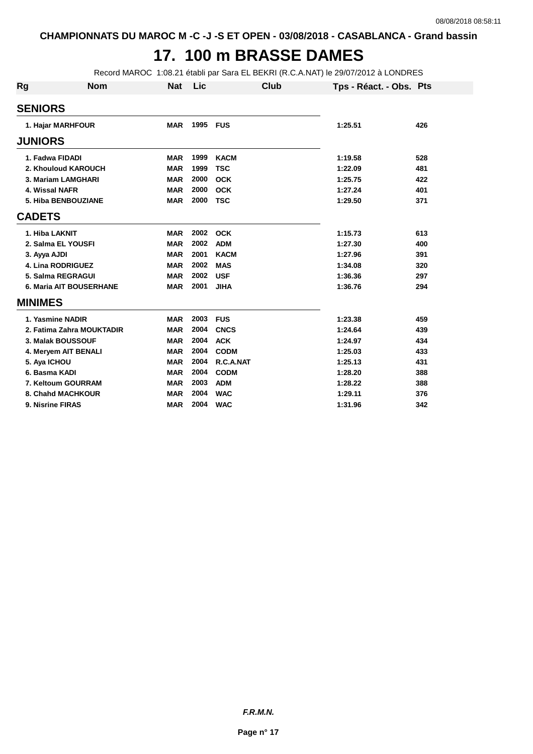# **17. 100 m BRASSE DAMES**

Record MAROC 1:08.21 établi par Sara EL BEKRI (R.C.A.NAT) le 29/07/2012 à LONDRES

| Rg               | <b>Nom</b>                     | <b>Nat</b> | Lic  | Club        | Tps - Réact. - Obs. Pts |     |
|------------------|--------------------------------|------------|------|-------------|-------------------------|-----|
| <b>SENIORS</b>   |                                |            |      |             |                         |     |
|                  | 1. Hajar MARHFOUR              | <b>MAR</b> | 1995 | <b>FUS</b>  | 1:25.51                 | 426 |
| <b>JUNIORS</b>   |                                |            |      |             |                         |     |
| 1. Fadwa FIDADI  |                                | <b>MAR</b> | 1999 | <b>KACM</b> | 1:19.58                 | 528 |
|                  | 2. Khouloud KAROUCH            | <b>MAR</b> | 1999 | <b>TSC</b>  | 1:22.09                 | 481 |
|                  | 3. Mariam LAMGHARI             | <b>MAR</b> | 2000 | <b>OCK</b>  | 1:25.75                 | 422 |
| 4. Wissal NAFR   |                                | <b>MAR</b> | 2000 | <b>OCK</b>  | 1:27.24                 | 401 |
|                  | 5. Hiba BENBOUZIANE            | <b>MAR</b> | 2000 | <b>TSC</b>  | 1:29.50                 | 371 |
| <b>CADETS</b>    |                                |            |      |             |                         |     |
| 1. Hiba LAKNIT   |                                | <b>MAR</b> | 2002 | <b>OCK</b>  | 1:15.73                 | 613 |
|                  | 2. Salma EL YOUSFI             | <b>MAR</b> | 2002 | <b>ADM</b>  | 1:27.30                 | 400 |
| 3. Ayya AJDI     |                                | <b>MAR</b> | 2001 | <b>KACM</b> | 1:27.96                 | 391 |
|                  | <b>4. Lina RODRIGUEZ</b>       | <b>MAR</b> | 2002 | <b>MAS</b>  | 1:34.08                 | 320 |
|                  | 5. Salma REGRAGUI              | <b>MAR</b> | 2002 | <b>USF</b>  | 1:36.36                 | 297 |
|                  | <b>6. Maria AIT BOUSERHANE</b> | <b>MAR</b> | 2001 | <b>JIHA</b> | 1:36.76                 | 294 |
| <b>MINIMES</b>   |                                |            |      |             |                         |     |
|                  | 1. Yasmine NADIR               | <b>MAR</b> | 2003 | <b>FUS</b>  | 1:23.38                 | 459 |
|                  | 2. Fatima Zahra MOUKTADIR      | <b>MAR</b> | 2004 | <b>CNCS</b> | 1:24.64                 | 439 |
|                  | 3. Malak BOUSSOUF              | <b>MAR</b> | 2004 | <b>ACK</b>  | 1:24.97                 | 434 |
|                  | 4. Meryem AIT BENALI           | <b>MAR</b> | 2004 | <b>CODM</b> | 1:25.03                 | 433 |
| 5. Aya ICHOU     |                                | <b>MAR</b> | 2004 | R.C.A.NAT   | 1:25.13                 | 431 |
| 6. Basma KADI    |                                | <b>MAR</b> | 2004 | <b>CODM</b> | 1:28.20                 | 388 |
|                  | 7. Keltoum GOURRAM             | <b>MAR</b> | 2003 | <b>ADM</b>  | 1:28.22                 | 388 |
|                  | 8. Chahd MACHKOUR              | <b>MAR</b> | 2004 | <b>WAC</b>  | 1:29.11                 | 376 |
| 9. Nisrine FIRAS |                                | <b>MAR</b> | 2004 | <b>WAC</b>  | 1:31.96                 | 342 |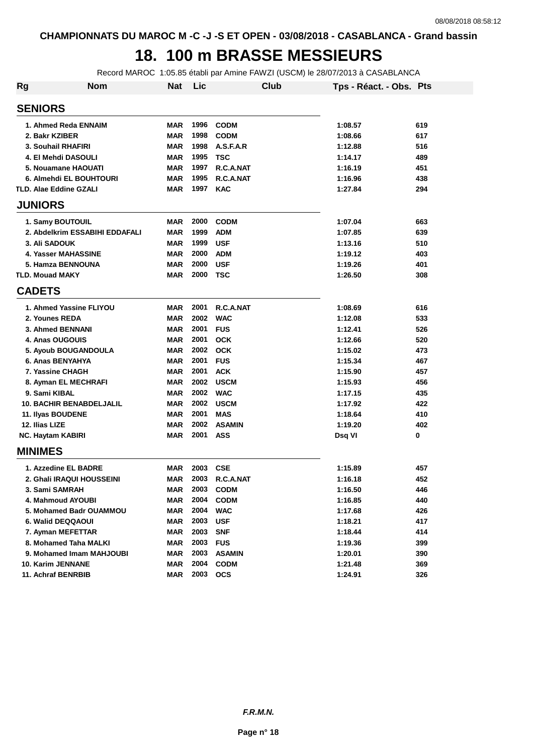### **18. 100 m BRASSE MESSIEURS**

Record MAROC 1:05.85 établi par Amine FAWZI (USCM) le 28/07/2013 à CASABLANCA

| Rg | <b>Nom</b>                      | Nat        | Lic  | <b>Club</b>   | Tps - Réact. - Obs. Pts |     |
|----|---------------------------------|------------|------|---------------|-------------------------|-----|
|    | <b>SENIORS</b>                  |            |      |               |                         |     |
|    | 1. Ahmed Reda ENNAIM            | MAR        | 1996 | <b>CODM</b>   | 1:08.57                 | 619 |
|    | 2. Bakr KZIBER                  | MAR        | 1998 | <b>CODM</b>   | 1:08.66                 | 617 |
|    | 3. Souhail RHAFIRI              | <b>MAR</b> | 1998 | A.S.F.A.R     | 1:12.88                 | 516 |
|    | 4. El Mehdi DASOULI             | <b>MAR</b> | 1995 | <b>TSC</b>    | 1:14.17                 | 489 |
|    | 5. Nouamane HAOUATI             | <b>MAR</b> | 1997 | R.C.A.NAT     | 1:16.19                 | 451 |
|    | 6. Almehdi EL BOUHTOURI         | <b>MAR</b> | 1995 | R.C.A.NAT     | 1:16.96                 | 438 |
|    | <b>TLD. Alae Eddine GZALI</b>   | <b>MAR</b> | 1997 | <b>KAC</b>    | 1:27.84                 | 294 |
|    | <b>JUNIORS</b>                  |            |      |               |                         |     |
|    | 1. Samy BOUTOUIL                | MAR        | 2000 | <b>CODM</b>   | 1:07.04                 | 663 |
|    | 2. Abdelkrim ESSABIHI EDDAFALI  | <b>MAR</b> | 1999 | <b>ADM</b>    | 1:07.85                 | 639 |
|    | <b>3. Ali SADOUK</b>            | <b>MAR</b> | 1999 | <b>USF</b>    | 1:13.16                 | 510 |
|    | 4. Yasser MAHASSINE             | <b>MAR</b> | 2000 | <b>ADM</b>    | 1:19.12                 | 403 |
|    | 5. Hamza BENNOUNA               | <b>MAR</b> | 2000 | <b>USF</b>    | 1:19.26                 | 401 |
|    | <b>TLD. Mouad MAKY</b>          | <b>MAR</b> | 2000 | <b>TSC</b>    | 1:26.50                 | 308 |
|    | <b>CADETS</b>                   |            |      |               |                         |     |
|    | 1. Ahmed Yassine FLIYOU         | MAR        | 2001 | R.C.A.NAT     | 1:08.69                 | 616 |
|    | 2. Younes REDA                  | <b>MAR</b> | 2002 | <b>WAC</b>    | 1:12.08                 | 533 |
|    | 3. Ahmed BENNANI                | MAR        | 2001 | <b>FUS</b>    | 1:12.41                 | 526 |
|    | 4. Anas OUGOUIS                 | <b>MAR</b> | 2001 | <b>OCK</b>    | 1:12.66                 | 520 |
|    | 5. Ayoub BOUGANDOULA            | <b>MAR</b> | 2002 | <b>OCK</b>    | 1:15.02                 | 473 |
|    | 6. Anas BENYAHYA                | <b>MAR</b> | 2001 | <b>FUS</b>    | 1:15.34                 | 467 |
|    | 7. Yassine CHAGH                | <b>MAR</b> | 2001 | <b>ACK</b>    | 1:15.90                 | 457 |
|    | 8. Ayman EL MECHRAFI            | <b>MAR</b> | 2002 | <b>USCM</b>   | 1:15.93                 | 456 |
|    | 9. Sami KIBAL                   | <b>MAR</b> | 2002 | <b>WAC</b>    | 1:17.15                 | 435 |
|    | <b>10. BACHIR BENABDELJALIL</b> | <b>MAR</b> | 2002 | <b>USCM</b>   | 1:17.92                 | 422 |
|    | 11. Ilyas BOUDENE               | <b>MAR</b> | 2001 | <b>MAS</b>    | 1:18.64                 | 410 |
|    | 12. Ilias LIZE                  | MAR        | 2002 | <b>ASAMIN</b> | 1:19.20                 | 402 |
|    | <b>NC. Haytam KABIRI</b>        | <b>MAR</b> | 2001 | <b>ASS</b>    | Dsq VI                  | 0   |
|    | <b>MINIMES</b>                  |            |      |               |                         |     |
|    | 1. Azzedine EL BADRE            | <b>MAR</b> | 2003 | <b>CSE</b>    | 1:15.89                 | 457 |
|    | 2. Ghali IRAQUI HOUSSEINI       | MAR        | 2003 | R.C.A.NAT     | 1:16.18                 | 452 |
|    | 3. Sami SAMRAH                  | MAR        | 2003 | <b>CODM</b>   | 1:16.50                 | 446 |
|    | 4. Mahmoud AYOUBI               | <b>MAR</b> | 2004 | <b>CODM</b>   | 1:16.85                 | 440 |
|    | 5. Mohamed Badr OUAMMOU         | <b>MAR</b> | 2004 | <b>WAC</b>    | 1:17.68                 | 426 |
|    | 6. Walid DEQQAOUI               | <b>MAR</b> | 2003 | <b>USF</b>    | 1:18.21                 | 417 |
|    | 7. Ayman MEFETTAR               | <b>MAR</b> | 2003 | <b>SNF</b>    | 1:18.44                 | 414 |
|    | 8. Mohamed Taha MALKI           | <b>MAR</b> | 2003 | <b>FUS</b>    | 1:19.36                 | 399 |
|    | 9. Mohamed Imam MAHJOUBI        | <b>MAR</b> | 2003 | <b>ASAMIN</b> | 1:20.01                 | 390 |
|    | 10. Karim JENNANE               | <b>MAR</b> | 2004 | <b>CODM</b>   | 1:21.48                 | 369 |
|    | 11. Achraf BENRBIB              | <b>MAR</b> | 2003 | <b>OCS</b>    | 1:24.91                 | 326 |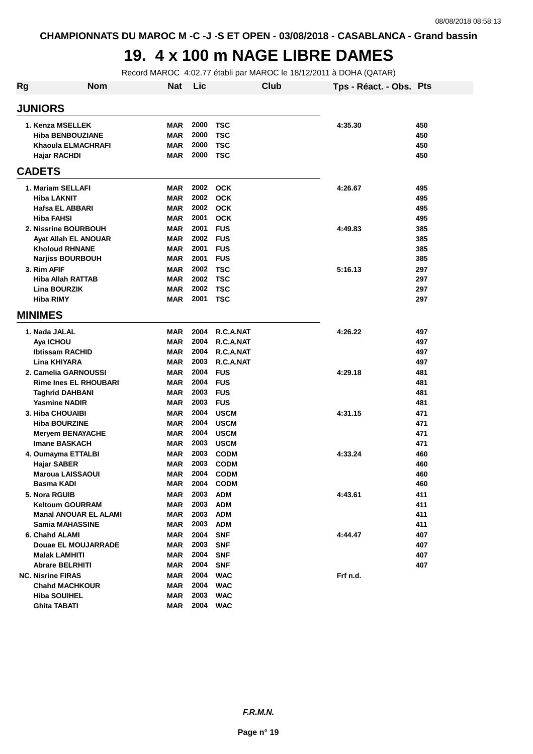# **19. 4 x 100 m NAGE LIBRE DAMES**

Record MAROC 4:02.77 établi par MAROC le 18/12/2011 à DOHA (QATAR)

| Rg | <b>Nom</b>                   | <b>Nat</b> | Lic      |             | Club | Tps - Réact. - Obs. Pts |     |
|----|------------------------------|------------|----------|-------------|------|-------------------------|-----|
|    | <b>JUNIORS</b>               |            |          |             |      |                         |     |
|    | 1. Kenza MSELLEK             | <b>MAR</b> | 2000     | <b>TSC</b>  |      | 4:35.30                 | 450 |
|    | <b>Hiba BENBOUZIANE</b>      | <b>MAR</b> | 2000     | <b>TSC</b>  |      |                         | 450 |
|    | Khaoula ELMACHRAFI           | <b>MAR</b> | 2000     | <b>TSC</b>  |      |                         | 450 |
|    | Hajar RACHDI                 | <b>MAR</b> | 2000     | <b>TSC</b>  |      |                         | 450 |
|    | <b>CADETS</b>                |            |          |             |      |                         |     |
|    | 1. Mariam SELLAFI            | <b>MAR</b> |          | 2002 OCK    |      | 4:26.67                 | 495 |
|    | <b>Hiba LAKNIT</b>           | <b>MAR</b> | 2002     | <b>OCK</b>  |      |                         | 495 |
|    | Hafsa EL ABBARI              | <b>MAR</b> | 2002     | <b>OCK</b>  |      |                         | 495 |
|    | <b>Hiba FAHSI</b>            | <b>MAR</b> | 2001     | <b>OCK</b>  |      |                         | 495 |
|    | 2. Nissrine BOURBOUH         | <b>MAR</b> | 2001     | <b>FUS</b>  |      | 4:49.83                 | 385 |
|    | Ayat Allah EL ANOUAR         | <b>MAR</b> | 2002     | <b>FUS</b>  |      |                         | 385 |
|    | <b>Kholoud RHNANE</b>        | <b>MAR</b> | 2001     | <b>FUS</b>  |      |                         | 385 |
|    | <b>Narjiss BOURBOUH</b>      | <b>MAR</b> | 2001     | <b>FUS</b>  |      |                         | 385 |
|    | 3. Rim AFIF                  | <b>MAR</b> | 2002     | <b>TSC</b>  |      | 5:16.13                 | 297 |
|    | <b>Hiba Allah RATTAB</b>     | <b>MAR</b> | 2002     | <b>TSC</b>  |      |                         | 297 |
|    | <b>Lina BOURZIK</b>          | <b>MAR</b> | 2002     | <b>TSC</b>  |      |                         | 297 |
|    | <b>Hiba RIMY</b>             | <b>MAR</b> | 2001     | <b>TSC</b>  |      |                         | 297 |
|    | <b>MINIMES</b>               |            |          |             |      |                         |     |
|    | 1. Nada JALAL                | <b>MAR</b> | 2004     | R.C.A.NAT   |      | 4:26.22                 | 497 |
|    | Aya ICHOU                    | <b>MAR</b> | 2004     | R.C.A.NAT   |      |                         | 497 |
|    | <b>Ibtissam RACHID</b>       | <b>MAR</b> | 2004     | R.C.A.NAT   |      |                         | 497 |
|    | Lina KHIYARA                 | <b>MAR</b> | 2003     | R.C.A.NAT   |      |                         | 497 |
|    | 2. Camelia GARNOUSSI         | <b>MAR</b> | 2004     | <b>FUS</b>  |      | 4:29.18                 | 481 |
|    | <b>Rime Ines EL RHOUBARI</b> | <b>MAR</b> | 2004     | <b>FUS</b>  |      |                         | 481 |
|    | Taghrid DAHBANI              | <b>MAR</b> | 2003     | <b>FUS</b>  |      |                         | 481 |
|    | <b>Yasmine NADIR</b>         | <b>MAR</b> | 2003     | <b>FUS</b>  |      |                         | 481 |
|    | <b>3. Hiba CHOUAIBI</b>      | <b>MAR</b> | 2004     | <b>USCM</b> |      | 4:31.15                 | 471 |
|    | <b>Hiba BOURZINE</b>         | <b>MAR</b> | 2004     | <b>USCM</b> |      |                         | 471 |
|    | <b>Meryem BENAYACHE</b>      | <b>MAR</b> | 2004     | <b>USCM</b> |      |                         | 471 |
|    | Imane BASKACH                | <b>MAR</b> | 2003     | <b>USCM</b> |      |                         | 471 |
|    | 4. Oumayma ETTALBI           | <b>MAR</b> | 2003     | <b>CODM</b> |      | 4:33.24                 | 460 |
|    | <b>Hajar SABER</b>           | <b>MAR</b> | 2003     | <b>CODM</b> |      |                         | 460 |
|    | Maroua LAISSAOUI             | <b>MAR</b> | 2004     | <b>CODM</b> |      |                         | 460 |
|    | Basma KADI                   | <b>MAR</b> |          | 2004 CODM   |      |                         | 460 |
|    | 5. Nora RGUIB                | MAR        |          | 2003 ADM    |      | 4:43.61                 | 411 |
|    | <b>Keltoum GOURRAM</b>       | <b>MAR</b> |          | 2003 ADM    |      |                         | 411 |
|    | <b>Manal ANOUAR EL ALAMI</b> | <b>MAR</b> |          | 2003 ADM    |      |                         | 411 |
|    | <b>Samia MAHASSINE</b>       | MAR        | 2003     | <b>ADM</b>  |      |                         | 411 |
|    | 6. Chahd ALAMI               | MAR        | 2004     | <b>SNF</b>  |      | 4:44.47                 | 407 |
|    | Douae EL MOUJARRADE          | <b>MAR</b> | 2003     | <b>SNF</b>  |      |                         | 407 |
|    | <b>Malak LAMHITI</b>         | <b>MAR</b> | 2004     | <b>SNF</b>  |      |                         | 407 |
|    | <b>Abrare BELRHITI</b>       | MAR        | 2004 SNF |             |      |                         | 407 |
|    | <b>NC. Nisrine FIRAS</b>     | MAR        |          | 2004 WAC    |      | Frf n.d.                |     |
|    | <b>Chahd MACHKOUR</b>        | MAR        |          | 2004 WAC    |      |                         |     |
|    | <b>Hiba SOUIHEL</b>          | <b>MAR</b> | 2003     | <b>WAC</b>  |      |                         |     |
|    | <b>Ghita TABATI</b>          | <b>MAR</b> |          | 2004 WAC    |      |                         |     |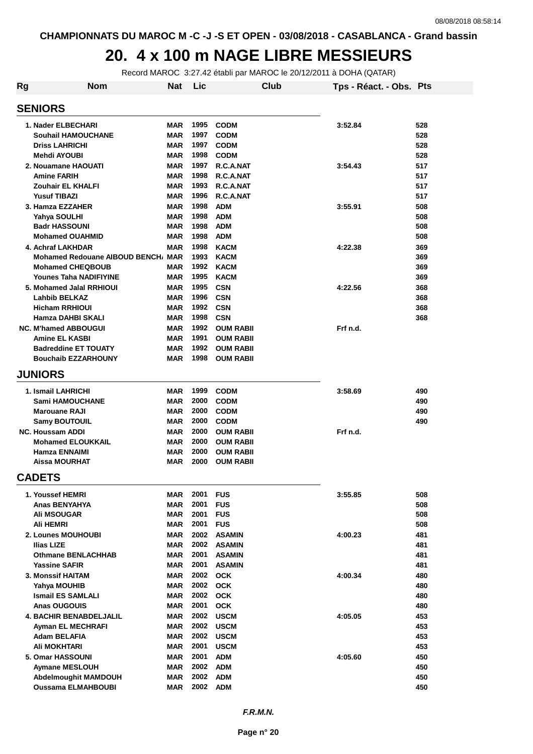#### **20. 4 x 100 m NAGE LIBRE MESSIEURS**

Record MAROC 3:27.42 établi par MAROC le 20/12/2011 à DOHA (QATAR)

| Rg                          | <b>Nom</b>                         | <b>Nat</b> | Lic  | <b>Club</b>      | Tps - Réact. - Obs. Pts |     |
|-----------------------------|------------------------------------|------------|------|------------------|-------------------------|-----|
| <b>SENIORS</b>              |                                    |            |      |                  |                         |     |
| 1. Nader ELBECHARI          |                                    | <b>MAR</b> | 1995 | <b>CODM</b>      | 3:52.84                 | 528 |
|                             | <b>Souhail HAMOUCHANE</b>          | MAR        | 1997 | <b>CODM</b>      |                         | 528 |
| <b>Driss LAHRICHI</b>       |                                    | MAR        | 1997 | <b>CODM</b>      |                         | 528 |
| <b>Mehdi AYOUBI</b>         |                                    | MAR        | 1998 | <b>CODM</b>      |                         | 528 |
| 2. Nouamane HAOUATI         |                                    | <b>MAR</b> | 1997 | R.C.A.NAT        | 3:54.43                 | 517 |
| <b>Amine FARIH</b>          |                                    | <b>MAR</b> | 1998 | R.C.A.NAT        |                         | 517 |
| Zouhair EL KHALFI           |                                    | MAR        | 1993 | R.C.A.NAT        |                         | 517 |
| <b>Yusuf TIBAZI</b>         |                                    | <b>MAR</b> | 1996 | R.C.A.NAT        |                         | 517 |
| 3. Hamza EZZAHER            |                                    | <b>MAR</b> | 1998 | <b>ADM</b>       | 3:55.91                 | 508 |
| Yahya SOULHI                |                                    | MAR        | 1998 | <b>ADM</b>       |                         | 508 |
| <b>Badr HASSOUNI</b>        |                                    | MAR        | 1998 | <b>ADM</b>       |                         | 508 |
| <b>Mohamed OUAHMID</b>      |                                    | MAR        | 1998 | <b>ADM</b>       |                         | 508 |
| 4. Achraf LAKHDAR           |                                    | MAR        | 1998 | <b>KACM</b>      | 4:22.38                 | 369 |
|                             | Mohamed Redouane AIBOUD BENCH, MAR |            | 1993 | <b>KACM</b>      |                         | 369 |
|                             | <b>Mohamed CHEQBOUB</b>            | MAR        | 1992 | <b>KACM</b>      |                         | 369 |
|                             | Younes Taha NADIFIYINE             | MAR        | 1995 | <b>KACM</b>      |                         | 369 |
|                             | 5. Mohamed Jalal RRHIOUI           | MAR        | 1995 | <b>CSN</b>       | 4:22.56                 | 368 |
| <b>Lahbib BELKAZ</b>        |                                    | MAR        | 1996 | <b>CSN</b>       |                         | 368 |
| <b>Hicham RRHIOUI</b>       |                                    | MAR        | 1992 | <b>CSN</b>       |                         | 368 |
| Hamza DAHBI SKALI           |                                    | MAR        | 1998 | <b>CSN</b>       |                         | 368 |
| <b>NC. M'hamed ABBOUGUI</b> |                                    | MAR        | 1992 | <b>OUM RABII</b> | Frf n.d.                |     |
| <b>Amine EL KASBI</b>       |                                    | <b>MAR</b> | 1991 | <b>OUM RABII</b> |                         |     |
|                             | <b>Badreddine ET TOUATY</b>        | MAR        | 1992 | <b>OUM RABII</b> |                         |     |
|                             | <b>Bouchaib EZZARHOUNY</b>         | MAR        | 1998 | <b>OUM RABII</b> |                         |     |
| <b>JUNIORS</b>              |                                    |            |      |                  |                         |     |
| 1. Ismail LAHRICHI          |                                    | MAR        | 1999 | <b>CODM</b>      | 3:58.69                 | 490 |
| <b>Sami HAMOUCHANE</b>      |                                    | MAR        | 2000 | <b>CODM</b>      |                         | 490 |
| <b>Marouane RAJI</b>        |                                    | MAR        | 2000 | <b>CODM</b>      |                         | 490 |
| <b>Samy BOUTOUIL</b>        |                                    | <b>MAR</b> | 2000 | <b>CODM</b>      |                         | 490 |
| <b>NC. Houssam ADDI</b>     |                                    | <b>MAR</b> | 2000 | <b>OUM RABII</b> | Frf n.d.                |     |
|                             | <b>Mohamed ELOUKKAIL</b>           | <b>MAR</b> | 2000 | <b>OUM RABII</b> |                         |     |
| Hamza ENNAIMI               |                                    | <b>MAR</b> | 2000 | <b>OUM RABII</b> |                         |     |
| <b>Aissa MOURHAT</b>        |                                    | MAR        | 2000 | <b>OUM RABII</b> |                         |     |
| <b>CADETS</b>               |                                    |            |      |                  |                         |     |
| 1. Youssef HEMRI            |                                    | MAR        | 2001 | <b>FUS</b>       | 3:55.85                 | 508 |
| <b>Anas BENYAHYA</b>        |                                    | MAR        | 2001 | <b>FUS</b>       |                         | 508 |
| <b>Ali MSOUGAR</b>          |                                    | <b>MAR</b> | 2001 | <b>FUS</b>       |                         | 508 |
| Ali HEMRI                   |                                    | MAR        | 2001 | <b>FUS</b>       |                         | 508 |
| 2. Lounes MOUHOUBI          |                                    | MAR        |      | 2002 ASAMIN      | 4:00.23                 | 481 |
| <b>Ilias LIZE</b>           |                                    | <b>MAR</b> | 2002 | <b>ASAMIN</b>    |                         | 481 |
|                             | <b>Othmane BENLACHHAB</b>          | <b>MAR</b> | 2001 | <b>ASAMIN</b>    |                         | 481 |
| <b>Yassine SAFIR</b>        |                                    | MAR        | 2001 | <b>ASAMIN</b>    |                         | 481 |
| 3. Monssif HAITAM           |                                    | MAR        |      | 2002 OCK         | 4:00.34                 | 480 |
| Yahya MOUHIB                |                                    | <b>MAR</b> |      | 2002 OCK         |                         | 480 |
| <b>Ismail ES SAMLALI</b>    |                                    | MAR        |      | 2002 OCK         |                         | 480 |
| Anas OUGOUIS                |                                    | MAR        | 2001 | <b>OCK</b>       |                         | 480 |
|                             | <b>4. BACHIR BENABDELJALIL</b>     | MAR        | 2002 | <b>USCM</b>      | 4:05.05                 | 453 |
| Ayman EL MECHRAFI           |                                    | MAR        |      | 2002 USCM        |                         | 453 |
| <b>Adam BELAFIA</b>         |                                    | MAR        |      | 2002 USCM        |                         | 453 |
| Ali MOKHTARI                |                                    | <b>MAR</b> | 2001 | <b>USCM</b>      |                         | 453 |
| 5. Omar HASSOUNI            |                                    | MAR        | 2001 | <b>ADM</b>       | 4:05.60                 | 450 |
| <b>Aymane MESLOUH</b>       |                                    | MAR        |      | 2002 ADM         |                         | 450 |
|                             | <b>Abdelmoughit MAMDOUH</b>        | MAR        | 2002 | <b>ADM</b>       |                         | 450 |
|                             | <b>Oussama ELMAHBOUBI</b>          | MAR        |      | 2002 ADM         |                         | 450 |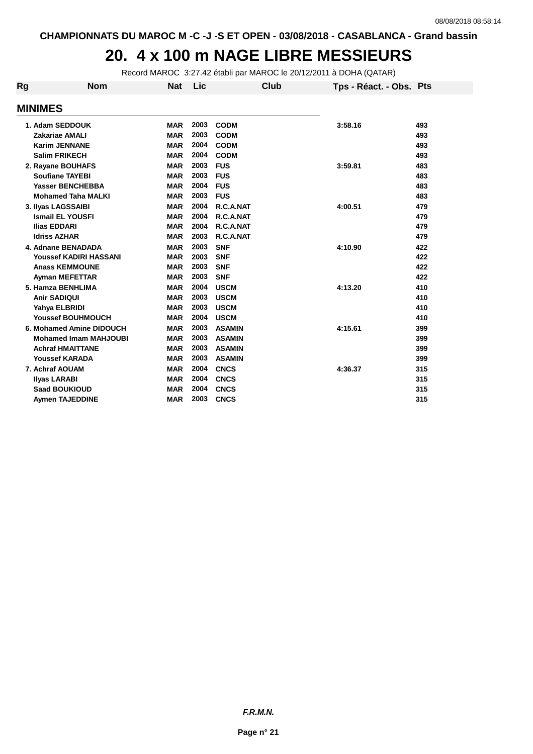#### **20. 4 x 100 m NAGE LIBRE MESSIEURS**

Record MAROC 3:27.42 établi par MAROC le 20/12/2011 à DOHA (QATAR)

| Rg | <b>Nom</b>                    | <b>Nat</b> | Lic  | Club          | Tps - Réact. - Obs. Pts |     |
|----|-------------------------------|------------|------|---------------|-------------------------|-----|
|    | <b>MINIMES</b>                |            |      |               |                         |     |
|    | 1. Adam SEDDOUK               | <b>MAR</b> | 2003 | <b>CODM</b>   | 3:58.16                 | 493 |
|    | <b>Zakariae AMALI</b>         | <b>MAR</b> | 2003 | <b>CODM</b>   |                         | 493 |
|    | <b>Karim JENNANE</b>          | <b>MAR</b> | 2004 | <b>CODM</b>   |                         | 493 |
|    | <b>Salim FRIKECH</b>          | <b>MAR</b> | 2004 | <b>CODM</b>   |                         | 493 |
|    | 2. Rayane BOUHAFS             | <b>MAR</b> | 2003 | <b>FUS</b>    | 3:59.81                 | 483 |
|    | <b>Soufiane TAYEBI</b>        | <b>MAR</b> | 2003 | <b>FUS</b>    |                         | 483 |
|    | <b>Yasser BENCHEBBA</b>       | <b>MAR</b> | 2004 | <b>FUS</b>    |                         | 483 |
|    | <b>Mohamed Taha MALKI</b>     | <b>MAR</b> | 2003 | <b>FUS</b>    |                         | 483 |
|    | 3. Ilyas LAGSSAIBI            | <b>MAR</b> | 2004 | R.C.A.NAT     | 4:00.51                 | 479 |
|    | <b>Ismail EL YOUSFI</b>       | <b>MAR</b> | 2004 | R.C.A.NAT     |                         | 479 |
|    | <b>Ilias EDDARI</b>           | <b>MAR</b> | 2004 | R.C.A.NAT     |                         | 479 |
|    | <b>Idriss AZHAR</b>           | <b>MAR</b> | 2003 | R.C.A.NAT     |                         | 479 |
|    | 4. Adnane BENADADA            | <b>MAR</b> | 2003 | <b>SNF</b>    | 4:10.90                 | 422 |
|    | <b>Youssef KADIRI HASSANI</b> | <b>MAR</b> | 2003 | <b>SNF</b>    |                         | 422 |
|    | <b>Anass KEMMOUNE</b>         | <b>MAR</b> | 2003 | <b>SNF</b>    |                         | 422 |
|    | <b>Ayman MEFETTAR</b>         | <b>MAR</b> | 2003 | <b>SNF</b>    |                         | 422 |
|    | 5. Hamza BENHLIMA             | <b>MAR</b> | 2004 | <b>USCM</b>   | 4:13.20                 | 410 |
|    | <b>Anir SADIQUI</b>           | <b>MAR</b> | 2003 | <b>USCM</b>   |                         | 410 |
|    | Yahya ELBRIDI                 | <b>MAR</b> | 2003 | <b>USCM</b>   |                         | 410 |
|    | <b>Youssef BOUHMOUCH</b>      | <b>MAR</b> | 2004 | <b>USCM</b>   |                         | 410 |
|    | 6. Mohamed Amine DIDOUCH      | <b>MAR</b> | 2003 | <b>ASAMIN</b> | 4:15.61                 | 399 |
|    | <b>Mohamed Imam MAHJOUBI</b>  | <b>MAR</b> | 2003 | <b>ASAMIN</b> |                         | 399 |
|    | <b>Achraf HMAITTANE</b>       | <b>MAR</b> | 2003 | <b>ASAMIN</b> |                         | 399 |
|    | <b>Youssef KARADA</b>         | <b>MAR</b> | 2003 | <b>ASAMIN</b> |                         | 399 |
|    | 7. Achraf AOUAM               | <b>MAR</b> | 2004 | <b>CNCS</b>   | 4:36.37                 | 315 |
|    | <b>Ilyas LARABI</b>           | <b>MAR</b> | 2004 | <b>CNCS</b>   |                         | 315 |
|    | <b>Saad BOUKIOUD</b>          | <b>MAR</b> | 2004 | <b>CNCS</b>   |                         | 315 |
|    | <b>Aymen TAJEDDINE</b>        | <b>MAR</b> | 2003 | <b>CNCS</b>   |                         | 315 |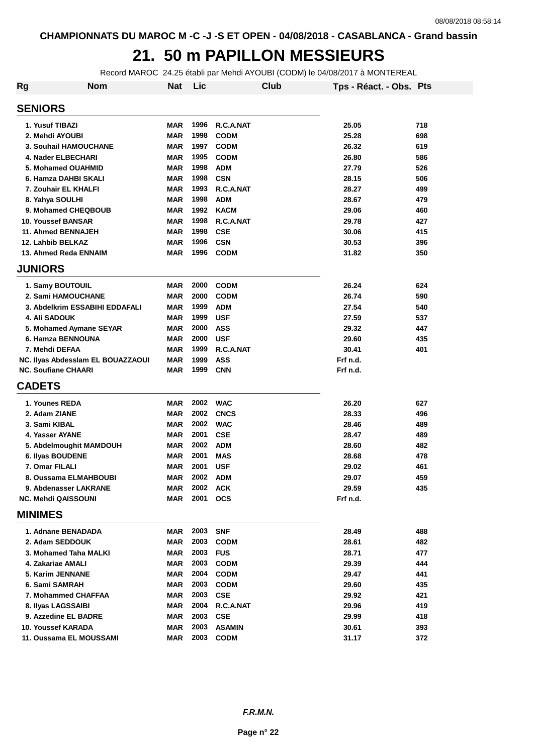# **21. 50 m PAPILLON MESSIEURS**

Record MAROC 24.25 établi par Mehdi AYOUBI (CODM) le 04/08/2017 à MONTEREAL

| Rg             | <b>Nom</b>                        | <b>Nat</b> | Lic  | Club          |          | Tps - Réact. - Obs. Pts |     |
|----------------|-----------------------------------|------------|------|---------------|----------|-------------------------|-----|
| <b>SENIORS</b> |                                   |            |      |               |          |                         |     |
|                | 1. Yusuf TIBAZI                   | <b>MAR</b> | 1996 | R.C.A.NAT     | 25.05    |                         | 718 |
|                | 2. Mehdi AYOUBI                   | <b>MAR</b> | 1998 | <b>CODM</b>   | 25.28    |                         | 698 |
|                | 3. Souhail HAMOUCHANE             | <b>MAR</b> | 1997 | <b>CODM</b>   | 26.32    |                         | 619 |
|                | 4. Nader ELBECHARI                | <b>MAR</b> | 1995 | <b>CODM</b>   | 26.80    |                         | 586 |
|                | 5. Mohamed OUAHMID                | <b>MAR</b> | 1998 | <b>ADM</b>    | 27.79    |                         | 526 |
|                | 6. Hamza DAHBI SKALI              | <b>MAR</b> | 1998 | <b>CSN</b>    | 28.15    |                         | 506 |
|                | 7. Zouhair EL KHALFI              | <b>MAR</b> | 1993 | R.C.A.NAT     | 28.27    |                         | 499 |
|                | 8. Yahya SOULHI                   | <b>MAR</b> | 1998 | <b>ADM</b>    | 28.67    |                         | 479 |
|                | 9. Mohamed CHEQBOUB               | <b>MAR</b> | 1992 | <b>KACM</b>   | 29.06    |                         | 460 |
|                | 10. Youssef BANSAR                | <b>MAR</b> | 1998 | R.C.A.NAT     | 29.78    |                         | 427 |
|                | 11. Ahmed BENNAJEH                | <b>MAR</b> | 1998 | <b>CSE</b>    | 30.06    |                         | 415 |
|                | 12. Lahbib BELKAZ                 | <b>MAR</b> | 1996 | <b>CSN</b>    | 30.53    |                         | 396 |
|                | 13. Ahmed Reda ENNAIM             | <b>MAR</b> | 1996 | <b>CODM</b>   | 31.82    |                         | 350 |
| <b>JUNIORS</b> |                                   |            |      |               |          |                         |     |
|                | 1. Samy BOUTOUIL                  | <b>MAR</b> | 2000 | <b>CODM</b>   | 26.24    |                         | 624 |
|                | 2. Sami HAMOUCHANE                | <b>MAR</b> | 2000 | <b>CODM</b>   | 26.74    |                         | 590 |
|                | 3. Abdelkrim ESSABIHI EDDAFALI    | <b>MAR</b> | 1999 | <b>ADM</b>    | 27.54    |                         | 540 |
|                | <b>4. Ali SADOUK</b>              | <b>MAR</b> | 1999 | <b>USF</b>    | 27.59    |                         | 537 |
|                | 5. Mohamed Aymane SEYAR           | <b>MAR</b> | 2000 | <b>ASS</b>    | 29.32    |                         | 447 |
|                | 6. Hamza BENNOUNA                 | <b>MAR</b> | 2000 | <b>USF</b>    | 29.60    |                         | 435 |
|                | 7. Mehdi DEFAA                    | <b>MAR</b> | 1999 | R.C.A.NAT     | 30.41    |                         | 401 |
|                | NC. Ilyas Abdesslam EL BOUAZZAOUI | <b>MAR</b> | 1999 | <b>ASS</b>    | Frf n.d. |                         |     |
|                | <b>NC. Soufiane CHAARI</b>        | <b>MAR</b> | 1999 | <b>CNN</b>    | Frf n.d. |                         |     |
| <b>CADETS</b>  |                                   |            |      |               |          |                         |     |
|                | 1. Younes REDA                    | <b>MAR</b> |      | 2002 WAC      | 26.20    |                         | 627 |
|                | 2. Adam ZIANE                     | <b>MAR</b> | 2002 | <b>CNCS</b>   | 28.33    |                         | 496 |
|                | 3. Sami KIBAL                     | <b>MAR</b> | 2002 | <b>WAC</b>    | 28.46    |                         | 489 |
|                | 4. Yasser AYANE                   | <b>MAR</b> | 2001 | <b>CSE</b>    | 28.47    |                         | 489 |
|                | 5. Abdelmoughit MAMDOUH           | <b>MAR</b> | 2002 | <b>ADM</b>    | 28.60    |                         | 482 |
|                | 6. Ilyas BOUDENE                  | <b>MAR</b> | 2001 | <b>MAS</b>    | 28.68    |                         | 478 |
|                | 7. Omar FILALI                    | <b>MAR</b> | 2001 | <b>USF</b>    | 29.02    |                         | 461 |
|                | 8. Oussama ELMAHBOUBI             | <b>MAR</b> | 2002 | <b>ADM</b>    | 29.07    |                         | 459 |
|                | 9. Abdenasser LAKRANE             | MAR        | 2002 | <b>ACK</b>    | 29.59    |                         | 435 |
|                | <b>NC. Mehdi QAISSOUNI</b>        | <b>MAR</b> | 2001 | <b>OCS</b>    | Frf n.d. |                         |     |
| <b>MINIMES</b> |                                   |            |      |               |          |                         |     |
|                | 1. Adnane BENADADA                | MAR        | 2003 | <b>SNF</b>    | 28.49    |                         | 488 |
|                | 2. Adam SEDDOUK                   | <b>MAR</b> | 2003 | <b>CODM</b>   | 28.61    |                         | 482 |
|                | 3. Mohamed Taha MALKI             | <b>MAR</b> | 2003 | <b>FUS</b>    | 28.71    |                         | 477 |
|                | 4. Zakariae AMALI                 | <b>MAR</b> | 2003 | <b>CODM</b>   | 29.39    |                         | 444 |
|                | 5. Karim JENNANE                  | <b>MAR</b> | 2004 | <b>CODM</b>   | 29.47    |                         | 441 |
|                | 6. Sami SAMRAH                    | <b>MAR</b> | 2003 | <b>CODM</b>   | 29.60    |                         | 435 |
|                | 7. Mohammed CHAFFAA               | <b>MAR</b> | 2003 | <b>CSE</b>    | 29.92    |                         | 421 |
|                | 8. Ilyas LAGSSAIBI                | <b>MAR</b> | 2004 | R.C.A.NAT     | 29.96    |                         | 419 |
|                | 9. Azzedine EL BADRE              | <b>MAR</b> | 2003 | <b>CSE</b>    | 29.99    |                         | 418 |
|                | 10. Youssef KARADA                | <b>MAR</b> | 2003 | <b>ASAMIN</b> | 30.61    |                         | 393 |
|                | 11. Oussama EL MOUSSAMI           | <b>MAR</b> | 2003 | <b>CODM</b>   | 31.17    |                         | 372 |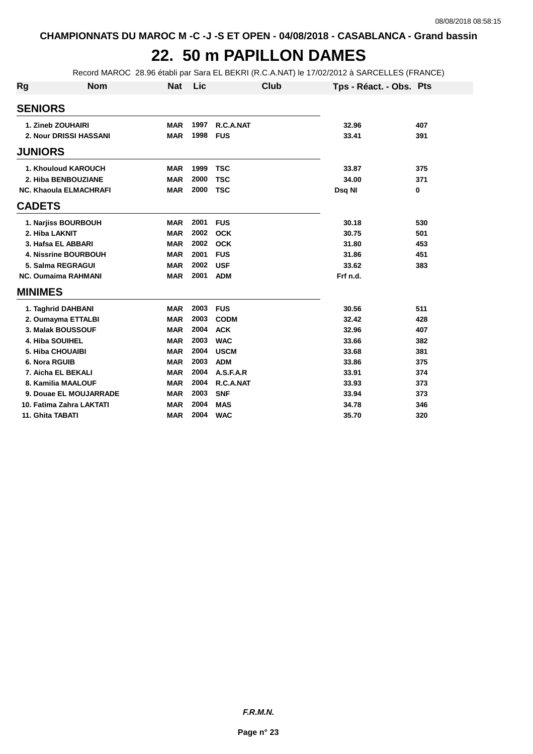### **22. 50 m PAPILLON DAMES**

Record MAROC 28.96 établi par Sara EL BEKRI (R.C.A.NAT) le 17/02/2012 à SARCELLES (FRANCE)

| <b>Rg</b>      | <b>Nom</b>                    | <b>Nat</b> | Lic  | <b>Club</b> | Tps - Réact. - Obs. Pts |     |
|----------------|-------------------------------|------------|------|-------------|-------------------------|-----|
| <b>SENIORS</b> |                               |            |      |             |                         |     |
|                | 1. Zineb ZOUHAIRI             | <b>MAR</b> | 1997 | R.C.A.NAT   | 32.96                   | 407 |
|                | 2. Nour DRISSI HASSANI        | <b>MAR</b> | 1998 | <b>FUS</b>  | 33.41                   | 391 |
| <b>JUNIORS</b> |                               |            |      |             |                         |     |
|                | 1. Khouloud KAROUCH           | <b>MAR</b> | 1999 | <b>TSC</b>  | 33.87                   | 375 |
|                | 2. Hiba BENBOUZIANE           | <b>MAR</b> | 2000 | <b>TSC</b>  | 34.00                   | 371 |
|                | <b>NC. Khaoula ELMACHRAFI</b> | <b>MAR</b> | 2000 | <b>TSC</b>  | Dsq NI                  | 0   |
| <b>CADETS</b>  |                               |            |      |             |                         |     |
|                | 1. Narjiss BOURBOUH           | <b>MAR</b> | 2001 | <b>FUS</b>  | 30.18                   | 530 |
|                | 2. Hiba LAKNIT                | <b>MAR</b> | 2002 | <b>OCK</b>  | 30.75                   | 501 |
|                | 3. Hafsa EL ABBARI            | <b>MAR</b> | 2002 | <b>OCK</b>  | 31.80                   | 453 |
|                | <b>4. Nissrine BOURBOUH</b>   | <b>MAR</b> | 2001 | <b>FUS</b>  | 31.86                   | 451 |
|                | 5. Salma REGRAGUI             | <b>MAR</b> | 2002 | <b>USF</b>  | 33.62                   | 383 |
|                | <b>NC. Oumaima RAHMANI</b>    | <b>MAR</b> | 2001 | <b>ADM</b>  | Frf n.d.                |     |
| <b>MINIMES</b> |                               |            |      |             |                         |     |
|                | 1. Taghrid DAHBANI            | <b>MAR</b> | 2003 | <b>FUS</b>  | 30.56                   | 511 |
|                | 2. Oumayma ETTALBI            | <b>MAR</b> | 2003 | <b>CODM</b> | 32.42                   | 428 |
|                | 3. Malak BOUSSOUF             | <b>MAR</b> | 2004 | <b>ACK</b>  | 32.96                   | 407 |
|                | <b>4. Hiba SOUIHEL</b>        | <b>MAR</b> | 2003 | <b>WAC</b>  | 33.66                   | 382 |
|                | 5. Hiba CHOUAIBI              | <b>MAR</b> | 2004 | <b>USCM</b> | 33.68                   | 381 |
|                | 6. Nora RGUIB                 | <b>MAR</b> | 2003 | <b>ADM</b>  | 33.86                   | 375 |
|                | 7. Aicha EL BEKALI            | <b>MAR</b> | 2004 | A.S.F.A.R   | 33.91                   | 374 |
|                | 8. Kamilia MAALOUF            | <b>MAR</b> | 2004 | R.C.A.NAT   | 33.93                   | 373 |
|                | 9. Douae EL MOUJARRADE        | <b>MAR</b> | 2003 | <b>SNF</b>  | 33.94                   | 373 |
|                | 10. Fatima Zahra LAKTATI      | <b>MAR</b> | 2004 | <b>MAS</b>  | 34.78                   | 346 |
|                | 11. Ghita TABATI              | <b>MAR</b> | 2004 | <b>WAC</b>  | 35.70                   | 320 |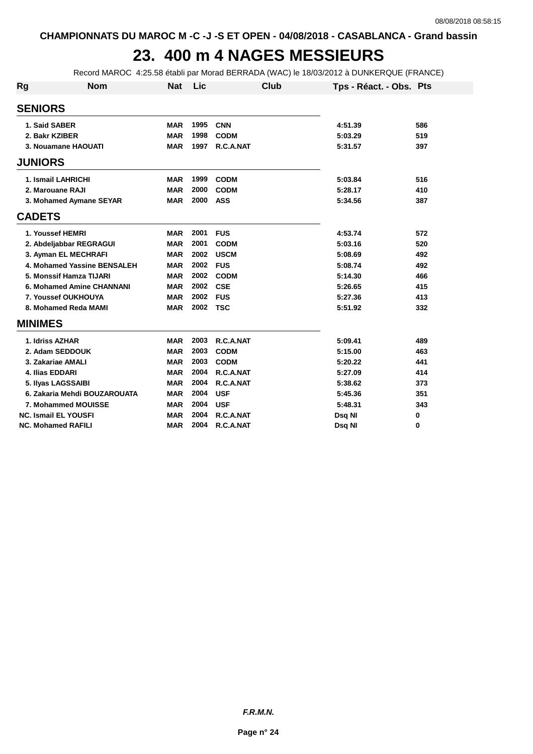## **23. 400 m 4 NAGES MESSIEURS**

Record MAROC 4:25.58 établi par Morad BERRADA (WAC) le 18/03/2012 à DUNKERQUE (FRANCE)

| Rg                 | <b>Nom</b>                   | <b>Nat</b> | Lic  | Club        | Tps - Réact. - Obs. Pts |          |
|--------------------|------------------------------|------------|------|-------------|-------------------------|----------|
| <b>SENIORS</b>     |                              |            |      |             |                         |          |
| 1. Said SABER      |                              | <b>MAR</b> | 1995 | <b>CNN</b>  | 4:51.39                 | 586      |
| 2. Bakr KZIBER     |                              | <b>MAR</b> | 1998 | <b>CODM</b> | 5:03.29                 | 519      |
|                    | 3. Nouamane HAOUATI          | <b>MAR</b> | 1997 | R.C.A.NAT   | 5:31.57                 | 397      |
| <b>JUNIORS</b>     |                              |            |      |             |                         |          |
|                    | 1. Ismail LAHRICHI           | <b>MAR</b> | 1999 | <b>CODM</b> | 5:03.84                 | 516      |
| 2. Marouane RAJI   |                              | <b>MAR</b> | 2000 | <b>CODM</b> | 5:28.17                 | 410      |
|                    | 3. Mohamed Aymane SEYAR      | <b>MAR</b> | 2000 | <b>ASS</b>  | 5:34.56                 | 387      |
| <b>CADETS</b>      |                              |            |      |             |                         |          |
| 1. Youssef HEMRI   |                              | <b>MAR</b> | 2001 | <b>FUS</b>  | 4:53.74                 | 572      |
|                    | 2. Abdeljabbar REGRAGUI      | <b>MAR</b> | 2001 | <b>CODM</b> | 5:03.16                 | 520      |
|                    | 3. Ayman EL MECHRAFI         | <b>MAR</b> | 2002 | <b>USCM</b> | 5:08.69                 | 492      |
|                    | 4. Mohamed Yassine BENSALEH  | <b>MAR</b> | 2002 | <b>FUS</b>  | 5:08.74                 | 492      |
|                    | 5. Monssif Hamza TIJARI      | <b>MAR</b> | 2002 | <b>CODM</b> | 5:14.30                 | 466      |
|                    | 6. Mohamed Amine CHANNANI    | <b>MAR</b> | 2002 | <b>CSE</b>  | 5:26.65                 | 415      |
|                    | 7. Youssef OUKHOUYA          | <b>MAR</b> | 2002 | <b>FUS</b>  | 5:27.36                 | 413      |
|                    | 8. Mohamed Reda MAMI         | <b>MAR</b> | 2002 | <b>TSC</b>  | 5:51.92                 | 332      |
| <b>MINIMES</b>     |                              |            |      |             |                         |          |
| 1. Idriss AZHAR    |                              | <b>MAR</b> | 2003 | R.C.A.NAT   | 5:09.41                 | 489      |
|                    | 2. Adam SEDDOUK              | <b>MAR</b> | 2003 | <b>CODM</b> | 5:15.00                 | 463      |
|                    | 3. Zakariae AMALI            | <b>MAR</b> | 2003 | <b>CODM</b> | 5:20.22                 | 441      |
| 4. Ilias EDDARI    |                              | <b>MAR</b> | 2004 | R.C.A.NAT   | 5:27.09                 | 414      |
|                    | 5. Ilyas LAGSSAIBI           | <b>MAR</b> | 2004 | R.C.A.NAT   | 5:38.62                 | 373      |
|                    | 6. Zakaria Mehdi BOUZAROUATA | <b>MAR</b> | 2004 | <b>USF</b>  | 5:45.36                 | 351      |
|                    | 7. Mohammed MOUISSE          | <b>MAR</b> | 2004 | <b>USF</b>  | 5:48.31                 | 343      |
|                    | <b>NC. Ismail EL YOUSFI</b>  | <b>MAR</b> | 2004 | R.C.A.NAT   | Dsq NI                  | $\bf{0}$ |
| NC. Mohamed RAFILI |                              | <b>MAR</b> | 2004 | R.C.A.NAT   | Dsq NI                  | 0        |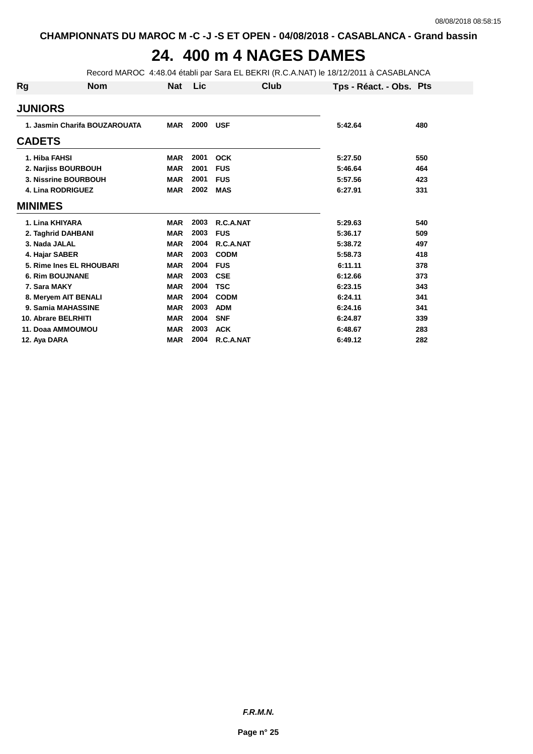# **24. 400 m 4 NAGES DAMES**

Record MAROC 4:48.04 établi par Sara EL BEKRI (R.C.A.NAT) le 18/12/2011 à CASABLANCA

| Rg             | <b>Nom</b>                    | <b>Nat</b> | Lic  | Club        | Tps - Réact. - Obs. Pts |     |
|----------------|-------------------------------|------------|------|-------------|-------------------------|-----|
| <b>JUNIORS</b> |                               |            |      |             |                         |     |
|                | 1. Jasmin Charifa BOUZAROUATA | <b>MAR</b> | 2000 | <b>USF</b>  | 5:42.64                 | 480 |
| <b>CADETS</b>  |                               |            |      |             |                         |     |
| 1. Hiba FAHSI  |                               | <b>MAR</b> | 2001 | <b>OCK</b>  | 5:27.50                 | 550 |
|                | 2. Narjiss BOURBOUH           | <b>MAR</b> | 2001 | <b>FUS</b>  | 5:46.64                 | 464 |
|                | 3. Nissrine BOURBOUH          | <b>MAR</b> | 2001 | <b>FUS</b>  | 5:57.56                 | 423 |
|                | 4. Lina RODRIGUEZ             | <b>MAR</b> | 2002 | <b>MAS</b>  | 6:27.91                 | 331 |
| <b>MINIMES</b> |                               |            |      |             |                         |     |
|                | 1. Lina KHIYARA               | <b>MAR</b> | 2003 | R.C.A.NAT   | 5:29.63                 | 540 |
|                | 2. Taghrid DAHBANI            | <b>MAR</b> | 2003 | <b>FUS</b>  | 5:36.17                 | 509 |
| 3. Nada JALAL  |                               | <b>MAR</b> | 2004 | R.C.A.NAT   | 5:38.72                 | 497 |
| 4. Hajar SABER |                               | <b>MAR</b> | 2003 | <b>CODM</b> | 5:58.73                 | 418 |
|                | 5. Rime Ines EL RHOUBARI      | <b>MAR</b> | 2004 | <b>FUS</b>  | 6:11.11                 | 378 |
|                | <b>6. Rim BOUJNANE</b>        | <b>MAR</b> | 2003 | <b>CSE</b>  | 6:12.66                 | 373 |
| 7. Sara MAKY   |                               | <b>MAR</b> | 2004 | <b>TSC</b>  | 6:23.15                 | 343 |
|                | 8. Meryem AIT BENALI          | <b>MAR</b> | 2004 | <b>CODM</b> | 6:24.11                 | 341 |
|                | 9. Samia MAHASSINE            | <b>MAR</b> | 2003 | <b>ADM</b>  | 6:24.16                 | 341 |
|                | 10. Abrare BELRHITI           | <b>MAR</b> | 2004 | <b>SNF</b>  | 6:24.87                 | 339 |
|                | 11. Doaa AMMOUMOU             | <b>MAR</b> | 2003 | <b>ACK</b>  | 6:48.67                 | 283 |
| 12. Aya DARA   |                               | <b>MAR</b> | 2004 | R.C.A.NAT   | 6:49.12                 | 282 |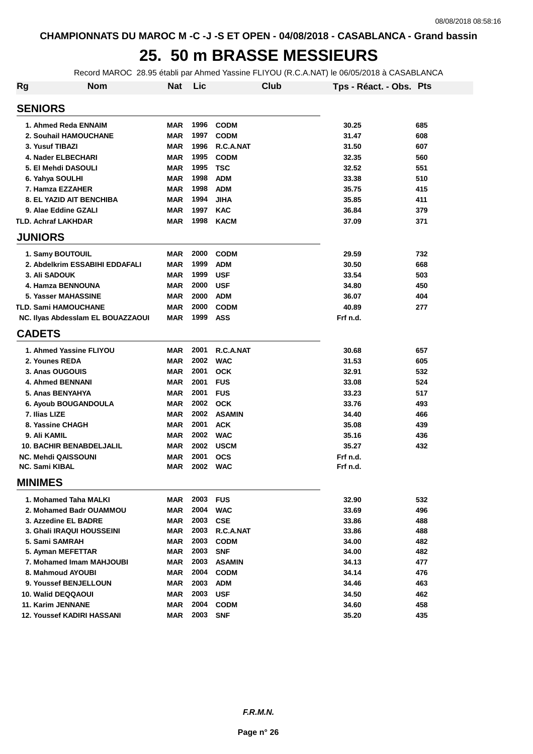# **25. 50 m BRASSE MESSIEURS**

Record MAROC 28.95 établi par Ahmed Yassine FLIYOU (R.C.A.NAT) le 06/05/2018 à CASABLANCA

| Rg | <b>Nom</b>                        | <b>Nat</b> | Lic  | <b>Club</b>   | Tps - Réact. - Obs. Pts |     |
|----|-----------------------------------|------------|------|---------------|-------------------------|-----|
|    | <b>SENIORS</b>                    |            |      |               |                         |     |
|    | 1. Ahmed Reda ENNAIM              | <b>MAR</b> | 1996 | <b>CODM</b>   | 30.25                   | 685 |
|    | 2. Souhail HAMOUCHANE             | <b>MAR</b> | 1997 | <b>CODM</b>   | 31.47                   | 608 |
|    | 3. Yusuf TIBAZI                   | <b>MAR</b> | 1996 | R.C.A.NAT     | 31.50                   | 607 |
|    | 4. Nader ELBECHARI                | <b>MAR</b> | 1995 | <b>CODM</b>   | 32.35                   | 560 |
|    | 5. El Mehdi DASOULI               | <b>MAR</b> | 1995 | <b>TSC</b>    | 32.52                   | 551 |
|    | 6. Yahya SOULHI                   | <b>MAR</b> | 1998 | <b>ADM</b>    | 33.38                   | 510 |
|    | 7. Hamza EZZAHER                  | <b>MAR</b> | 1998 | <b>ADM</b>    | 35.75                   | 415 |
|    | <b>8. EL YAZID AIT BENCHIBA</b>   | <b>MAR</b> | 1994 | <b>JIHA</b>   | 35.85                   | 411 |
|    | 9. Alae Eddine GZALI              | <b>MAR</b> | 1997 | <b>KAC</b>    | 36.84                   | 379 |
|    | <b>TLD. Achraf LAKHDAR</b>        | MAR        | 1998 | <b>KACM</b>   | 37.09                   | 371 |
|    | <b>JUNIORS</b>                    |            |      |               |                         |     |
|    | 1. Samy BOUTOUIL                  | <b>MAR</b> | 2000 | <b>CODM</b>   | 29.59                   | 732 |
|    | 2. Abdelkrim ESSABIHI EDDAFALI    | <b>MAR</b> | 1999 | <b>ADM</b>    | 30.50                   | 668 |
|    | <b>3. Ali SADOUK</b>              | <b>MAR</b> | 1999 | <b>USF</b>    | 33.54                   | 503 |
|    | 4. Hamza BENNOUNA                 | <b>MAR</b> | 2000 | <b>USF</b>    | 34.80                   | 450 |
|    | <b>5. Yasser MAHASSINE</b>        | <b>MAR</b> | 2000 | <b>ADM</b>    | 36.07                   | 404 |
|    | <b>TLD. Sami HAMOUCHANE</b>       | <b>MAR</b> | 2000 | <b>CODM</b>   | 40.89                   | 277 |
|    | NC. Ilyas Abdessiam EL BOUAZZAOUI | <b>MAR</b> | 1999 | <b>ASS</b>    | Frf n.d.                |     |
|    | <b>CADETS</b>                     |            |      |               |                         |     |
|    | 1. Ahmed Yassine FLIYOU           | <b>MAR</b> | 2001 | R.C.A.NAT     | 30.68                   | 657 |
|    | 2. Younes REDA                    | <b>MAR</b> | 2002 | <b>WAC</b>    | 31.53                   | 605 |
|    | 3. Anas OUGOUIS                   | <b>MAR</b> | 2001 | <b>OCK</b>    | 32.91                   | 532 |
|    | <b>4. Ahmed BENNANI</b>           | <b>MAR</b> | 2001 | <b>FUS</b>    | 33.08                   | 524 |
|    | 5. Anas BENYAHYA                  | <b>MAR</b> | 2001 | <b>FUS</b>    | 33.23                   | 517 |
|    | 6. Ayoub BOUGANDOULA              | <b>MAR</b> | 2002 | <b>OCK</b>    | 33.76                   | 493 |
|    | 7. Ilias LIZE                     | <b>MAR</b> | 2002 | <b>ASAMIN</b> | 34.40                   | 466 |
|    | 8. Yassine CHAGH                  | <b>MAR</b> | 2001 | <b>ACK</b>    | 35.08                   | 439 |
|    | 9. Ali KAMIL                      | <b>MAR</b> | 2002 | <b>WAC</b>    | 35.16                   | 436 |
|    | <b>10. BACHIR BENABDELJALIL</b>   | <b>MAR</b> | 2002 | <b>USCM</b>   | 35.27                   | 432 |
|    | <b>NC. Mehdi QAISSOUNI</b>        | <b>MAR</b> | 2001 | <b>OCS</b>    | Frf n.d.                |     |
|    | <b>NC. Sami KIBAL</b>             | <b>MAR</b> | 2002 | <b>WAC</b>    | Frf n.d.                |     |
|    | <b>MINIMES</b>                    |            |      |               |                         |     |
|    | 1. Mohamed Taha MALKI             | MAR        | 2003 | <b>FUS</b>    | 32.90                   | 532 |
|    | 2. Mohamed Badr OUAMMOU           | <b>MAR</b> | 2004 | <b>WAC</b>    | 33.69                   | 496 |
|    | 3. Azzedine EL BADRE              | MAR        | 2003 | <b>CSE</b>    | 33.86                   | 488 |
|    | 3. Ghali IRAQUI HOUSSEINI         | MAR        | 2003 | R.C.A.NAT     | 33.86                   | 488 |
|    | 5. Sami SAMRAH                    | <b>MAR</b> | 2003 | <b>CODM</b>   | 34.00                   | 482 |
|    | 5. Ayman MEFETTAR                 | <b>MAR</b> | 2003 | <b>SNF</b>    | 34.00                   | 482 |
|    | 7. Mohamed Imam MAHJOUBI          | <b>MAR</b> | 2003 | <b>ASAMIN</b> | 34.13                   | 477 |
|    | 8. Mahmoud AYOUBI                 | <b>MAR</b> | 2004 | <b>CODM</b>   | 34.14                   | 476 |
|    | 9. Youssef BENJELLOUN             | MAR        | 2003 | <b>ADM</b>    | 34.46                   | 463 |
|    | 10. Walid DEQQAOUI                | MAR        | 2003 | <b>USF</b>    | 34.50                   | 462 |
|    | 11. Karim JENNANE                 | <b>MAR</b> | 2004 | <b>CODM</b>   | 34.60                   | 458 |
|    | <b>12. Youssef KADIRI HASSANI</b> | MAR        | 2003 | <b>SNF</b>    | 35.20                   | 435 |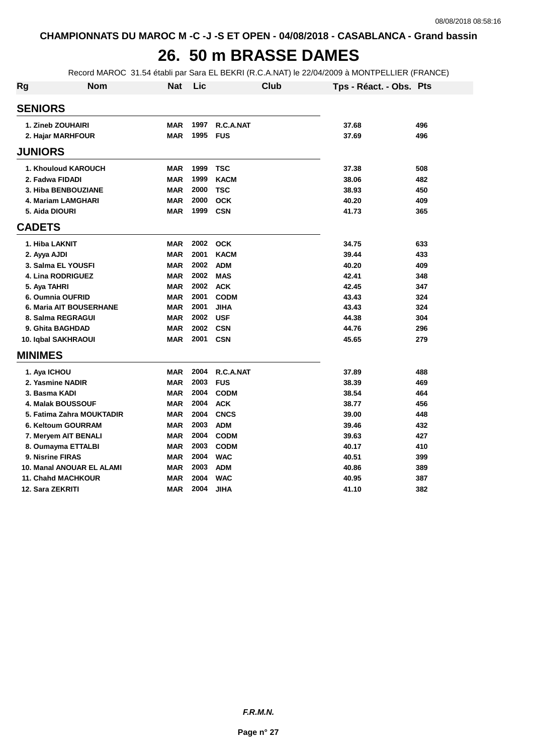#### **26. 50 m BRASSE DAMES**

Record MAROC 31.54 établi par Sara EL BEKRI (R.C.A.NAT) le 22/04/2009 à MONTPELLIER (FRANCE)

| <b>Rg</b>      | <b>Nom</b>                     | <b>Nat</b> | Lic  | Club        | Tps - Réact. - Obs. Pts |     |
|----------------|--------------------------------|------------|------|-------------|-------------------------|-----|
|                | <b>SENIORS</b>                 |            |      |             |                         |     |
|                | 1. Zineb ZOUHAIRI              | <b>MAR</b> | 1997 | R.C.A.NAT   | 37.68                   | 496 |
|                | 2. Hajar MARHFOUR              | <b>MAR</b> | 1995 | <b>FUS</b>  | 37.69                   | 496 |
|                | <b>JUNIORS</b>                 |            |      |             |                         |     |
|                | 1. Khouloud KAROUCH            | <b>MAR</b> | 1999 | <b>TSC</b>  | 37.38                   | 508 |
|                | 2. Fadwa FIDADI                | <b>MAR</b> | 1999 | <b>KACM</b> | 38.06                   | 482 |
|                | 3. Hiba BENBOUZIANE            | <b>MAR</b> | 2000 | <b>TSC</b>  | 38.93                   | 450 |
|                | 4. Mariam LAMGHARI             | <b>MAR</b> | 2000 | <b>OCK</b>  | 40.20                   | 409 |
|                | 5. Aida DIOURI                 | <b>MAR</b> | 1999 | <b>CSN</b>  | 41.73                   | 365 |
| <b>CADETS</b>  |                                |            |      |             |                         |     |
|                | 1. Hiba LAKNIT                 | <b>MAR</b> | 2002 | <b>OCK</b>  | 34.75                   | 633 |
|                | 2. Ayya AJDI                   | <b>MAR</b> | 2001 | <b>KACM</b> | 39.44                   | 433 |
|                | 3. Salma EL YOUSFI             | <b>MAR</b> | 2002 | <b>ADM</b>  | 40.20                   | 409 |
|                | 4. Lina RODRIGUEZ              | <b>MAR</b> | 2002 | <b>MAS</b>  | 42.41                   | 348 |
|                | 5. Aya TAHRI                   | <b>MAR</b> | 2002 | <b>ACK</b>  | 42.45                   | 347 |
|                | 6. Oumnia OUFRID               | <b>MAR</b> | 2001 | <b>CODM</b> | 43.43                   | 324 |
|                | <b>6. Maria AIT BOUSERHANE</b> | <b>MAR</b> | 2001 | <b>JIHA</b> | 43.43                   | 324 |
|                | 8. Salma REGRAGUI              | <b>MAR</b> | 2002 | <b>USF</b>  | 44.38                   | 304 |
|                | 9. Ghita BAGHDAD               | <b>MAR</b> | 2002 | <b>CSN</b>  | 44.76                   | 296 |
|                | 10. Iqbal SAKHRAOUI            | <b>MAR</b> | 2001 | <b>CSN</b>  | 45.65                   | 279 |
| <b>MINIMES</b> |                                |            |      |             |                         |     |
|                |                                |            |      |             |                         |     |
|                | 1. Aya ICHOU                   | <b>MAR</b> | 2004 | R.C.A.NAT   | 37.89                   | 488 |
|                | 2. Yasmine NADIR               | <b>MAR</b> | 2003 | <b>FUS</b>  | 38.39                   | 469 |
|                | 3. Basma KADI                  | <b>MAR</b> | 2004 | <b>CODM</b> | 38.54                   | 464 |
|                | <b>4. Malak BOUSSOUF</b>       | <b>MAR</b> | 2004 | <b>ACK</b>  | 38.77                   | 456 |
|                | 5. Fatima Zahra MOUKTADIR      | <b>MAR</b> | 2004 | <b>CNCS</b> | 39.00                   | 448 |
|                | 6. Keltoum GOURRAM             | <b>MAR</b> | 2003 | <b>ADM</b>  | 39.46                   | 432 |
|                | 7. Meryem AIT BENALI           | <b>MAR</b> | 2004 | <b>CODM</b> | 39.63                   | 427 |
|                | 8. Oumayma ETTALBI             | <b>MAR</b> | 2003 | <b>CODM</b> | 40.17                   | 410 |
|                | 9. Nisrine FIRAS               | <b>MAR</b> | 2004 | <b>WAC</b>  | 40.51                   | 399 |
|                | 10. Manal ANOUAR EL ALAMI      | <b>MAR</b> | 2003 | <b>ADM</b>  | 40.86                   | 389 |
|                | 11. Chahd MACHKOUR             | <b>MAR</b> | 2004 | <b>WAC</b>  | 40.95                   | 387 |
|                | 12. Sara ZEKRITI               | <b>MAR</b> | 2004 | <b>JIHA</b> | 41.10                   | 382 |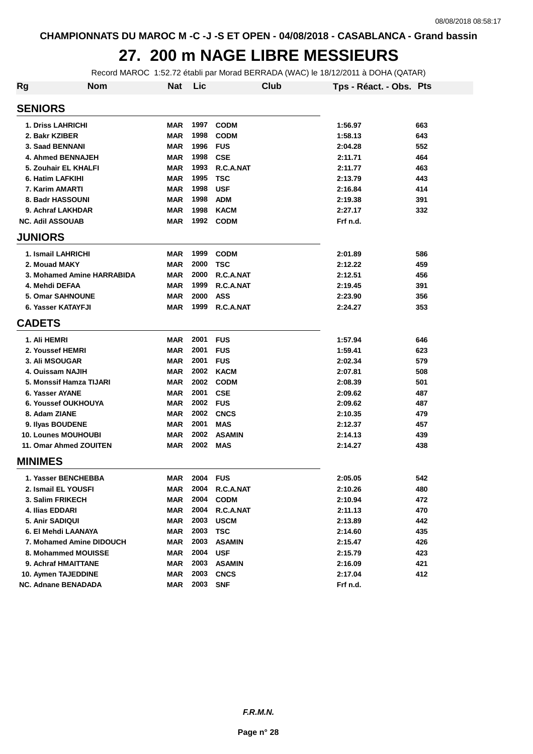#### **27. 200 m NAGE LIBRE MESSIEURS**

Record MAROC 1:52.72 établi par Morad BERRADA (WAC) le 18/12/2011 à DOHA (QATAR)

| Rg             | <b>Nom</b>                 | <b>Nat</b> | Lic  |               | Club | Tps - Réact. - Obs. Pts |     |
|----------------|----------------------------|------------|------|---------------|------|-------------------------|-----|
| <b>SENIORS</b> |                            |            |      |               |      |                         |     |
|                | <b>1. Driss LAHRICHI</b>   | MAR        | 1997 | <b>CODM</b>   |      | 1:56.97                 | 663 |
|                | 2. Bakr KZIBER             | MAR        | 1998 | <b>CODM</b>   |      | 1:58.13                 | 643 |
|                | 3. Saad BENNANI            | <b>MAR</b> | 1996 | <b>FUS</b>    |      | 2:04.28                 | 552 |
|                | 4. Ahmed BENNAJEH          | <b>MAR</b> | 1998 | <b>CSE</b>    |      | 2:11.71                 | 464 |
|                | 5. Zouhair EL KHALFI       | <b>MAR</b> | 1993 | R.C.A.NAT     |      | 2:11.77                 | 463 |
|                | 6. Hatim LAFKIHI           | <b>MAR</b> | 1995 | <b>TSC</b>    |      | 2:13.79                 | 443 |
|                | 7. Karim AMARTI            | <b>MAR</b> | 1998 | <b>USF</b>    |      | 2:16.84                 | 414 |
|                | 8. Badr HASSOUNI           | <b>MAR</b> | 1998 | <b>ADM</b>    |      | 2:19.38                 | 391 |
|                | 9. Achraf LAKHDAR          | <b>MAR</b> | 1998 | <b>KACM</b>   |      | 2:27.17                 | 332 |
|                | <b>NC. Adil ASSOUAB</b>    | MAR        | 1992 | <b>CODM</b>   |      | Frf n.d.                |     |
| <b>JUNIORS</b> |                            |            |      |               |      |                         |     |
|                | 1. Ismail LAHRICHI         | <b>MAR</b> | 1999 | <b>CODM</b>   |      | 2:01.89                 | 586 |
|                | 2. Mouad MAKY              | <b>MAR</b> | 2000 | <b>TSC</b>    |      | 2:12.22                 | 459 |
|                | 3. Mohamed Amine HARRABIDA | <b>MAR</b> | 2000 | R.C.A.NAT     |      | 2:12.51                 | 456 |
|                | 4. Mehdi DEFAA             | <b>MAR</b> | 1999 | R.C.A.NAT     |      | 2:19.45                 | 391 |
|                | <b>5. Omar SAHNOUNE</b>    | <b>MAR</b> | 2000 | <b>ASS</b>    |      | 2:23.90                 | 356 |
|                | 6. Yasser KATAYFJI         | <b>MAR</b> | 1999 | R.C.A.NAT     |      | 2:24.27                 | 353 |
| <b>CADETS</b>  |                            |            |      |               |      |                         |     |
| 1. Ali HEMRI   |                            | <b>MAR</b> | 2001 | <b>FUS</b>    |      | 1:57.94                 | 646 |
|                | 2. Youssef HEMRI           | <b>MAR</b> | 2001 | <b>FUS</b>    |      | 1:59.41                 | 623 |
|                | <b>3. Ali MSOUGAR</b>      | <b>MAR</b> | 2001 | <b>FUS</b>    |      | 2:02.34                 | 579 |
|                | 4. Ouissam NAJIH           | <b>MAR</b> | 2002 | <b>KACM</b>   |      | 2:07.81                 | 508 |
|                | 5. Monssif Hamza TIJARI    | <b>MAR</b> | 2002 | <b>CODM</b>   |      | 2:08.39                 | 501 |
|                | 6. Yasser AYANE            | <b>MAR</b> | 2001 | <b>CSE</b>    |      | 2:09.62                 | 487 |
|                | 6. Youssef OUKHOUYA        | <b>MAR</b> | 2002 | <b>FUS</b>    |      | 2:09.62                 | 487 |
|                | 8. Adam ZIANE              | <b>MAR</b> | 2002 | <b>CNCS</b>   |      | 2:10.35                 | 479 |
|                | 9. Ilyas BOUDENE           | <b>MAR</b> | 2001 | <b>MAS</b>    |      | 2:12.37                 | 457 |
|                | <b>10. Lounes MOUHOUBI</b> | <b>MAR</b> | 2002 | <b>ASAMIN</b> |      | 2:14.13                 | 439 |
|                | 11. Omar Ahmed ZOUITEN     | <b>MAR</b> | 2002 | <b>MAS</b>    |      | 2:14.27                 | 438 |
| <b>MINIMES</b> |                            |            |      |               |      |                         |     |
|                | 1. Yasser BENCHEBBA        | MAR        | 2004 | <b>FUS</b>    |      | 2:05.05                 | 542 |
|                | 2. Ismail EL YOUSFI        | MAR        | 2004 | R.C.A.NAT     |      | 2:10.26                 | 480 |
|                | 3. Salim FRIKECH           | <b>MAR</b> | 2004 | <b>CODM</b>   |      | 2:10.94                 | 472 |
|                | 4. Ilias EDDARI            | <b>MAR</b> | 2004 | R.C.A.NAT     |      | 2:11.13                 | 470 |
|                | 5. Anir SADIQUI            | MAR        | 2003 | <b>USCM</b>   |      | 2:13.89                 | 442 |
|                | 6. El Mehdi LAANAYA        | <b>MAR</b> | 2003 | <b>TSC</b>    |      | 2:14.60                 | 435 |
|                | 7. Mohamed Amine DIDOUCH   | <b>MAR</b> | 2003 | <b>ASAMIN</b> |      | 2:15.47                 | 426 |
|                | 8. Mohammed MOUISSE        | <b>MAR</b> | 2004 | <b>USF</b>    |      | 2:15.79                 | 423 |
|                | 9. Achraf HMAITTANE        | MAR        | 2003 | <b>ASAMIN</b> |      | 2:16.09                 | 421 |
|                | 10. Aymen TAJEDDINE        | <b>MAR</b> | 2003 | <b>CNCS</b>   |      | 2:17.04                 | 412 |
|                | <b>NC. Adnane BENADADA</b> | MAR        | 2003 | <b>SNF</b>    |      | Frf n.d.                |     |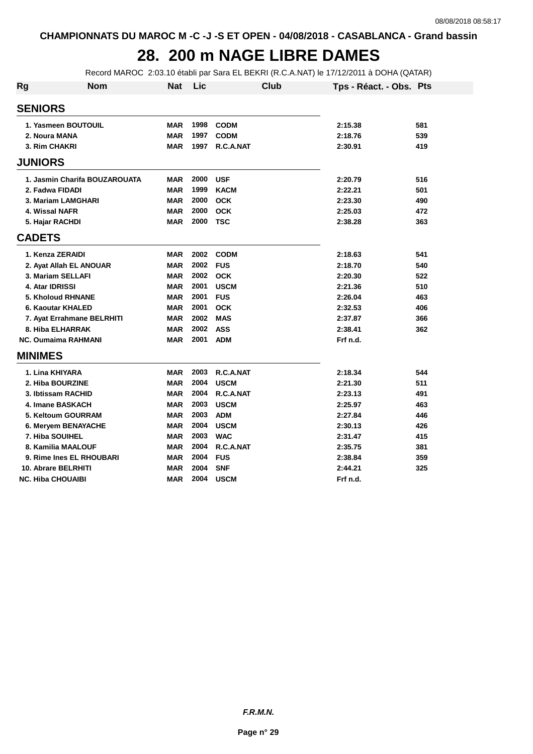## **28. 200 m NAGE LIBRE DAMES**

Record MAROC 2:03.10 établi par Sara EL BEKRI (R.C.A.NAT) le 17/12/2011 à DOHA (QATAR)

| Rg             | <b>Nom</b>                    | <b>Nat</b> | Lic  | Club        | Tps - Réact. - Obs. Pts |     |
|----------------|-------------------------------|------------|------|-------------|-------------------------|-----|
| <b>SENIORS</b> |                               |            |      |             |                         |     |
|                | 1. Yasmeen BOUTOUIL           | <b>MAR</b> | 1998 | <b>CODM</b> | 2:15.38                 | 581 |
|                | 2. Noura MANA                 | <b>MAR</b> | 1997 | <b>CODM</b> | 2:18.76                 | 539 |
|                | 3. Rim CHAKRI                 | <b>MAR</b> | 1997 | R.C.A.NAT   | 2:30.91                 | 419 |
| <b>JUNIORS</b> |                               |            |      |             |                         |     |
|                | 1. Jasmin Charifa BOUZAROUATA | <b>MAR</b> | 2000 | <b>USF</b>  | 2:20.79                 | 516 |
|                | 2. Fadwa FIDADI               | <b>MAR</b> | 1999 | <b>KACM</b> | 2:22.21                 | 501 |
|                | 3. Mariam LAMGHARI            | <b>MAR</b> | 2000 | <b>OCK</b>  | 2:23.30                 | 490 |
|                | 4. Wissal NAFR                | <b>MAR</b> | 2000 | <b>OCK</b>  | 2:25.03                 | 472 |
|                | 5. Hajar RACHDI               | <b>MAR</b> | 2000 | <b>TSC</b>  | 2:38.28                 | 363 |
| <b>CADETS</b>  |                               |            |      |             |                         |     |
|                | 1. Kenza ZERAIDI              | <b>MAR</b> | 2002 | <b>CODM</b> | 2:18.63                 | 541 |
|                | 2. Ayat Allah EL ANOUAR       | <b>MAR</b> | 2002 | <b>FUS</b>  | 2:18.70                 | 540 |
|                | 3. Mariam SELLAFI             | <b>MAR</b> | 2002 | <b>OCK</b>  | 2:20.30                 | 522 |
|                | 4. Atar IDRISSI               | <b>MAR</b> | 2001 | <b>USCM</b> | 2:21.36                 | 510 |
|                | <b>5. Kholoud RHNANE</b>      | <b>MAR</b> | 2001 | <b>FUS</b>  | 2:26.04                 | 463 |
|                | 6. Kaoutar KHALED             | <b>MAR</b> | 2001 | <b>OCK</b>  | 2:32.53                 | 406 |
|                | 7. Ayat Errahmane BELRHITI    | <b>MAR</b> | 2002 | <b>MAS</b>  | 2:37.87                 | 366 |
|                | 8. Hiba ELHARRAK              | <b>MAR</b> | 2002 | <b>ASS</b>  | 2:38.41                 | 362 |
|                | <b>NC. Oumaima RAHMANI</b>    | <b>MAR</b> | 2001 | <b>ADM</b>  | Frf n.d.                |     |
| <b>MINIMES</b> |                               |            |      |             |                         |     |
|                | 1. Lina KHIYARA               | <b>MAR</b> | 2003 | R.C.A.NAT   | 2:18.34                 | 544 |
|                | 2. Hiba BOURZINE              | <b>MAR</b> | 2004 | <b>USCM</b> | 2:21.30                 | 511 |
|                | 3. Ibtissam RACHID            | <b>MAR</b> | 2004 | R.C.A.NAT   | 2:23.13                 | 491 |
|                | 4. Imane BASKACH              | <b>MAR</b> | 2003 | <b>USCM</b> | 2:25.97                 | 463 |
|                | 5. Keltoum GOURRAM            | <b>MAR</b> | 2003 | <b>ADM</b>  | 2:27.84                 | 446 |
|                | 6. Meryem BENAYACHE           | <b>MAR</b> | 2004 | <b>USCM</b> | 2:30.13                 | 426 |
|                | 7. Hiba SOUIHEL               | <b>MAR</b> | 2003 | <b>WAC</b>  | 2:31.47                 | 415 |
|                | 8. Kamilia MAALOUF            | <b>MAR</b> | 2004 | R.C.A.NAT   | 2:35.75                 | 381 |
|                | 9. Rime Ines EL RHOUBARI      | <b>MAR</b> | 2004 | <b>FUS</b>  | 2:38.84                 | 359 |
|                | 10. Abrare BELRHITI           | <b>MAR</b> | 2004 | <b>SNF</b>  | 2:44.21                 | 325 |
|                | <b>NC. Hiba CHOUAIBI</b>      | <b>MAR</b> | 2004 | <b>USCM</b> | Frf n.d.                |     |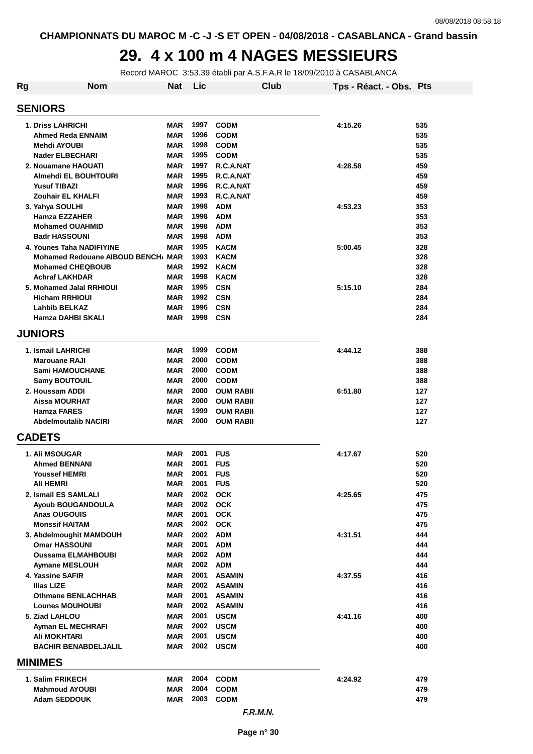### **29. 4 x 100 m 4 NAGES MESSIEURS**

Record MAROC 3:53.39 établi par A.S.F.A.R le 18/09/2010 à CASABLANCA

| Rg                    | <b>Nom</b>                                     | <b>Nat</b>               | Lic          |                            | Club | Tps - Réact. - Obs. Pts |            |
|-----------------------|------------------------------------------------|--------------------------|--------------|----------------------------|------|-------------------------|------------|
| <b>SENIORS</b>        |                                                |                          |              |                            |      |                         |            |
|                       | 1. Driss LAHRICHI                              | <b>MAR</b>               | 1997         | <b>CODM</b>                |      | 4:15.26                 | 535        |
|                       | Ahmed Reda ENNAIM                              | <b>MAR</b>               | 1996         | <b>CODM</b>                |      |                         | 535        |
|                       | Mehdi AYOUBI                                   | <b>MAR</b>               | 1998         | <b>CODM</b>                |      |                         | 535        |
|                       | <b>Nader ELBECHARI</b>                         | <b>MAR</b>               | 1995         | <b>CODM</b>                |      |                         | 535        |
|                       | 2. Nouamane HAOUATI                            | <b>MAR</b>               | 1997         | R.C.A.NAT                  |      | 4:28.58                 | 459        |
|                       | <b>Almehdi EL BOUHTOURI</b>                    | <b>MAR</b>               | 1995         | R.C.A.NAT                  |      |                         | 459        |
|                       | <b>Yusuf TIBAZI</b>                            | <b>MAR</b>               | 1996         | R.C.A.NAT                  |      |                         | 459        |
|                       | Zouhair EL KHALFI                              | <b>MAR</b>               | 1993         | R.C.A.NAT                  |      |                         | 459        |
| 3. Yahya SOULHI       | Hamza EZZAHER                                  | <b>MAR</b><br><b>MAR</b> | 1998<br>1998 | <b>ADM</b><br><b>ADM</b>   |      | 4:53.23                 | 353<br>353 |
|                       | <b>Mohamed OUAHMID</b>                         | <b>MAR</b>               | 1998         | <b>ADM</b>                 |      |                         | 353        |
|                       | <b>Badr HASSOUNI</b>                           | <b>MAR</b>               | 1998         | <b>ADM</b>                 |      |                         | 353        |
|                       | 4. Younes Taha NADIFIYINE                      | <b>MAR</b>               | 1995         | <b>KACM</b>                |      | 5:00.45                 | 328        |
|                       | Mohamed Redouane AIBOUD BENCH, MAR             |                          | 1993         | <b>KACM</b>                |      |                         | 328        |
|                       | <b>Mohamed CHEQBOUB</b>                        | <b>MAR</b>               | 1992         | <b>KACM</b>                |      |                         | 328        |
|                       | <b>Achraf LAKHDAR</b>                          | <b>MAR</b>               | 1998         | <b>KACM</b>                |      |                         | 328        |
|                       | 5. Mohamed Jalal RRHIOUI                       | <b>MAR</b>               | 1995         | <b>CSN</b>                 |      | 5:15.10                 | 284        |
|                       | <b>Hicham RRHIOUI</b>                          | <b>MAR</b>               | 1992         | <b>CSN</b>                 |      |                         | 284        |
|                       | <b>Lahbib BELKAZ</b>                           | <b>MAR</b>               | 1996<br>1998 | <b>CSN</b>                 |      |                         | 284        |
| <b>JUNIORS</b>        | Hamza DAHBI SKALI                              | <b>MAR</b>               |              | <b>CSN</b>                 |      |                         | 284        |
|                       |                                                |                          |              |                            |      |                         |            |
|                       | 1. Ismail LAHRICHI                             | <b>MAR</b>               | 1999         | <b>CODM</b>                |      | 4:44.12                 | 388        |
|                       | <b>Marouane RAJI</b><br><b>Sami HAMOUCHANE</b> | <b>MAR</b><br><b>MAR</b> | 2000<br>2000 | <b>CODM</b><br><b>CODM</b> |      |                         | 388<br>388 |
|                       | <b>Samy BOUTOUIL</b>                           | <b>MAR</b>               | 2000         | <b>CODM</b>                |      |                         | 388        |
| 2. Houssam ADDI       |                                                | <b>MAR</b>               | 2000         | <b>OUM RABII</b>           |      | 6:51.80                 | 127        |
|                       | <b>Aissa MOURHAT</b>                           | <b>MAR</b>               | 2000         | <b>OUM RABII</b>           |      |                         | 127        |
|                       | <b>Hamza FARES</b>                             | <b>MAR</b>               | 1999         | <b>OUM RABII</b>           |      |                         | 127        |
|                       | <b>Abdelmoutalib NACIRI</b>                    | <b>MAR</b>               | 2000         | <b>OUM RABII</b>           |      |                         | 127        |
| <b>CADETS</b>         |                                                |                          |              |                            |      |                         |            |
| <b>1. Ali MSOUGAR</b> |                                                | <b>MAR</b>               | 2001 FUS     |                            |      | 4:17.67                 | 520        |
|                       | <b>Ahmed BENNANI</b>                           | <b>MAR</b>               | 2001         | <b>FUS</b>                 |      |                         | 520        |
|                       | <b>Youssef HEMRI</b>                           | <b>MAR</b>               | 2001         | <b>FUS</b>                 |      |                         | 520        |
| Ali HEMRI             |                                                | <b>MAR</b>               | 2001 FUS     |                            |      |                         | 520        |
|                       | 2. Ismail ES SAMLALI                           | MAR                      |              | 2002 OCK                   |      | 4:25.65                 | 475        |
|                       | <b>Ayoub BOUGANDOULA</b>                       | <b>MAR</b>               |              | 2002 OCK                   |      |                         | 475        |
|                       | <b>Anas OUGOUIS</b><br><b>Monssif HAITAM</b>   | <b>MAR</b><br><b>MAR</b> | 2001         | <b>OCK</b><br>2002 OCK     |      |                         | 475<br>475 |
|                       | 3. Abdelmoughit MAMDOUH                        | <b>MAR</b>               |              | 2002 ADM                   |      | 4:31.51                 | 444        |
|                       | <b>Omar HASSOUNI</b>                           | <b>MAR</b>               | 2001         | <b>ADM</b>                 |      |                         | 444        |
|                       | <b>Oussama ELMAHBOUBI</b>                      | <b>MAR</b>               | 2002 ADM     |                            |      |                         | 444        |
|                       | <b>Aymane MESLOUH</b>                          | <b>MAR</b>               | 2002 ADM     |                            |      |                         | 444        |
| 4. Yassine SAFIR      |                                                | <b>MAR</b>               | 2001         | <b>ASAMIN</b>              |      | 4:37.55                 | 416        |
| <b>Ilias LIZE</b>     |                                                | <b>MAR</b>               |              | 2002 ASAMIN                |      |                         | 416        |
|                       | <b>Othmane BENLACHHAB</b>                      | <b>MAR</b>               |              | 2001 ASAMIN                |      |                         | 416        |
|                       | <b>Lounes MOUHOUBI</b>                         | <b>MAR</b>               |              | 2002 ASAMIN                |      |                         | 416        |
| 5. Ziad LAHLOU        |                                                | <b>MAR</b>               | 2001         | <b>USCM</b>                |      | 4:41.16                 | 400        |
|                       | Ayman EL MECHRAFI<br>Ali MOKHTARI              | <b>MAR</b><br><b>MAR</b> | 2001         | 2002 USCM<br><b>USCM</b>   |      |                         | 400<br>400 |
|                       | <b>BACHIR BENABDELJALIL</b>                    | <b>MAR</b>               | 2002         | <b>USCM</b>                |      |                         | 400        |
| <b>MINIMES</b>        |                                                |                          |              |                            |      |                         |            |
|                       | 1. Salim FRIKECH                               | <b>MAR</b>               | 2004         | <b>CODM</b>                |      | 4:24.92                 | 479        |
|                       | <b>Mahmoud AYOUBI</b>                          | <b>MAR</b>               | 2004         | <b>CODM</b>                |      |                         | 479        |
|                       | <b>Adam SEDDOUK</b>                            | <b>MAR</b>               | 2003         | <b>CODM</b>                |      |                         | 479        |
|                       |                                                |                          |              | F.R.M.N.                   |      |                         |            |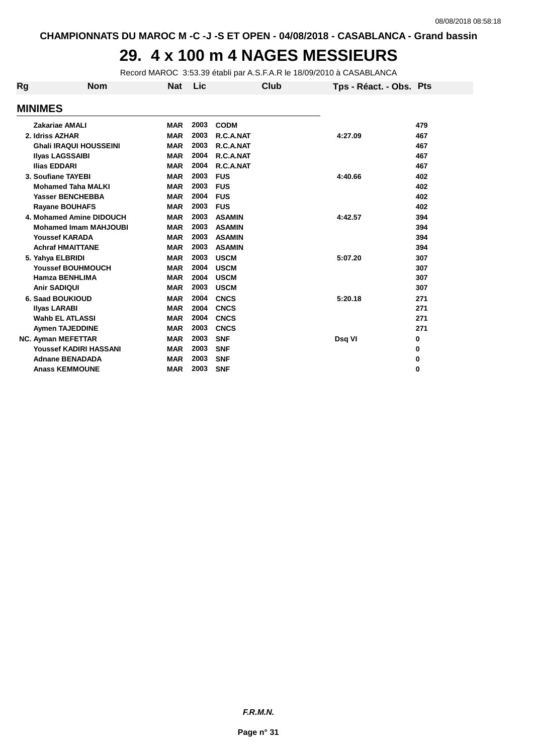#### **29. 4 x 100 m 4 NAGES MESSIEURS**

Record MAROC 3:53.39 établi par A.S.F.A.R le 18/09/2010 à CASABLANCA

| Rg | <b>Nom</b>                    | <b>Nat</b> | Lic  | Club          | Tps - Réact. - Obs. Pts |     |
|----|-------------------------------|------------|------|---------------|-------------------------|-----|
|    | <b>MINIMES</b>                |            |      |               |                         |     |
|    | <b>Zakariae AMALI</b>         | <b>MAR</b> | 2003 | <b>CODM</b>   |                         | 479 |
|    | 2. Idriss AZHAR               | <b>MAR</b> | 2003 | R.C.A.NAT     | 4:27.09                 | 467 |
|    | <b>Ghali IRAQUI HOUSSEINI</b> | <b>MAR</b> | 2003 | R.C.A.NAT     |                         | 467 |
|    | <b>Ilyas LAGSSAIBI</b>        | <b>MAR</b> | 2004 | R.C.A.NAT     |                         | 467 |
|    | <b>Ilias EDDARI</b>           | <b>MAR</b> | 2004 | R.C.A.NAT     |                         | 467 |
|    | 3. Soufiane TAYEBI            | <b>MAR</b> | 2003 | <b>FUS</b>    | 4:40.66                 | 402 |
|    | <b>Mohamed Taha MALKI</b>     | <b>MAR</b> | 2003 | <b>FUS</b>    |                         | 402 |
|    | <b>Yasser BENCHEBBA</b>       | <b>MAR</b> | 2004 | <b>FUS</b>    |                         | 402 |
|    | <b>Rayane BOUHAFS</b>         | <b>MAR</b> | 2003 | <b>FUS</b>    |                         | 402 |
|    | 4. Mohamed Amine DIDOUCH      | <b>MAR</b> | 2003 | <b>ASAMIN</b> | 4:42.57                 | 394 |
|    | <b>Mohamed Imam MAHJOUBI</b>  | <b>MAR</b> | 2003 | <b>ASAMIN</b> |                         | 394 |
|    | <b>Youssef KARADA</b>         | <b>MAR</b> | 2003 | <b>ASAMIN</b> |                         | 394 |
|    | <b>Achraf HMAITTANE</b>       | <b>MAR</b> | 2003 | <b>ASAMIN</b> |                         | 394 |
|    | 5. Yahya ELBRIDI              | <b>MAR</b> | 2003 | <b>USCM</b>   | 5:07.20                 | 307 |
|    | <b>Youssef BOUHMOUCH</b>      | <b>MAR</b> | 2004 | <b>USCM</b>   |                         | 307 |
|    | <b>Hamza BENHLIMA</b>         | <b>MAR</b> | 2004 | <b>USCM</b>   |                         | 307 |
|    | <b>Anir SADIQUI</b>           | <b>MAR</b> | 2003 | <b>USCM</b>   |                         | 307 |
|    | <b>6. Saad BOUKIOUD</b>       | <b>MAR</b> | 2004 | <b>CNCS</b>   | 5:20.18                 | 271 |
|    | <b>Ilyas LARABI</b>           | <b>MAR</b> | 2004 | <b>CNCS</b>   |                         | 271 |
|    | Wahb EL ATLASSI               | <b>MAR</b> | 2004 | <b>CNCS</b>   |                         | 271 |
|    | <b>Aymen TAJEDDINE</b>        | <b>MAR</b> | 2003 | <b>CNCS</b>   |                         | 271 |
|    | <b>NC. Ayman MEFETTAR</b>     | <b>MAR</b> | 2003 | <b>SNF</b>    | Dsq VI                  | 0   |
|    | <b>Youssef KADIRI HASSANI</b> | <b>MAR</b> | 2003 | <b>SNF</b>    |                         | 0   |
|    | <b>Adnane BENADADA</b>        | <b>MAR</b> | 2003 | <b>SNF</b>    |                         | 0   |
|    | <b>Anass KEMMOUNE</b>         | <b>MAR</b> | 2003 | <b>SNF</b>    |                         | 0   |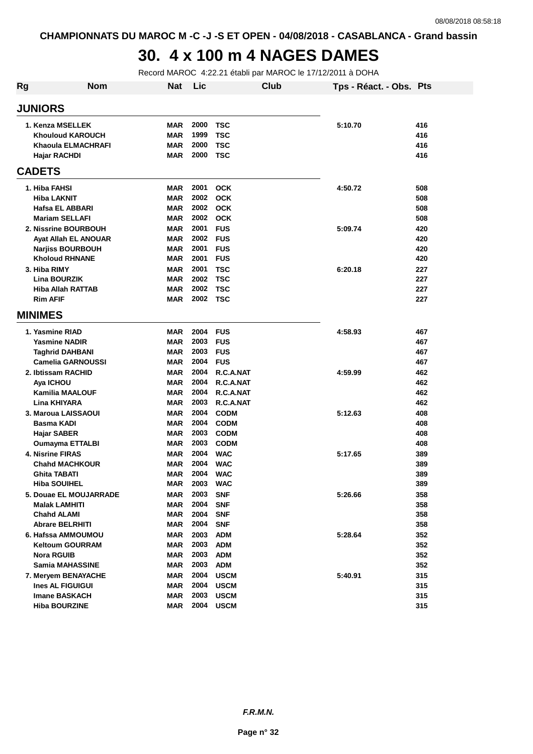## **30. 4 x 100 m 4 NAGES DAMES**

Record MAROC 4:22.21 établi par MAROC le 17/12/2011 à DOHA

| Rg | <b>Nom</b>                  | <b>Nat</b> | Lic  |             | Club | Tps - Réact. - Obs. Pts |     |
|----|-----------------------------|------------|------|-------------|------|-------------------------|-----|
|    | <b>JUNIORS</b>              |            |      |             |      |                         |     |
|    | 1. Kenza MSELLEK            | <b>MAR</b> | 2000 | <b>TSC</b>  |      | 5:10.70                 | 416 |
|    | <b>Khouloud KAROUCH</b>     | <b>MAR</b> | 1999 | TSC         |      |                         | 416 |
|    | <b>Khaoula ELMACHRAFI</b>   | <b>MAR</b> | 2000 | <b>TSC</b>  |      |                         | 416 |
|    | Hajar RACHDI                | <b>MAR</b> | 2000 | <b>TSC</b>  |      |                         | 416 |
|    | <b>CADETS</b>               |            |      |             |      |                         |     |
|    | 1. Hiba FAHSI               | <b>MAR</b> | 2001 | <b>OCK</b>  |      | 4:50.72                 | 508 |
|    | Hiba LAKNIT                 | <b>MAR</b> | 2002 | <b>OCK</b>  |      |                         | 508 |
|    | <b>Hafsa EL ABBARI</b>      | <b>MAR</b> | 2002 | <b>OCK</b>  |      |                         | 508 |
|    | <b>Mariam SELLAFI</b>       | <b>MAR</b> | 2002 | <b>OCK</b>  |      |                         | 508 |
|    | <b>2. Nissrine BOURBOUH</b> | <b>MAR</b> | 2001 | <b>FUS</b>  |      | 5:09.74                 | 420 |
|    | Ayat Allah EL ANOUAR        | <b>MAR</b> | 2002 | <b>FUS</b>  |      |                         | 420 |
|    | <b>Narjiss BOURBOUH</b>     | <b>MAR</b> | 2001 | <b>FUS</b>  |      |                         | 420 |
|    | <b>Kholoud RHNANE</b>       | <b>MAR</b> | 2001 | <b>FUS</b>  |      |                         | 420 |
|    | 3. Hiba RIMY                | <b>MAR</b> | 2001 | <b>TSC</b>  |      | 6:20.18                 | 227 |
|    | <b>Lina BOURZIK</b>         | <b>MAR</b> | 2002 | <b>TSC</b>  |      |                         | 227 |
|    | <b>Hiba Allah RATTAB</b>    | <b>MAR</b> | 2002 | <b>TSC</b>  |      |                         | 227 |
|    | <b>Rim AFIF</b>             | <b>MAR</b> | 2002 | TSC         |      |                         | 227 |
|    | <b>MINIMES</b>              |            |      |             |      |                         |     |
|    | 1. Yasmine RIAD             | <b>MAR</b> | 2004 | <b>FUS</b>  |      | 4:58.93                 | 467 |
|    | <b>Yasmine NADIR</b>        | <b>MAR</b> | 2003 | <b>FUS</b>  |      |                         | 467 |
|    | Taghrid DAHBANI             | <b>MAR</b> | 2003 | <b>FUS</b>  |      |                         | 467 |
|    | <b>Camelia GARNOUSSI</b>    | <b>MAR</b> | 2004 | <b>FUS</b>  |      |                         | 467 |
|    | 2. Ibtissam RACHID          | <b>MAR</b> | 2004 | R.C.A.NAT   |      | 4:59.99                 | 462 |
|    | Aya ICHOU                   | <b>MAR</b> | 2004 | R.C.A.NAT   |      |                         | 462 |
|    | <b>Kamilia MAALOUF</b>      | <b>MAR</b> | 2004 | R.C.A.NAT   |      |                         | 462 |
|    | Lina KHIYARA                | <b>MAR</b> | 2003 | R.C.A.NAT   |      |                         | 462 |
|    | 3. Maroua LAISSAOUI         | <b>MAR</b> | 2004 | <b>CODM</b> |      | 5:12.63                 | 408 |
|    | <b>Basma KADI</b>           | <b>MAR</b> | 2004 | <b>CODM</b> |      |                         | 408 |
|    | <b>Hajar SABER</b>          | <b>MAR</b> | 2003 | <b>CODM</b> |      |                         | 408 |
|    | <b>Oumayma ETTALBI</b>      | <b>MAR</b> | 2003 | <b>CODM</b> |      |                         | 408 |
|    | <b>4. Nisrine FIRAS</b>     | <b>MAR</b> | 2004 | <b>WAC</b>  |      | 5:17.65                 | 389 |
|    | <b>Chahd MACHKOUR</b>       | <b>MAR</b> | 2004 | <b>WAC</b>  |      |                         | 389 |
|    | Ghita TABATI                | <b>MAR</b> | 2004 | <b>WAC</b>  |      |                         | 389 |
|    | <b>Hiba SOUIHEL</b>         | <b>MAR</b> | 2003 | <b>WAC</b>  |      |                         | 389 |
|    | 5. Douae EL MOUJARRADE      | MAR        | 2003 | <b>SNF</b>  |      | 5:26.66                 | 358 |
|    | <b>Malak LAMHITI</b>        | <b>MAR</b> | 2004 | <b>SNF</b>  |      |                         | 358 |
|    | <b>Chahd ALAMI</b>          | <b>MAR</b> | 2004 | <b>SNF</b>  |      |                         | 358 |
|    | <b>Abrare BELRHITI</b>      | <b>MAR</b> | 2004 | <b>SNF</b>  |      |                         | 358 |
|    | 6. Hafssa AMMOUMOU          | <b>MAR</b> | 2003 | <b>ADM</b>  |      | 5:28.64                 | 352 |
|    | <b>Keltoum GOURRAM</b>      | <b>MAR</b> | 2003 | <b>ADM</b>  |      |                         | 352 |
|    | <b>Nora RGUIB</b>           | <b>MAR</b> | 2003 | <b>ADM</b>  |      |                         | 352 |
|    | <b>Samia MAHASSINE</b>      | <b>MAR</b> | 2003 | <b>ADM</b>  |      |                         | 352 |
|    | 7. Meryem BENAYACHE         | <b>MAR</b> | 2004 | <b>USCM</b> |      | 5:40.91                 | 315 |
|    | Ines AL FIGUIGUI            | <b>MAR</b> | 2004 | <b>USCM</b> |      |                         | 315 |
|    | <b>Imane BASKACH</b>        | <b>MAR</b> | 2003 | <b>USCM</b> |      |                         | 315 |
|    | <b>Hiba BOURZINE</b>        | <b>MAR</b> | 2004 | <b>USCM</b> |      |                         | 315 |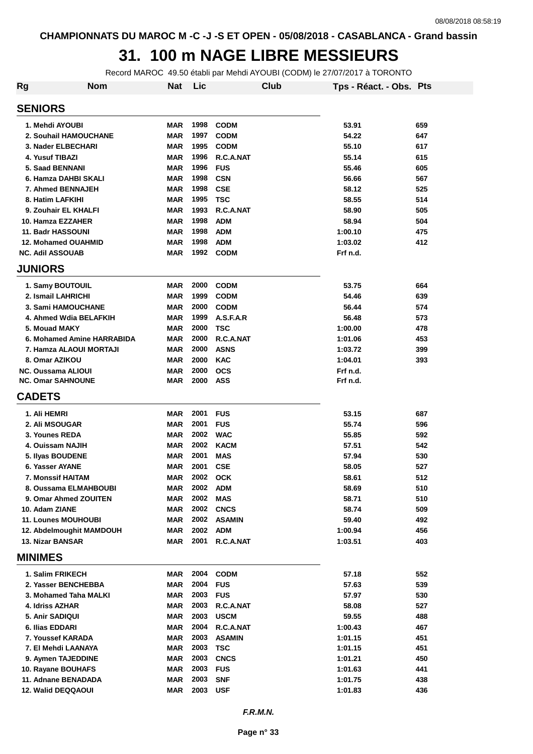#### **31. 100 m NAGE LIBRE MESSIEURS**

Record MAROC 49.50 établi par Mehdi AYOUBI (CODM) le 27/07/2017 à TORONTO

| Rg                         | <b>Nom</b>                 | <b>Nat</b> | Lic  |               | Club | Tps - Réact. - Obs. Pts |     |
|----------------------------|----------------------------|------------|------|---------------|------|-------------------------|-----|
| <b>SENIORS</b>             |                            |            |      |               |      |                         |     |
| 1. Mehdi AYOUBI            |                            | <b>MAR</b> | 1998 | <b>CODM</b>   |      | 53.91                   | 659 |
| 2. Souhail HAMOUCHANE      |                            | <b>MAR</b> | 1997 | <b>CODM</b>   |      | 54.22                   | 647 |
| 3. Nader ELBECHARI         |                            | <b>MAR</b> | 1995 | <b>CODM</b>   |      | 55.10                   | 617 |
| 4. Yusuf TIBAZI            |                            | <b>MAR</b> | 1996 | R.C.A.NAT     |      | 55.14                   | 615 |
| 5. Saad BENNANI            |                            | <b>MAR</b> | 1996 | <b>FUS</b>    |      | 55.46                   | 605 |
| 6. Hamza DAHBI SKALI       |                            | <b>MAR</b> | 1998 | <b>CSN</b>    |      | 56.66                   | 567 |
| 7. Ahmed BENNAJEH          |                            | <b>MAR</b> | 1998 | <b>CSE</b>    |      | 58.12                   | 525 |
| 8. Hatim LAFKIHI           |                            | <b>MAR</b> | 1995 | <b>TSC</b>    |      | 58.55                   | 514 |
| 9. Zouhair EL KHALFI       |                            | <b>MAR</b> | 1993 | R.C.A.NAT     |      | 58.90                   | 505 |
| 10. Hamza EZZAHER          |                            | MAR        | 1998 | <b>ADM</b>    |      | 58.94                   | 504 |
| 11. Badr HASSOUNI          |                            | <b>MAR</b> | 1998 | <b>ADM</b>    |      | 1:00.10                 | 475 |
| <b>12. Mohamed OUAHMID</b> |                            | <b>MAR</b> | 1998 | <b>ADM</b>    |      | 1:03.02                 | 412 |
| <b>NC. Adil ASSOUAB</b>    |                            | MAR        | 1992 | <b>CODM</b>   |      | Frf n.d.                |     |
| <b>JUNIORS</b>             |                            |            |      |               |      |                         |     |
| 1. Samy BOUTOUIL           |                            | <b>MAR</b> | 2000 | <b>CODM</b>   |      | 53.75                   | 664 |
| 2. Ismail LAHRICHI         |                            | <b>MAR</b> | 1999 | <b>CODM</b>   |      | 54.46                   | 639 |
| 3. Sami HAMOUCHANE         |                            | <b>MAR</b> | 2000 | <b>CODM</b>   |      | 56.44                   | 574 |
| 4. Ahmed Wdia BELAFKIH     |                            | <b>MAR</b> | 1999 | A.S.F.A.R     |      | 56.48                   | 573 |
| 5. Mouad MAKY              |                            | <b>MAR</b> | 2000 | <b>TSC</b>    |      | 1:00.00                 | 478 |
|                            | 6. Mohamed Amine HARRABIDA | <b>MAR</b> | 2000 | R.C.A.NAT     |      | 1:01.06                 | 453 |
| 7. Hamza ALAOUI MORTAJI    |                            | <b>MAR</b> | 2000 | <b>ASNS</b>   |      | 1:03.72                 | 399 |
| 8. Omar AZIKOU             |                            | <b>MAR</b> | 2000 | <b>KAC</b>    |      | 1:04.01                 | 393 |
| <b>NC. Oussama ALIOUI</b>  |                            | <b>MAR</b> | 2000 | <b>OCS</b>    |      | Frf n.d.                |     |
| <b>NC. Omar SAHNOUNE</b>   |                            | <b>MAR</b> | 2000 | <b>ASS</b>    |      | Frf n.d.                |     |
| <b>CADETS</b>              |                            |            |      |               |      |                         |     |
| 1. Ali HEMRI               |                            | <b>MAR</b> | 2001 | <b>FUS</b>    |      | 53.15                   | 687 |
| 2. Ali MSOUGAR             |                            | <b>MAR</b> | 2001 | <b>FUS</b>    |      | 55.74                   | 596 |
| 3. Younes REDA             |                            | <b>MAR</b> | 2002 | <b>WAC</b>    |      | 55.85                   | 592 |
| 4. Ouissam NAJIH           |                            | <b>MAR</b> | 2002 | <b>KACM</b>   |      | 57.51                   | 542 |
| 5. Ilyas BOUDENE           |                            | <b>MAR</b> | 2001 | <b>MAS</b>    |      | 57.94                   | 530 |
| 6. Yasser AYANE            |                            | <b>MAR</b> | 2001 | <b>CSE</b>    |      | 58.05                   | 527 |
| 7. Monssif HAITAM          |                            | <b>MAR</b> | 2002 | <b>OCK</b>    |      | 58.61                   | 512 |
| 8. Oussama ELMAHBOUBI      |                            | <b>MAR</b> | 2002 | <b>ADM</b>    |      | 58.69                   | 510 |
| 9. Omar Ahmed ZOUITEN      |                            | <b>MAR</b> | 2002 | <b>MAS</b>    |      | 58.71                   | 510 |
| 10. Adam ZIANE             |                            | <b>MAR</b> | 2002 | <b>CNCS</b>   |      | 58.74                   | 509 |
| 11. Lounes MOUHOUBI        |                            | <b>MAR</b> | 2002 | <b>ASAMIN</b> |      | 59.40                   | 492 |
| 12. Abdelmoughit MAMDOUH   |                            | <b>MAR</b> | 2002 | <b>ADM</b>    |      | 1:00.94                 | 456 |
| <b>13. Nizar BANSAR</b>    |                            | <b>MAR</b> | 2001 | R.C.A.NAT     |      | 1:03.51                 | 403 |
| <b>MINIMES</b>             |                            |            |      |               |      |                         |     |
| 1. Salim FRIKECH           |                            | MAR        | 2004 | <b>CODM</b>   |      | 57.18                   | 552 |
| 2. Yasser BENCHEBBA        |                            | <b>MAR</b> | 2004 | <b>FUS</b>    |      | 57.63                   | 539 |
| 3. Mohamed Taha MALKI      |                            | <b>MAR</b> | 2003 | <b>FUS</b>    |      | 57.97                   | 530 |
| 4. Idriss AZHAR            |                            | <b>MAR</b> | 2003 | R.C.A.NAT     |      | 58.08                   | 527 |
| 5. Anir SADIQUI            |                            | <b>MAR</b> | 2003 | <b>USCM</b>   |      | 59.55                   | 488 |
| 6. Ilias EDDARI            |                            | <b>MAR</b> | 2004 | R.C.A.NAT     |      | 1:00.43                 | 467 |
| 7. Youssef KARADA          |                            | <b>MAR</b> | 2003 | <b>ASAMIN</b> |      | 1:01.15                 | 451 |
| 7. El Mehdi LAANAYA        |                            | <b>MAR</b> | 2003 | <b>TSC</b>    |      | 1:01.15                 | 451 |
| 9. Aymen TAJEDDINE         |                            | <b>MAR</b> | 2003 | <b>CNCS</b>   |      | 1:01.21                 | 450 |
| 10. Rayane BOUHAFS         |                            | <b>MAR</b> | 2003 | <b>FUS</b>    |      | 1:01.63                 | 441 |
| 11. Adnane BENADADA        |                            | <b>MAR</b> | 2003 | <b>SNF</b>    |      | 1:01.75                 | 438 |
| 12. Walid DEQQAOUI         |                            | <b>MAR</b> | 2003 | <b>USF</b>    |      | 1:01.83                 | 436 |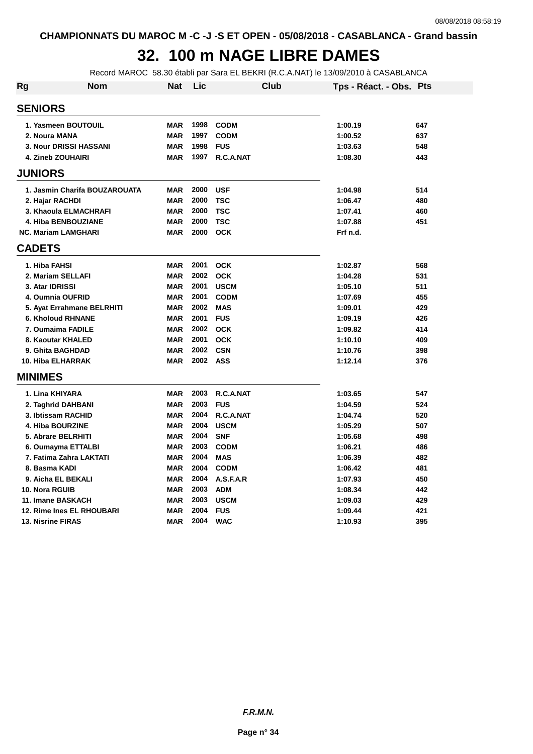## **32. 100 m NAGE LIBRE DAMES**

Record MAROC 58.30 établi par Sara EL BEKRI (R.C.A.NAT) le 13/09/2010 à CASABLANCA

| Rg | <b>Nom</b>                    | Nat        | Lic      | Club           | Tps - Réact. - Obs. Pts |     |
|----|-------------------------------|------------|----------|----------------|-------------------------|-----|
|    | <b>SENIORS</b>                |            |          |                |                         |     |
|    | 1. Yasmeen BOUTOUIL           | <b>MAR</b> | 1998     | <b>CODM</b>    | 1:00.19                 | 647 |
|    | 2. Noura MANA                 | <b>MAR</b> | 1997     | <b>CODM</b>    | 1:00.52                 | 637 |
|    | <b>3. Nour DRISSI HASSANI</b> | <b>MAR</b> | 1998     | <b>FUS</b>     | 1:03.63                 | 548 |
|    | <b>4. Zineb ZOUHAIRI</b>      | <b>MAR</b> | 1997     | R.C.A.NAT      | 1:08.30                 | 443 |
|    | <b>JUNIORS</b>                |            |          |                |                         |     |
|    | 1. Jasmin Charifa BOUZAROUATA | <b>MAR</b> | 2000     | <b>USF</b>     | 1:04.98                 | 514 |
|    | 2. Hajar RACHDI               | <b>MAR</b> | 2000     | <b>TSC</b>     | 1:06.47                 | 480 |
|    | 3. Khaoula ELMACHRAFI         | <b>MAR</b> | 2000     | <b>TSC</b>     | 1:07.41                 | 460 |
|    | 4. Hiba BENBOUZIANE           | <b>MAR</b> | 2000     | <b>TSC</b>     | 1:07.88                 | 451 |
|    | <b>NC. Mariam LAMGHARI</b>    | <b>MAR</b> | 2000     | <b>OCK</b>     | Frf n.d.                |     |
|    | <b>CADETS</b>                 |            |          |                |                         |     |
|    | 1. Hiba FAHSI                 | <b>MAR</b> | 2001     | <b>OCK</b>     | 1:02.87                 | 568 |
|    | 2. Mariam SELLAFI             | <b>MAR</b> |          | 2002 OCK       | 1:04.28                 | 531 |
|    | 3. Atar IDRISSI               | <b>MAR</b> | 2001     | <b>USCM</b>    | 1:05.10                 | 511 |
|    | 4. Oumnia OUFRID              | <b>MAR</b> | 2001     | <b>CODM</b>    | 1:07.69                 | 455 |
|    | 5. Ayat Errahmane BELRHITI    | <b>MAR</b> | 2002     | <b>MAS</b>     | 1:09.01                 | 429 |
|    | <b>6. Kholoud RHNANE</b>      | <b>MAR</b> | 2001     | <b>FUS</b>     | 1:09.19                 | 426 |
|    | 7. Oumaima FADILE             | <b>MAR</b> | 2002     | <b>OCK</b>     | 1:09.82                 | 414 |
|    | 8. Kaoutar KHALED             | <b>MAR</b> | 2001     | <b>OCK</b>     | 1:10.10                 | 409 |
|    | 9. Ghita BAGHDAD              | <b>MAR</b> |          | 2002 CSN       | 1:10.76                 | 398 |
|    | <b>10. Hiba ELHARRAK</b>      | <b>MAR</b> | 2002 ASS |                | 1:12.14                 | 376 |
|    | <b>MINIMES</b>                |            |          |                |                         |     |
|    | 1. Lina KHIYARA               | <b>MAR</b> |          | 2003 R.C.A.NAT | 1:03.65                 | 547 |
|    | 2. Taghrid DAHBANI            | <b>MAR</b> | 2003     | <b>FUS</b>     | 1:04.59                 | 524 |
|    | 3. Ibtissam RACHID            | <b>MAR</b> | 2004     | R.C.A.NAT      | 1:04.74                 | 520 |
|    | 4. Hiba BOURZINE              | <b>MAR</b> | 2004     | <b>USCM</b>    | 1:05.29                 | 507 |
|    | 5. Abrare BELRHITI            | <b>MAR</b> | 2004     | <b>SNF</b>     | 1:05.68                 | 498 |
|    | 6. Oumayma ETTALBI            | <b>MAR</b> | 2003     | <b>CODM</b>    | 1:06.21                 | 486 |
|    | 7. Fatima Zahra LAKTATI       | <b>MAR</b> | 2004     | <b>MAS</b>     | 1:06.39                 | 482 |
|    | 8. Basma KADI                 | <b>MAR</b> | 2004     | <b>CODM</b>    | 1:06.42                 | 481 |
|    | 9. Aicha EL BEKALI            | <b>MAR</b> | 2004     | A.S.F.A.R      | 1:07.93                 | 450 |
|    | 10. Nora RGUIB                | <b>MAR</b> |          | 2003 ADM       | 1:08.34                 | 442 |
|    | 11. Imane BASKACH             | <b>MAR</b> | 2003     | <b>USCM</b>    | 1:09.03                 | 429 |
|    | 12. Rime Ines EL RHOUBARI     | <b>MAR</b> | 2004     | <b>FUS</b>     | 1:09.44                 | 421 |
|    | <b>13. Nisrine FIRAS</b>      | <b>MAR</b> | 2004     | <b>WAC</b>     | 1:10.93                 | 395 |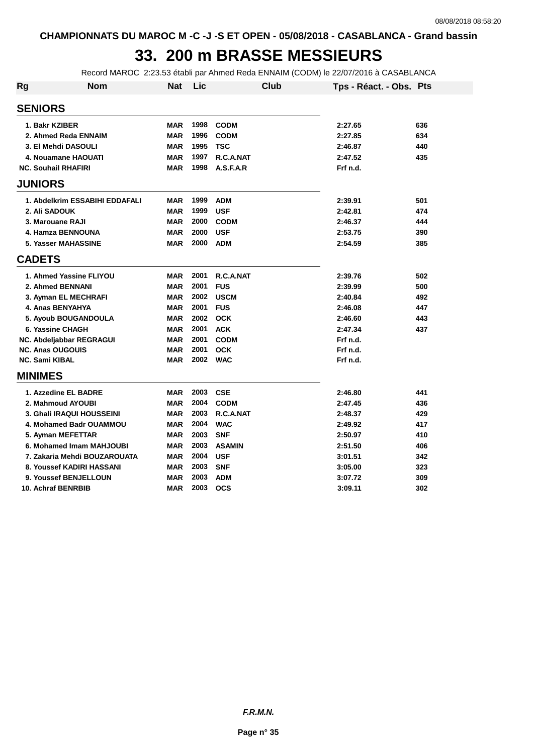## **33. 200 m BRASSE MESSIEURS**

Record MAROC 2:23.53 établi par Ahmed Reda ENNAIM (CODM) le 22/07/2016 à CASABLANCA

| Rg                         | <b>Nom</b>                     | <b>Nat</b> | Lic  | Club          | Tps - Réact. - Obs. Pts |     |
|----------------------------|--------------------------------|------------|------|---------------|-------------------------|-----|
| <b>SENIORS</b>             |                                |            |      |               |                         |     |
| 1. Bakr KZIBER             |                                | <b>MAR</b> | 1998 | <b>CODM</b>   | 2:27.65                 | 636 |
|                            | 2. Ahmed Reda ENNAIM           | <b>MAR</b> | 1996 | <b>CODM</b>   | 2:27.85                 | 634 |
|                            | 3. El Mehdi DASOULI            | <b>MAR</b> | 1995 | <b>TSC</b>    | 2:46.87                 | 440 |
|                            | 4. Nouamane HAOUATI            | <b>MAR</b> | 1997 | R.C.A.NAT     | 2:47.52                 | 435 |
| <b>NC. Souhail RHAFIRI</b> |                                | <b>MAR</b> | 1998 | A.S.F.A.R     | Frf n.d.                |     |
| <b>JUNIORS</b>             |                                |            |      |               |                         |     |
|                            | 1. Abdelkrim ESSABIHI EDDAFALI | <b>MAR</b> | 1999 | <b>ADM</b>    | 2:39.91                 | 501 |
| 2. Ali SADOUK              |                                | <b>MAR</b> | 1999 | <b>USF</b>    | 2:42.81                 | 474 |
| 3. Marouane RAJI           |                                | <b>MAR</b> | 2000 | <b>CODM</b>   | 2:46.37                 | 444 |
|                            | 4. Hamza BENNOUNA              | <b>MAR</b> | 2000 | <b>USF</b>    | 2:53.75                 | 390 |
|                            | <b>5. Yasser MAHASSINE</b>     | <b>MAR</b> | 2000 | <b>ADM</b>    | 2:54.59                 | 385 |
| <b>CADETS</b>              |                                |            |      |               |                         |     |
|                            | 1. Ahmed Yassine FLIYOU        | <b>MAR</b> | 2001 | R.C.A.NAT     | 2:39.76                 | 502 |
|                            | 2. Ahmed BENNANI               | <b>MAR</b> | 2001 | <b>FUS</b>    | 2:39.99                 | 500 |
|                            | 3. Ayman EL MECHRAFI           | <b>MAR</b> | 2002 | <b>USCM</b>   | 2:40.84                 | 492 |
|                            | 4. Anas BENYAHYA               | <b>MAR</b> | 2001 | <b>FUS</b>    | 2:46.08                 | 447 |
|                            | 5. Ayoub BOUGANDOULA           | <b>MAR</b> | 2002 | <b>OCK</b>    | 2:46.60                 | 443 |
|                            | 6. Yassine CHAGH               | <b>MAR</b> | 2001 | <b>ACK</b>    | 2:47.34                 | 437 |
|                            | NC. Abdeljabbar REGRAGUI       | <b>MAR</b> | 2001 | <b>CODM</b>   | Frf n.d.                |     |
| <b>NC. Anas OUGOUIS</b>    |                                | <b>MAR</b> | 2001 | <b>OCK</b>    | Frf n.d.                |     |
| NC. Sami KIBAL             |                                | <b>MAR</b> | 2002 | <b>WAC</b>    | Frf n.d.                |     |
| <b>MINIMES</b>             |                                |            |      |               |                         |     |
|                            | 1. Azzedine EL BADRE           | <b>MAR</b> | 2003 | <b>CSE</b>    | 2:46.80                 | 441 |
|                            | 2. Mahmoud AYOUBI              | <b>MAR</b> | 2004 | <b>CODM</b>   | 2:47.45                 | 436 |
|                            | 3. Ghali IRAQUI HOUSSEINI      | <b>MAR</b> | 2003 | R.C.A.NAT     | 2:48.37                 | 429 |
|                            | 4. Mohamed Badr OUAMMOU        | <b>MAR</b> | 2004 | <b>WAC</b>    | 2:49.92                 | 417 |
|                            | 5. Ayman MEFETTAR              | <b>MAR</b> | 2003 | <b>SNF</b>    | 2:50.97                 | 410 |
|                            | 6. Mohamed Imam MAHJOUBI       | <b>MAR</b> | 2003 | <b>ASAMIN</b> | 2:51.50                 | 406 |
|                            | 7. Zakaria Mehdi BOUZAROUATA   | <b>MAR</b> | 2004 | <b>USF</b>    | 3:01.51                 | 342 |
|                            | 8. Youssef KADIRI HASSANI      | <b>MAR</b> | 2003 | <b>SNF</b>    | 3:05.00                 | 323 |
|                            | 9. Youssef BENJELLOUN          | <b>MAR</b> | 2003 | <b>ADM</b>    | 3:07.72                 | 309 |
|                            | 10. Achraf BENRBIB             | <b>MAR</b> | 2003 | <b>OCS</b>    | 3:09.11                 | 302 |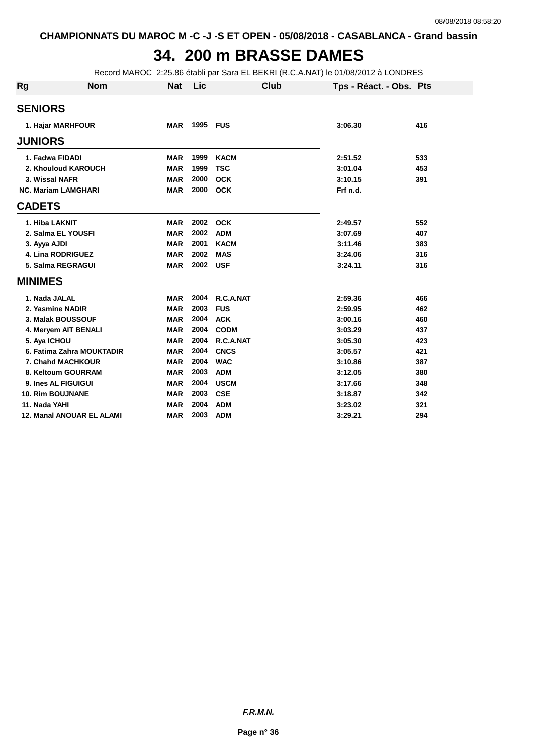### **34. 200 m BRASSE DAMES**

Record MAROC 2:25.86 établi par Sara EL BEKRI (R.C.A.NAT) le 01/08/2012 à LONDRES

| Rg             | <b>Nom</b>                       | <b>Nat</b> | Lic  | Club        | Tps - Réact. - Obs. Pts |     |
|----------------|----------------------------------|------------|------|-------------|-------------------------|-----|
| <b>SENIORS</b> |                                  |            |      |             |                         |     |
|                | 1. Hajar MARHFOUR                | <b>MAR</b> | 1995 | <b>FUS</b>  | 3:06.30                 | 416 |
| <b>JUNIORS</b> |                                  |            |      |             |                         |     |
|                | 1. Fadwa FIDADI                  | <b>MAR</b> | 1999 | <b>KACM</b> | 2:51.52                 | 533 |
|                | 2. Khouloud KAROUCH              | <b>MAR</b> | 1999 | <b>TSC</b>  | 3:01.04                 | 453 |
|                | 3. Wissal NAFR                   | <b>MAR</b> | 2000 | <b>OCK</b>  | 3:10.15                 | 391 |
|                | <b>NC. Mariam LAMGHARI</b>       | <b>MAR</b> | 2000 | <b>OCK</b>  | Frf n.d.                |     |
| <b>CADETS</b>  |                                  |            |      |             |                         |     |
|                | 1. Hiba LAKNIT                   | <b>MAR</b> | 2002 | <b>OCK</b>  | 2:49.57                 | 552 |
|                | 2. Salma EL YOUSFI               | <b>MAR</b> | 2002 | <b>ADM</b>  | 3:07.69                 | 407 |
|                | 3. Ayya AJDI                     | <b>MAR</b> | 2001 | <b>KACM</b> | 3:11.46                 | 383 |
|                | <b>4. Lina RODRIGUEZ</b>         | <b>MAR</b> | 2002 | <b>MAS</b>  | 3:24.06                 | 316 |
|                | 5. Salma REGRAGUI                | <b>MAR</b> | 2002 | <b>USF</b>  | 3:24.11                 | 316 |
| <b>MINIMES</b> |                                  |            |      |             |                         |     |
|                | 1. Nada JALAL                    | <b>MAR</b> | 2004 | R.C.A.NAT   | 2:59.36                 | 466 |
|                | 2. Yasmine NADIR                 | <b>MAR</b> | 2003 | <b>FUS</b>  | 2:59.95                 | 462 |
|                | 3. Malak BOUSSOUF                | <b>MAR</b> | 2004 | <b>ACK</b>  | 3:00.16                 | 460 |
|                | 4. Meryem AIT BENALI             | <b>MAR</b> | 2004 | <b>CODM</b> | 3:03.29                 | 437 |
|                | 5. Aya ICHOU                     | <b>MAR</b> | 2004 | R.C.A.NAT   | 3:05.30                 | 423 |
|                | 6. Fatima Zahra MOUKTADIR        | <b>MAR</b> | 2004 | <b>CNCS</b> | 3:05.57                 | 421 |
|                | 7. Chahd MACHKOUR                | <b>MAR</b> | 2004 | <b>WAC</b>  | 3:10.86                 | 387 |
|                | 8. Keltoum GOURRAM               | <b>MAR</b> | 2003 | <b>ADM</b>  | 3:12.05                 | 380 |
|                | 9. Ines AL FIGUIGUI              | <b>MAR</b> | 2004 | <b>USCM</b> | 3:17.66                 | 348 |
|                | <b>10. Rim BOUJNANE</b>          | <b>MAR</b> | 2003 | <b>CSE</b>  | 3:18.87                 | 342 |
|                | 11. Nada YAHI                    | <b>MAR</b> | 2004 | <b>ADM</b>  | 3:23.02                 | 321 |
|                | <b>12. Manal ANOUAR EL ALAMI</b> | <b>MAR</b> | 2003 | <b>ADM</b>  | 3:29.21                 | 294 |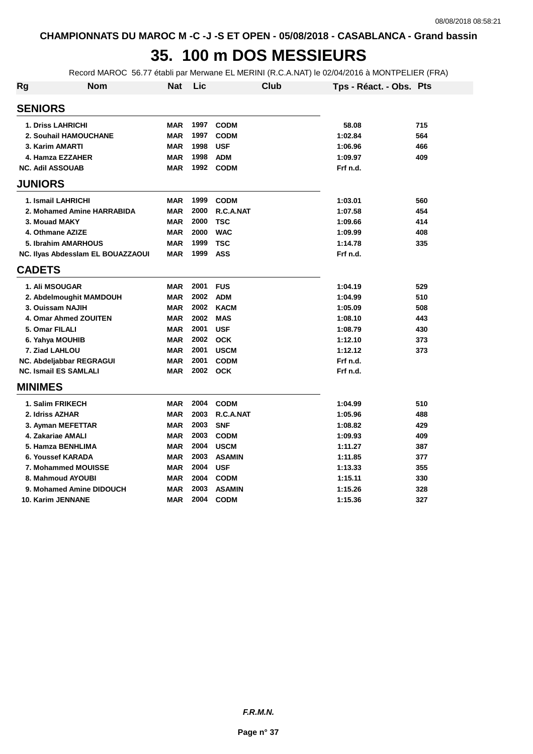## **35. 100 m DOS MESSIEURS**

Record MAROC 56.77 établi par Merwane EL MERINI (R.C.A.NAT) le 02/04/2016 à MONTPELIER (FRA)

| Rg             | <b>Nom</b>                        | <b>Nat</b> | Lic  |               | Club | Tps - Réact. - Obs. Pts |     |
|----------------|-----------------------------------|------------|------|---------------|------|-------------------------|-----|
| <b>SENIORS</b> |                                   |            |      |               |      |                         |     |
|                | <b>1. Driss LAHRICHI</b>          | <b>MAR</b> | 1997 | <b>CODM</b>   |      | 58.08                   | 715 |
|                | 2. Souhail HAMOUCHANE             | <b>MAR</b> | 1997 | <b>CODM</b>   |      | 1:02.84                 | 564 |
|                | 3. Karim AMARTI                   | <b>MAR</b> | 1998 | <b>USF</b>    |      | 1:06.96                 | 466 |
|                | 4. Hamza EZZAHER                  | <b>MAR</b> | 1998 | <b>ADM</b>    |      | 1:09.97                 | 409 |
|                | <b>NC. Adil ASSOUAB</b>           | <b>MAR</b> | 1992 | <b>CODM</b>   |      | Frf n.d.                |     |
| <b>JUNIORS</b> |                                   |            |      |               |      |                         |     |
|                | 1. Ismail LAHRICHI                | <b>MAR</b> | 1999 | <b>CODM</b>   |      | 1:03.01                 | 560 |
|                | 2. Mohamed Amine HARRABIDA        | <b>MAR</b> | 2000 | R.C.A.NAT     |      | 1:07.58                 | 454 |
|                | 3. Mouad MAKY                     | <b>MAR</b> | 2000 | <b>TSC</b>    |      | 1:09.66                 | 414 |
|                | 4. Othmane AZIZE                  | <b>MAR</b> | 2000 | <b>WAC</b>    |      | 1:09.99                 | 408 |
|                | 5. Ibrahim AMARHOUS               | <b>MAR</b> | 1999 | <b>TSC</b>    |      | 1:14.78                 | 335 |
|                | NC. Ilyas Abdesslam EL BOUAZZAOUI | <b>MAR</b> | 1999 | <b>ASS</b>    |      | Frf n.d.                |     |
| <b>CADETS</b>  |                                   |            |      |               |      |                         |     |
|                | 1. Ali MSOUGAR                    | <b>MAR</b> | 2001 | <b>FUS</b>    |      | 1:04.19                 | 529 |
|                | 2. Abdelmoughit MAMDOUH           | <b>MAR</b> | 2002 | <b>ADM</b>    |      | 1:04.99                 | 510 |
|                | 3. Ouissam NAJIH                  | <b>MAR</b> | 2002 | <b>KACM</b>   |      | 1:05.09                 | 508 |
|                | 4. Omar Ahmed ZOUITEN             | <b>MAR</b> | 2002 | <b>MAS</b>    |      | 1:08.10                 | 443 |
|                | 5. Omar FILALI                    | <b>MAR</b> | 2001 | <b>USF</b>    |      | 1:08.79                 | 430 |
|                | 6. Yahya MOUHIB                   | <b>MAR</b> | 2002 | <b>OCK</b>    |      | 1:12.10                 | 373 |
|                | 7. Ziad LAHLOU                    | <b>MAR</b> | 2001 | <b>USCM</b>   |      | 1:12.12                 | 373 |
|                | NC. Abdeljabbar REGRAGUI          | <b>MAR</b> | 2001 | <b>CODM</b>   |      | Frf n.d.                |     |
|                | <b>NC. Ismail ES SAMLALI</b>      | <b>MAR</b> | 2002 | <b>OCK</b>    |      | Frf n.d.                |     |
| <b>MINIMES</b> |                                   |            |      |               |      |                         |     |
|                | 1. Salim FRIKECH                  | <b>MAR</b> | 2004 | <b>CODM</b>   |      | 1:04.99                 | 510 |
|                | 2. Idriss AZHAR                   | <b>MAR</b> | 2003 | R.C.A.NAT     |      | 1:05.96                 | 488 |
|                | 3. Ayman MEFETTAR                 | <b>MAR</b> | 2003 | <b>SNF</b>    |      | 1:08.82                 | 429 |
|                | 4. Zakariae AMALI                 | <b>MAR</b> | 2003 | <b>CODM</b>   |      | 1:09.93                 | 409 |
|                | 5. Hamza BENHLIMA                 | <b>MAR</b> | 2004 | <b>USCM</b>   |      | 1:11.27                 | 387 |
|                | 6. Youssef KARADA                 | <b>MAR</b> | 2003 | <b>ASAMIN</b> |      | 1:11.85                 | 377 |
|                | 7. Mohammed MOUISSE               | <b>MAR</b> | 2004 | <b>USF</b>    |      | 1:13.33                 | 355 |
|                | 8. Mahmoud AYOUBI                 | <b>MAR</b> | 2004 | <b>CODM</b>   |      | 1:15.11                 | 330 |
|                | 9. Mohamed Amine DIDOUCH          | <b>MAR</b> | 2003 | <b>ASAMIN</b> |      | 1:15.26                 | 328 |
|                | 10. Karim JENNANE                 | <b>MAR</b> | 2004 | <b>CODM</b>   |      | 1:15.36                 | 327 |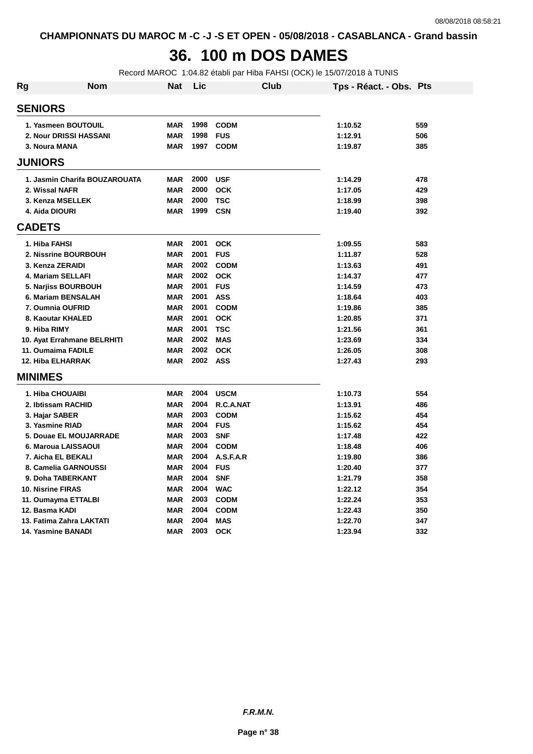## **36. 100 m DOS DAMES**

Record MAROC 1:04.82 établi par Hiba FAHSI (OCK) le 15/07/2018 à TUNIS

| Rg             | Nom                           | <b>Nat</b> | Lic  | Club        | Tps - Réact. - Obs. Pts |     |
|----------------|-------------------------------|------------|------|-------------|-------------------------|-----|
| <b>SENIORS</b> |                               |            |      |             |                         |     |
|                | 1. Yasmeen BOUTOUIL           | <b>MAR</b> | 1998 | <b>CODM</b> | 1:10.52                 | 559 |
|                | 2. Nour DRISSI HASSANI        | <b>MAR</b> | 1998 | <b>FUS</b>  | 1:12.91                 | 506 |
|                | 3. Noura MANA                 | <b>MAR</b> | 1997 | <b>CODM</b> | 1:19.87                 | 385 |
| <b>JUNIORS</b> |                               |            |      |             |                         |     |
|                | 1. Jasmin Charifa BOUZAROUATA | <b>MAR</b> | 2000 | <b>USF</b>  | 1:14.29                 | 478 |
|                | 2. Wissal NAFR                | <b>MAR</b> | 2000 | <b>OCK</b>  | 1:17.05                 | 429 |
|                | 3. Kenza MSELLEK              | <b>MAR</b> | 2000 | <b>TSC</b>  | 1:18.99                 | 398 |
|                | 4. Aida DIOURI                | <b>MAR</b> | 1999 | <b>CSN</b>  | 1:19.40                 | 392 |
| <b>CADETS</b>  |                               |            |      |             |                         |     |
|                | 1. Hiba FAHSI                 | <b>MAR</b> | 2001 | <b>OCK</b>  | 1:09.55                 | 583 |
|                | 2. Nissrine BOURBOUH          | <b>MAR</b> | 2001 | <b>FUS</b>  | 1:11.87                 | 528 |
|                | 3. Kenza ZERAIDI              | <b>MAR</b> | 2002 | <b>CODM</b> | 1:13.63                 | 491 |
|                | 4. Mariam SELLAFI             | <b>MAR</b> | 2002 | <b>OCK</b>  | 1:14.37                 | 477 |
|                | 5. Narjiss BOURBOUH           | <b>MAR</b> | 2001 | <b>FUS</b>  | 1:14.59                 | 473 |
|                | 6. Mariam BENSALAH            | <b>MAR</b> | 2001 | <b>ASS</b>  | 1:18.64                 | 403 |
|                | 7. Oumnia OUFRID              | <b>MAR</b> | 2001 | <b>CODM</b> | 1:19.86                 | 385 |
|                | 8. Kaoutar KHALED             | <b>MAR</b> | 2001 | <b>OCK</b>  | 1:20.85                 | 371 |
|                | 9. Hiba RIMY                  | <b>MAR</b> | 2001 | <b>TSC</b>  | 1:21.56                 | 361 |
|                | 10. Ayat Errahmane BELRHITI   | <b>MAR</b> | 2002 | <b>MAS</b>  | 1:23.69                 | 334 |
|                | 11. Oumaima FADILE            | <b>MAR</b> | 2002 | <b>OCK</b>  | 1:26.05                 | 308 |
|                | <b>12. Hiba ELHARRAK</b>      | <b>MAR</b> | 2002 | <b>ASS</b>  | 1:27.43                 | 293 |
| <b>MINIMES</b> |                               |            |      |             |                         |     |
|                | 1. Hiba CHOUAIBI              | <b>MAR</b> | 2004 | <b>USCM</b> | 1:10.73                 | 554 |
|                | 2. Ibtissam RACHID            | <b>MAR</b> | 2004 | R.C.A.NAT   | 1:13.91                 | 486 |
|                | 3. Hajar SABER                | <b>MAR</b> | 2003 | <b>CODM</b> | 1:15.62                 | 454 |
|                | 3. Yasmine RIAD               | <b>MAR</b> | 2004 | <b>FUS</b>  | 1:15.62                 | 454 |
|                | 5. Douae EL MOUJARRADE        | <b>MAR</b> | 2003 | <b>SNF</b>  | 1:17.48                 | 422 |
|                | 6. Maroua LAISSAOUI           | <b>MAR</b> | 2004 | <b>CODM</b> | 1:18.48                 | 406 |
|                | 7. Aicha EL BEKALI            | <b>MAR</b> | 2004 | A.S.F.A.R   | 1:19.80                 | 386 |
|                | 8. Camelia GARNOUSSI          | <b>MAR</b> | 2004 | <b>FUS</b>  | 1:20.40                 | 377 |
|                | 9. Doha TABERKANT             | <b>MAR</b> | 2004 | <b>SNF</b>  | 1:21.79                 | 358 |
|                | <b>10. Nisrine FIRAS</b>      | <b>MAR</b> | 2004 | <b>WAC</b>  | 1:22.12                 | 354 |
|                | 11. Oumayma ETTALBI           | <b>MAR</b> | 2003 | <b>CODM</b> | 1:22.24                 | 353 |
|                | 12. Basma KADI                | <b>MAR</b> | 2004 | <b>CODM</b> | 1:22.43                 | 350 |
|                | 13. Fatima Zahra LAKTATI      | <b>MAR</b> | 2004 | <b>MAS</b>  | 1:22.70                 | 347 |
|                | <b>14. Yasmine BANADI</b>     | <b>MAR</b> | 2003 | <b>OCK</b>  | 1:23.94                 | 332 |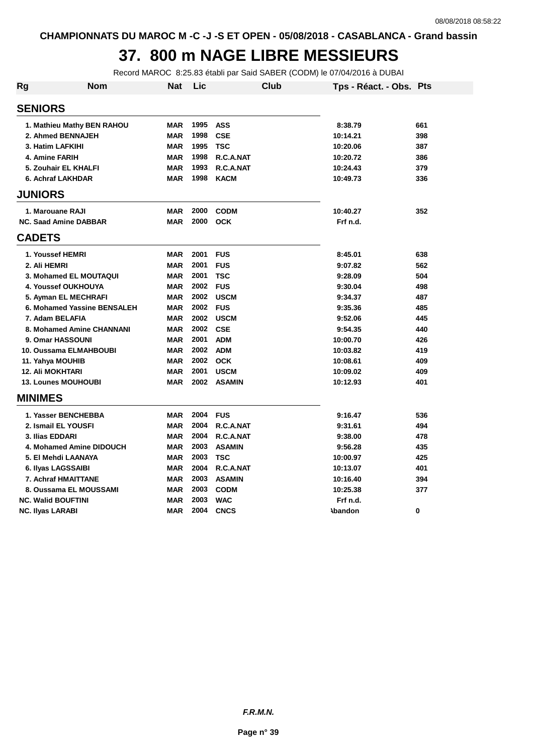#### **37. 800 m NAGE LIBRE MESSIEURS**

Record MAROC 8:25.83 établi par Said SABER (CODM) le 07/04/2016 à DUBAI

| Rg               | <b>Nom</b>                   | <b>Nat</b> | Lic  | <b>Club</b>   | Tps - Réact. - Obs. Pts |     |
|------------------|------------------------------|------------|------|---------------|-------------------------|-----|
| <b>SENIORS</b>   |                              |            |      |               |                         |     |
|                  | 1. Mathieu Mathy BEN RAHOU   | <b>MAR</b> | 1995 | <b>ASS</b>    | 8:38.79                 | 661 |
|                  | 2. Ahmed BENNAJEH            | <b>MAR</b> | 1998 | <b>CSE</b>    | 10:14.21                | 398 |
|                  | 3. Hatim LAFKIHI             | <b>MAR</b> | 1995 | <b>TSC</b>    | 10:20.06                | 387 |
|                  | 4. Amine FARIH               | <b>MAR</b> | 1998 | R.C.A.NAT     | 10:20.72                | 386 |
|                  | 5. Zouhair EL KHALFI         | <b>MAR</b> | 1993 | R.C.A.NAT     | 10:24.43                | 379 |
|                  | 6. Achraf LAKHDAR            | <b>MAR</b> | 1998 | <b>KACM</b>   | 10:49.73                | 336 |
| <b>JUNIORS</b>   |                              |            |      |               |                         |     |
|                  | 1. Marouane RAJI             | <b>MAR</b> | 2000 | <b>CODM</b>   | 10:40.27                | 352 |
|                  | <b>NC. Saad Amine DABBAR</b> | <b>MAR</b> | 2000 | <b>OCK</b>    | Frf n.d.                |     |
| <b>CADETS</b>    |                              |            |      |               |                         |     |
|                  | 1. Youssef HEMRI             | <b>MAR</b> | 2001 | <b>FUS</b>    | 8:45.01                 | 638 |
| 2. Ali HEMRI     |                              | <b>MAR</b> | 2001 | <b>FUS</b>    | 9:07.82                 | 562 |
|                  | 3. Mohamed EL MOUTAQUI       | <b>MAR</b> | 2001 | <b>TSC</b>    | 9:28.09                 | 504 |
|                  | 4. Youssef OUKHOUYA          | <b>MAR</b> | 2002 | <b>FUS</b>    | 9:30.04                 | 498 |
|                  | 5. Ayman EL MECHRAFI         | <b>MAR</b> | 2002 | <b>USCM</b>   | 9:34.37                 | 487 |
|                  | 6. Mohamed Yassine BENSALEH  | <b>MAR</b> | 2002 | <b>FUS</b>    | 9:35.36                 | 485 |
|                  | 7. Adam BELAFIA              | <b>MAR</b> | 2002 | <b>USCM</b>   | 9:52.06                 | 445 |
|                  | 8. Mohamed Amine CHANNANI    | <b>MAR</b> | 2002 | <b>CSE</b>    | 9:54.35                 | 440 |
|                  | 9. Omar HASSOUNI             | <b>MAR</b> | 2001 | <b>ADM</b>    | 10:00.70                | 426 |
|                  | 10. Oussama ELMAHBOUBI       | <b>MAR</b> | 2002 | <b>ADM</b>    | 10:03.82                | 419 |
|                  | 11. Yahya MOUHIB             | <b>MAR</b> | 2002 | <b>OCK</b>    | 10:08.61                | 409 |
|                  | <b>12. Ali MOKHTARI</b>      | <b>MAR</b> | 2001 | <b>USCM</b>   | 10:09.02                | 409 |
|                  | <b>13. Lounes MOUHOUBI</b>   | <b>MAR</b> | 2002 | <b>ASAMIN</b> | 10:12.93                | 401 |
| <b>MINIMES</b>   |                              |            |      |               |                         |     |
|                  | 1. Yasser BENCHEBBA          | <b>MAR</b> | 2004 | <b>FUS</b>    | 9:16.47                 | 536 |
|                  | 2. Ismail EL YOUSFI          | <b>MAR</b> | 2004 | R.C.A.NAT     | 9:31.61                 | 494 |
|                  | 3. Ilias EDDARI              | <b>MAR</b> | 2004 | R.C.A.NAT     | 9:38.00                 | 478 |
|                  | 4. Mohamed Amine DIDOUCH     | <b>MAR</b> | 2003 | <b>ASAMIN</b> | 9:56.28                 | 435 |
|                  | 5. El Mehdi LAANAYA          | <b>MAR</b> | 2003 | <b>TSC</b>    | 10:00.97                | 425 |
|                  | 6. Ilyas LAGSSAIBI           | <b>MAR</b> | 2004 | R.C.A.NAT     | 10:13.07                | 401 |
|                  | 7. Achraf HMAITTANE          | <b>MAR</b> | 2003 | <b>ASAMIN</b> | 10:16.40                | 394 |
|                  | 8. Oussama EL MOUSSAMI       | <b>MAR</b> | 2003 | <b>CODM</b>   | 10:25.38                | 377 |
|                  | <b>NC. Walid BOUFTINI</b>    | <b>MAR</b> | 2003 | <b>WAC</b>    | Frf n.d.                |     |
| NC. Ilyas LARABI |                              | <b>MAR</b> | 2004 | <b>CNCS</b>   | <b>\bandon</b>          | 0   |